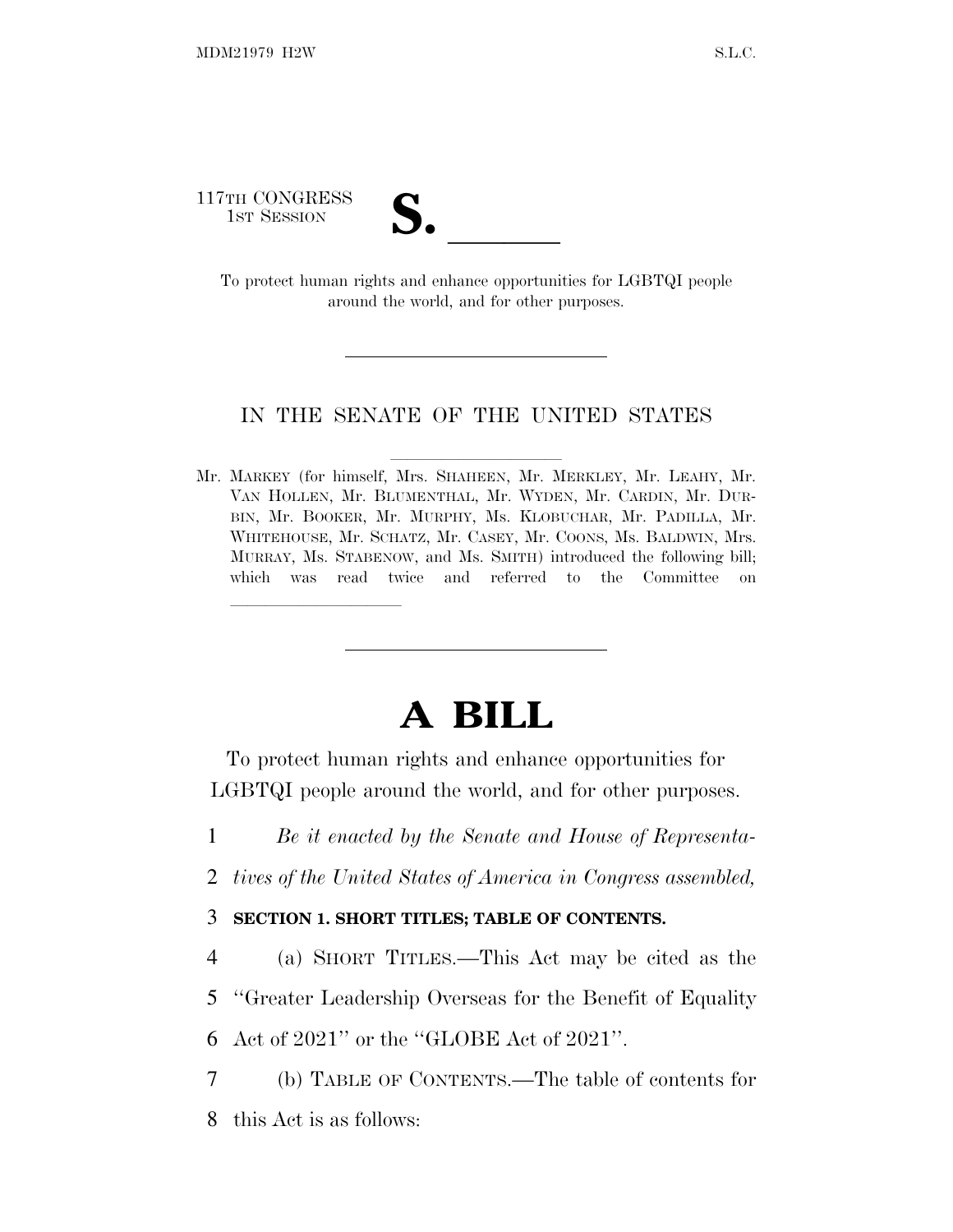117TH CONGRESS

lland and a state of the state of the state of the state of the state of the state of the state of the state o

TH CONGRESS<br>
1ST SESSION<br>
To protect human rights and enhance opportunities for LGBTQI people around the world, and for other purposes.

#### IN THE SENATE OF THE UNITED STATES

Mr. MARKEY (for himself, Mrs. SHAHEEN, Mr. MERKLEY, Mr. LEAHY, Mr. VAN HOLLEN, Mr. BLUMENTHAL, Mr. WYDEN, Mr. CARDIN, Mr. DUR-BIN, Mr. BOOKER, Mr. MURPHY, Ms. KLOBUCHAR, Mr. PADILLA, Mr. WHITEHOUSE, Mr. SCHATZ, Mr. CASEY, Mr. COONS, Ms. BALDWIN, Mrs. MURRAY, Ms. STABENOW, and Ms. SMITH) introduced the following bill; which was read twice and referred to the Committee on

# **A BILL**

To protect human rights and enhance opportunities for LGBTQI people around the world, and for other purposes.

1 *Be it enacted by the Senate and House of Representa-*

2 *tives of the United States of America in Congress assembled,*

3 **SECTION 1. SHORT TITLES; TABLE OF CONTENTS.**

4 (a) SHORT TITLES.—This Act may be cited as the 5 ''Greater Leadership Overseas for the Benefit of Equality 6 Act of 2021'' or the ''GLOBE Act of 2021''.

7 (b) TABLE OF CONTENTS.—The table of contents for 8 this Act is as follows: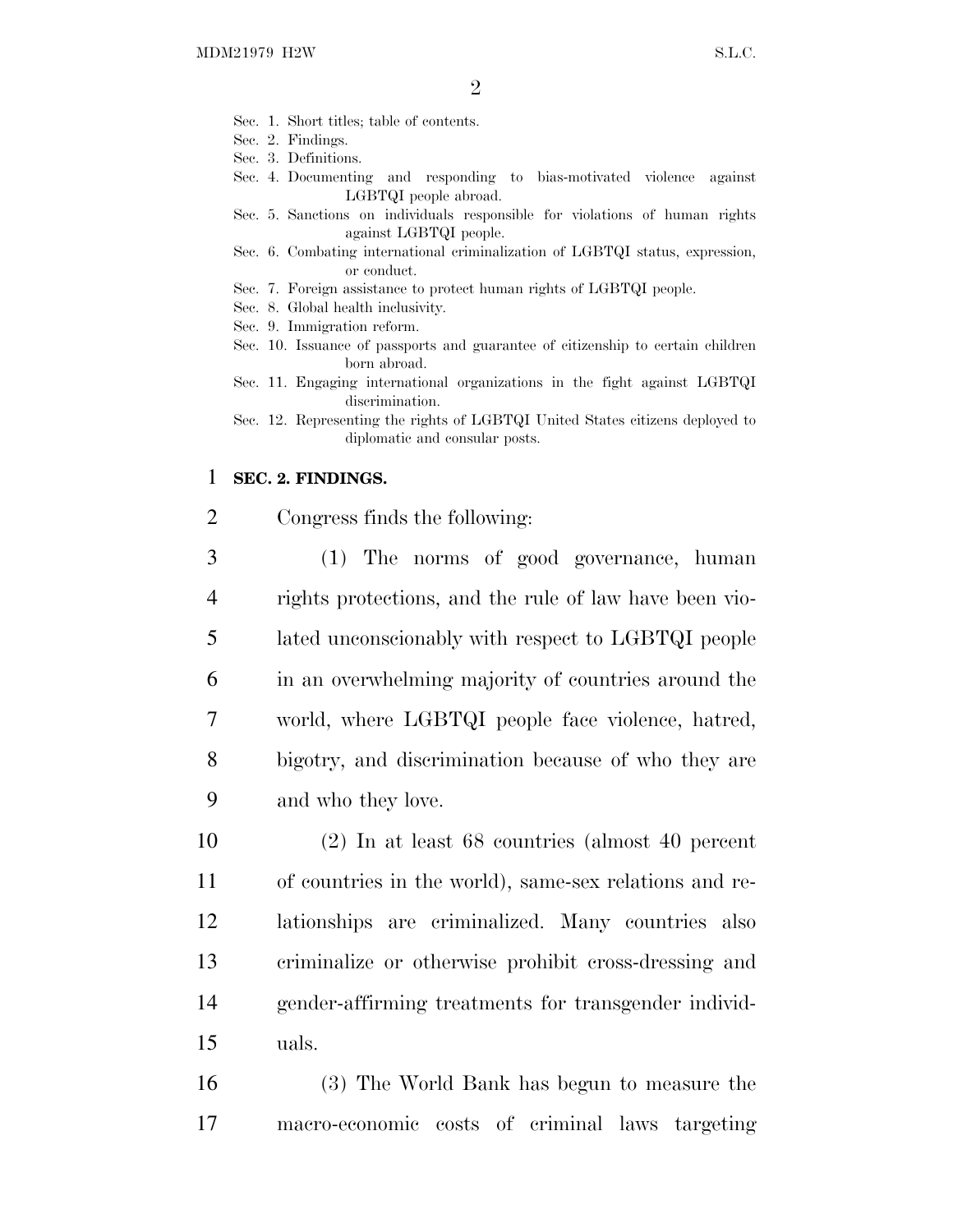- Sec. 1. Short titles; table of contents.
- Sec. 2. Findings.
- Sec. 3. Definitions.
- Sec. 4. Documenting and responding to bias-motivated violence against LGBTQI people abroad.
- Sec. 5. Sanctions on individuals responsible for violations of human rights against LGBTQI people.
- Sec. 6. Combating international criminalization of LGBTQI status, expression, or conduct.
- Sec. 7. Foreign assistance to protect human rights of LGBTQI people.
- Sec. 8. Global health inclusivity.
- Sec. 9. Immigration reform.
- Sec. 10. Issuance of passports and guarantee of citizenship to certain children born abroad.
- Sec. 11. Engaging international organizations in the fight against LGBTQI discrimination.
- Sec. 12. Representing the rights of LGBTQI United States citizens deployed to diplomatic and consular posts.

#### 1 **SEC. 2. FINDINGS.**

- 2 Congress finds the following:
- 3 (1) The norms of good governance, human 4 rights protections, and the rule of law have been vio-5 lated unconscionably with respect to LGBTQI people 6 in an overwhelming majority of countries around the 7 world, where LGBTQI people face violence, hatred, 8 bigotry, and discrimination because of who they are 9 and who they love.

 (2) In at least 68 countries (almost 40 percent of countries in the world), same-sex relations and re- lationships are criminalized. Many countries also criminalize or otherwise prohibit cross-dressing and gender-affirming treatments for transgender individ-15 uals.

16 (3) The World Bank has begun to measure the 17 macro-economic costs of criminal laws targeting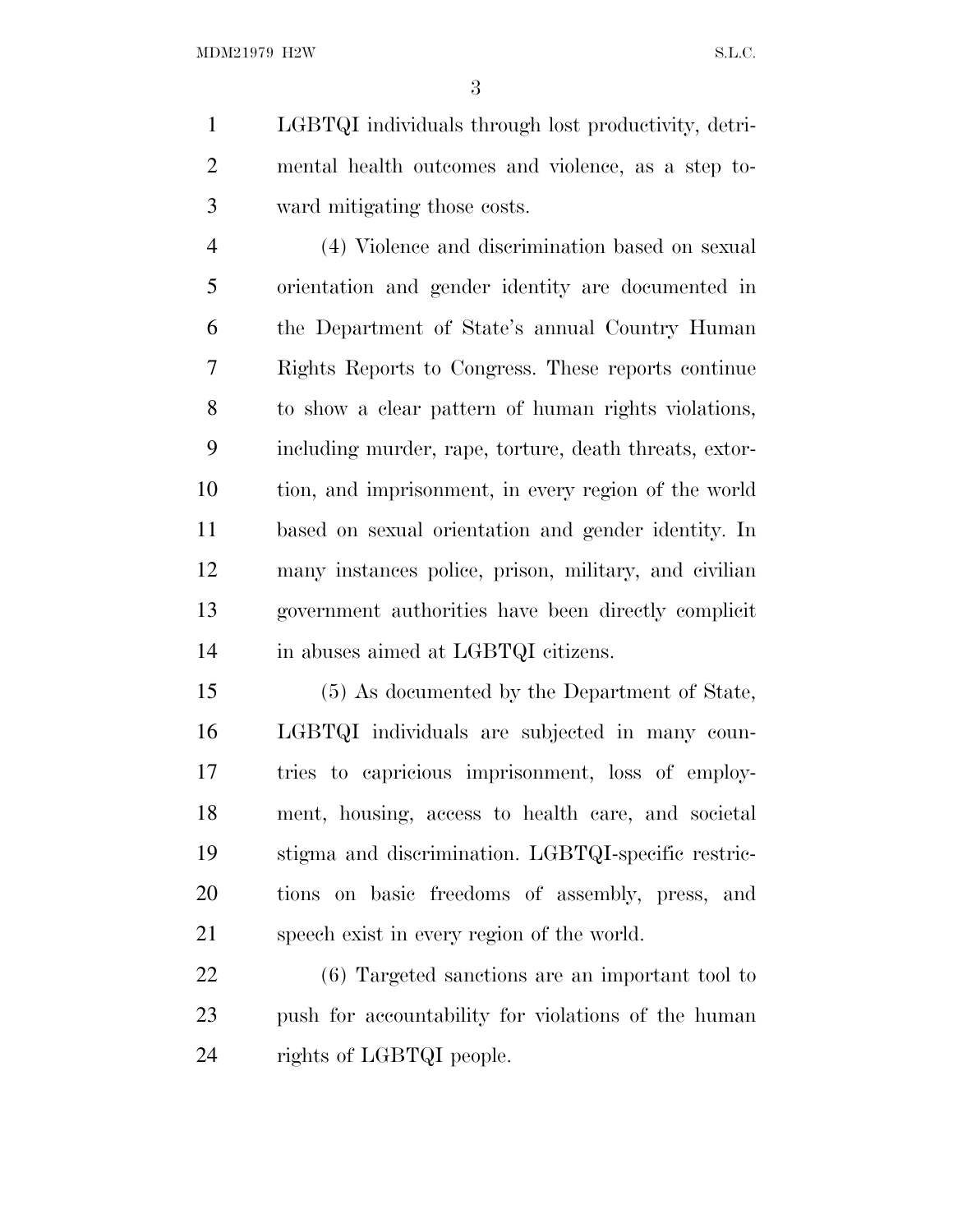LGBTQI individuals through lost productivity, detri- mental health outcomes and violence, as a step to-ward mitigating those costs.

 (4) Violence and discrimination based on sexual orientation and gender identity are documented in the Department of State's annual Country Human Rights Reports to Congress. These reports continue to show a clear pattern of human rights violations, including murder, rape, torture, death threats, extor- tion, and imprisonment, in every region of the world based on sexual orientation and gender identity. In many instances police, prison, military, and civilian government authorities have been directly complicit in abuses aimed at LGBTQI citizens.

 (5) As documented by the Department of State, LGBTQI individuals are subjected in many coun- tries to capricious imprisonment, loss of employ- ment, housing, access to health care, and societal stigma and discrimination. LGBTQI-specific restric- tions on basic freedoms of assembly, press, and speech exist in every region of the world.

 (6) Targeted sanctions are an important tool to push for accountability for violations of the human rights of LGBTQI people.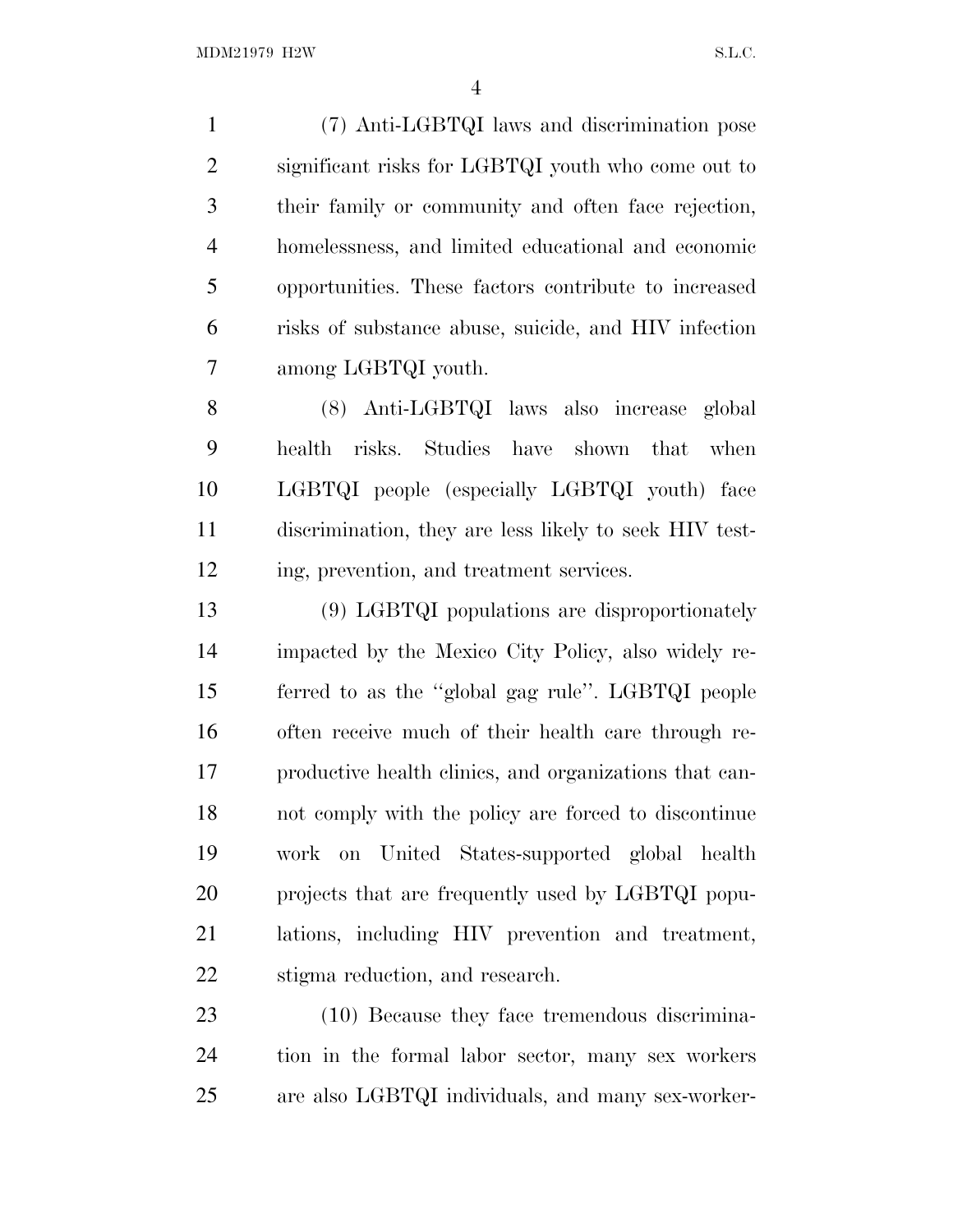(7) Anti-LGBTQI laws and discrimination pose significant risks for LGBTQI youth who come out to their family or community and often face rejection, homelessness, and limited educational and economic opportunities. These factors contribute to increased risks of substance abuse, suicide, and HIV infection among LGBTQI youth.

 (8) Anti-LGBTQI laws also increase global health risks. Studies have shown that when LGBTQI people (especially LGBTQI youth) face discrimination, they are less likely to seek HIV test-ing, prevention, and treatment services.

 (9) LGBTQI populations are disproportionately impacted by the Mexico City Policy, also widely re- ferred to as the ''global gag rule''. LGBTQI people often receive much of their health care through re- productive health clinics, and organizations that can- not comply with the policy are forced to discontinue work on United States-supported global health projects that are frequently used by LGBTQI popu- lations, including HIV prevention and treatment, stigma reduction, and research.

 (10) Because they face tremendous discrimina- tion in the formal labor sector, many sex workers are also LGBTQI individuals, and many sex-worker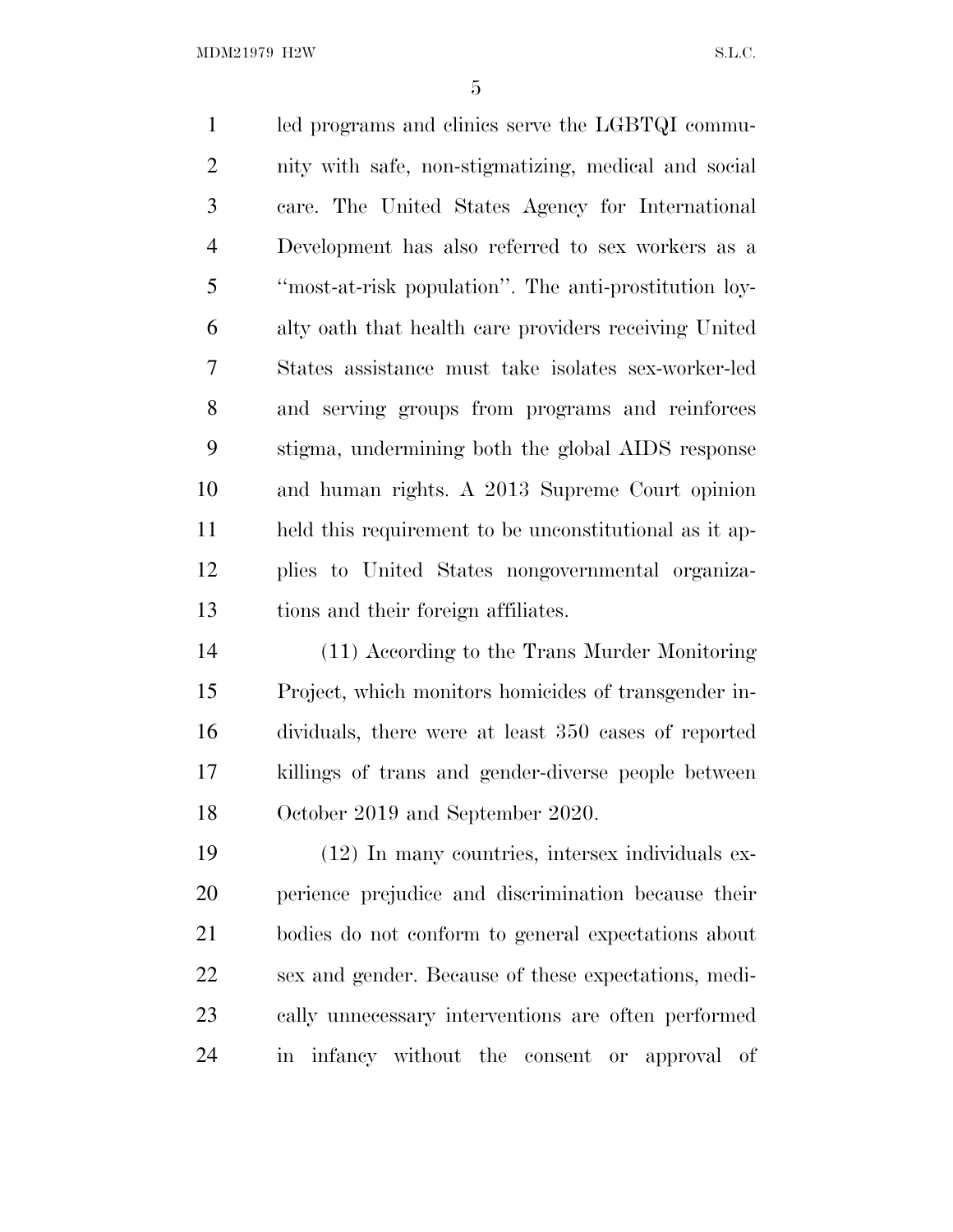MDM21979 H2W S.L.C.

 led programs and clinics serve the LGBTQI commu- nity with safe, non-stigmatizing, medical and social care. The United States Agency for International Development has also referred to sex workers as a ''most-at-risk population''. The anti-prostitution loy- alty oath that health care providers receiving United States assistance must take isolates sex-worker-led and serving groups from programs and reinforces stigma, undermining both the global AIDS response and human rights. A 2013 Supreme Court opinion held this requirement to be unconstitutional as it ap- plies to United States nongovernmental organiza- tions and their foreign affiliates. (11) According to the Trans Murder Monitoring

 Project, which monitors homicides of transgender in- dividuals, there were at least 350 cases of reported killings of trans and gender-diverse people between October 2019 and September 2020.

 (12) In many countries, intersex individuals ex- perience prejudice and discrimination because their bodies do not conform to general expectations about sex and gender. Because of these expectations, medi- cally unnecessary interventions are often performed in infancy without the consent or approval of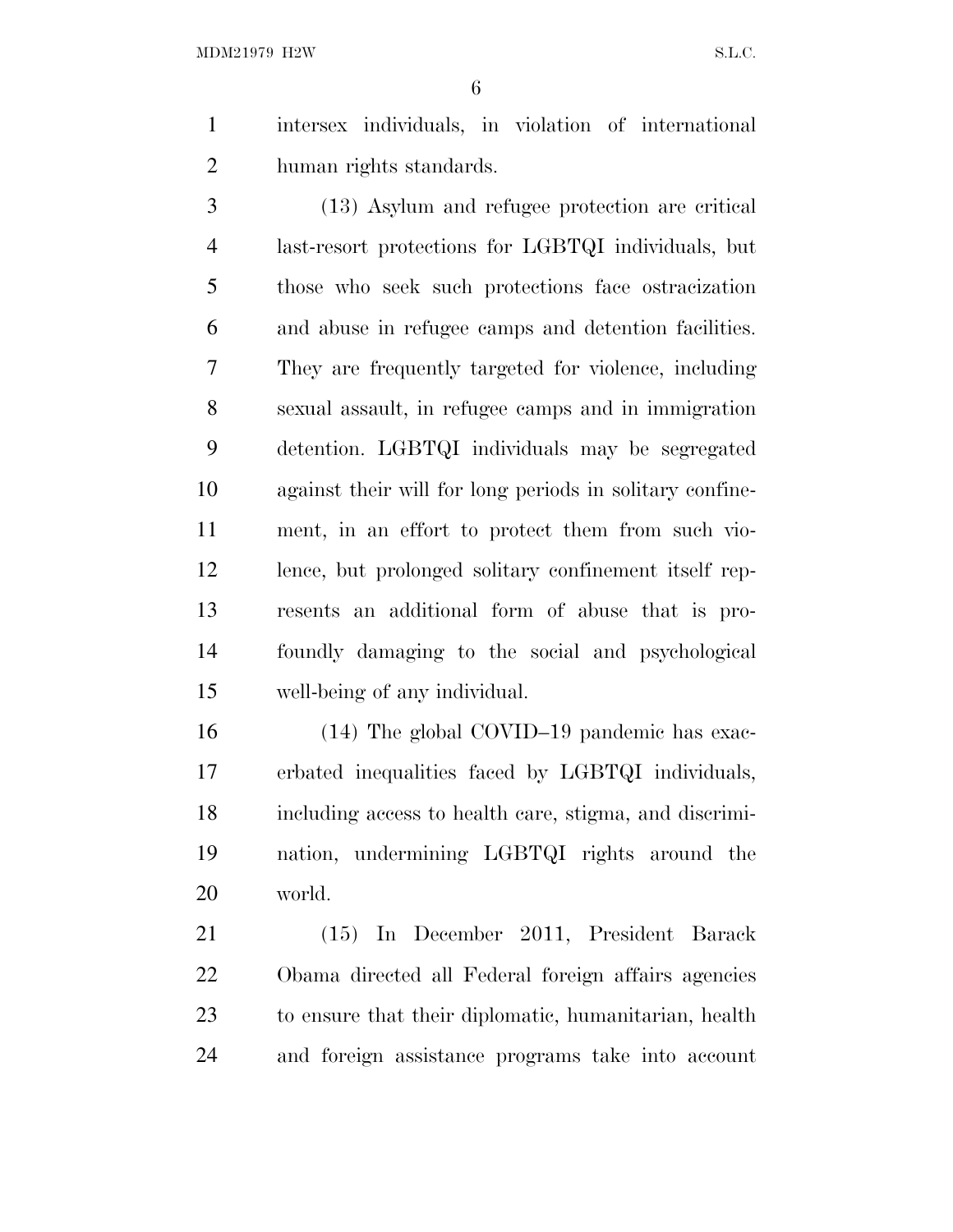intersex individuals, in violation of international human rights standards.

 (13) Asylum and refugee protection are critical last-resort protections for LGBTQI individuals, but those who seek such protections face ostracization and abuse in refugee camps and detention facilities. They are frequently targeted for violence, including sexual assault, in refugee camps and in immigration detention. LGBTQI individuals may be segregated against their will for long periods in solitary confine- ment, in an effort to protect them from such vio- lence, but prolonged solitary confinement itself rep- resents an additional form of abuse that is pro- foundly damaging to the social and psychological well-being of any individual.

 (14) The global COVID–19 pandemic has exac- erbated inequalities faced by LGBTQI individuals, including access to health care, stigma, and discrimi- nation, undermining LGBTQI rights around the world.

 (15) In December 2011, President Barack Obama directed all Federal foreign affairs agencies to ensure that their diplomatic, humanitarian, health and foreign assistance programs take into account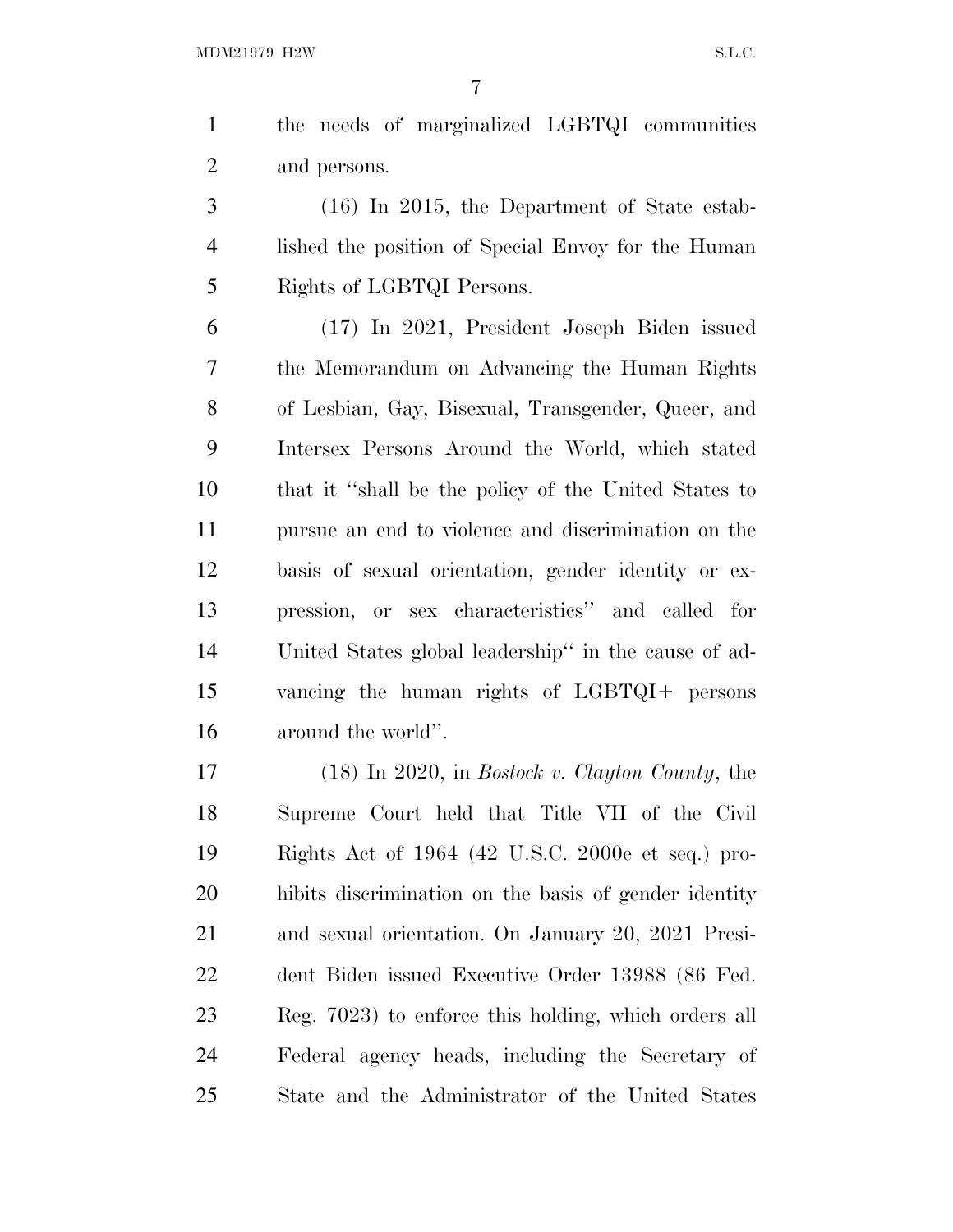the needs of marginalized LGBTQI communities and persons.

 (16) In 2015, the Department of State estab- lished the position of Special Envoy for the Human Rights of LGBTQI Persons.

 (17) In 2021, President Joseph Biden issued the Memorandum on Advancing the Human Rights of Lesbian, Gay, Bisexual, Transgender, Queer, and Intersex Persons Around the World, which stated that it ''shall be the policy of the United States to pursue an end to violence and discrimination on the basis of sexual orientation, gender identity or ex- pression, or sex characteristics'' and called for United States global leadership'' in the cause of ad- vancing the human rights of LGBTQI+ persons around the world''.

 (18) In 2020, in *Bostock v. Clayton County*, the Supreme Court held that Title VII of the Civil Rights Act of 1964 (42 U.S.C. 2000e et seq.) pro- hibits discrimination on the basis of gender identity and sexual orientation. On January 20, 2021 Presi- dent Biden issued Executive Order 13988 (86 Fed. Reg. 7023) to enforce this holding, which orders all Federal agency heads, including the Secretary of State and the Administrator of the United States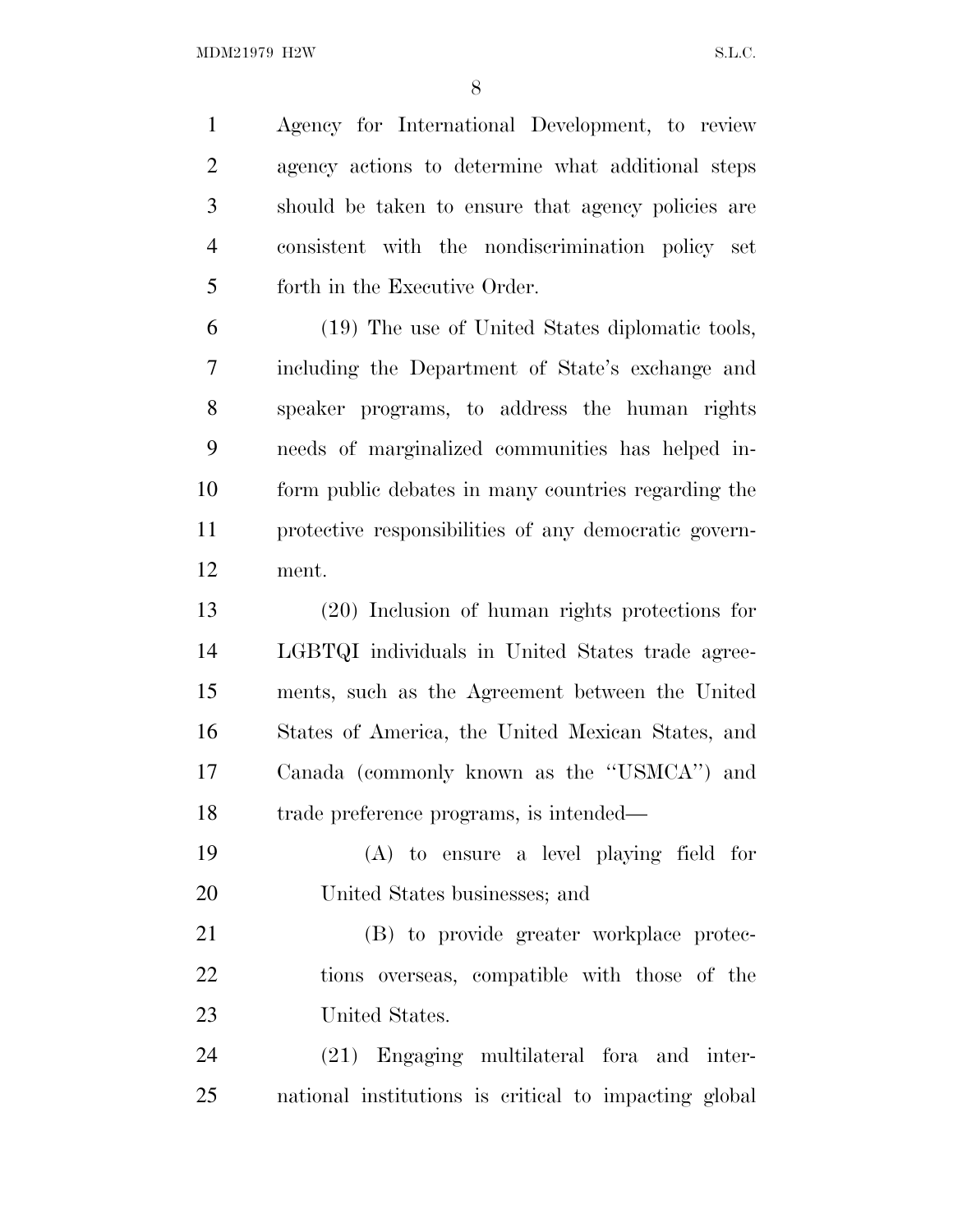Agency for International Development, to review agency actions to determine what additional steps should be taken to ensure that agency policies are consistent with the nondiscrimination policy set forth in the Executive Order.

 (19) The use of United States diplomatic tools, including the Department of State's exchange and speaker programs, to address the human rights needs of marginalized communities has helped in- form public debates in many countries regarding the protective responsibilities of any democratic govern-ment.

 (20) Inclusion of human rights protections for LGBTQI individuals in United States trade agree- ments, such as the Agreement between the United States of America, the United Mexican States, and Canada (commonly known as the ''USMCA'') and trade preference programs, is intended—

 (A) to ensure a level playing field for United States businesses; and

 (B) to provide greater workplace protec- tions overseas, compatible with those of the United States.

 (21) Engaging multilateral fora and inter-national institutions is critical to impacting global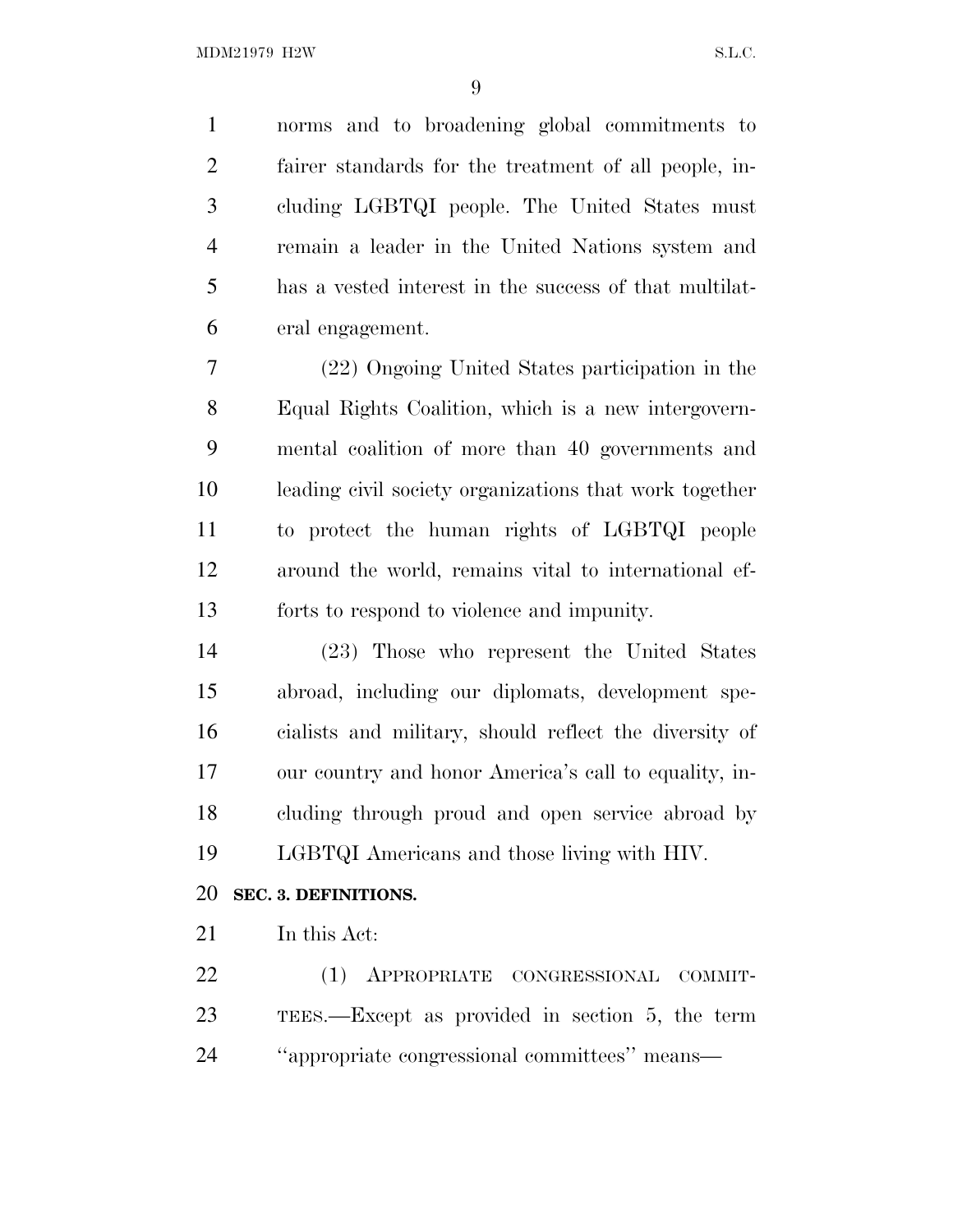norms and to broadening global commitments to fairer standards for the treatment of all people, in- cluding LGBTQI people. The United States must remain a leader in the United Nations system and has a vested interest in the success of that multilat-eral engagement.

 (22) Ongoing United States participation in the Equal Rights Coalition, which is a new intergovern- mental coalition of more than 40 governments and leading civil society organizations that work together to protect the human rights of LGBTQI people around the world, remains vital to international ef-forts to respond to violence and impunity.

 (23) Those who represent the United States abroad, including our diplomats, development spe- cialists and military, should reflect the diversity of our country and honor America's call to equality, in- cluding through proud and open service abroad by LGBTQI Americans and those living with HIV.

#### **SEC. 3. DEFINITIONS.**

In this Act:

 (1) APPROPRIATE CONGRESSIONAL COMMIT- TEES.—Except as provided in section 5, the term ''appropriate congressional committees'' means—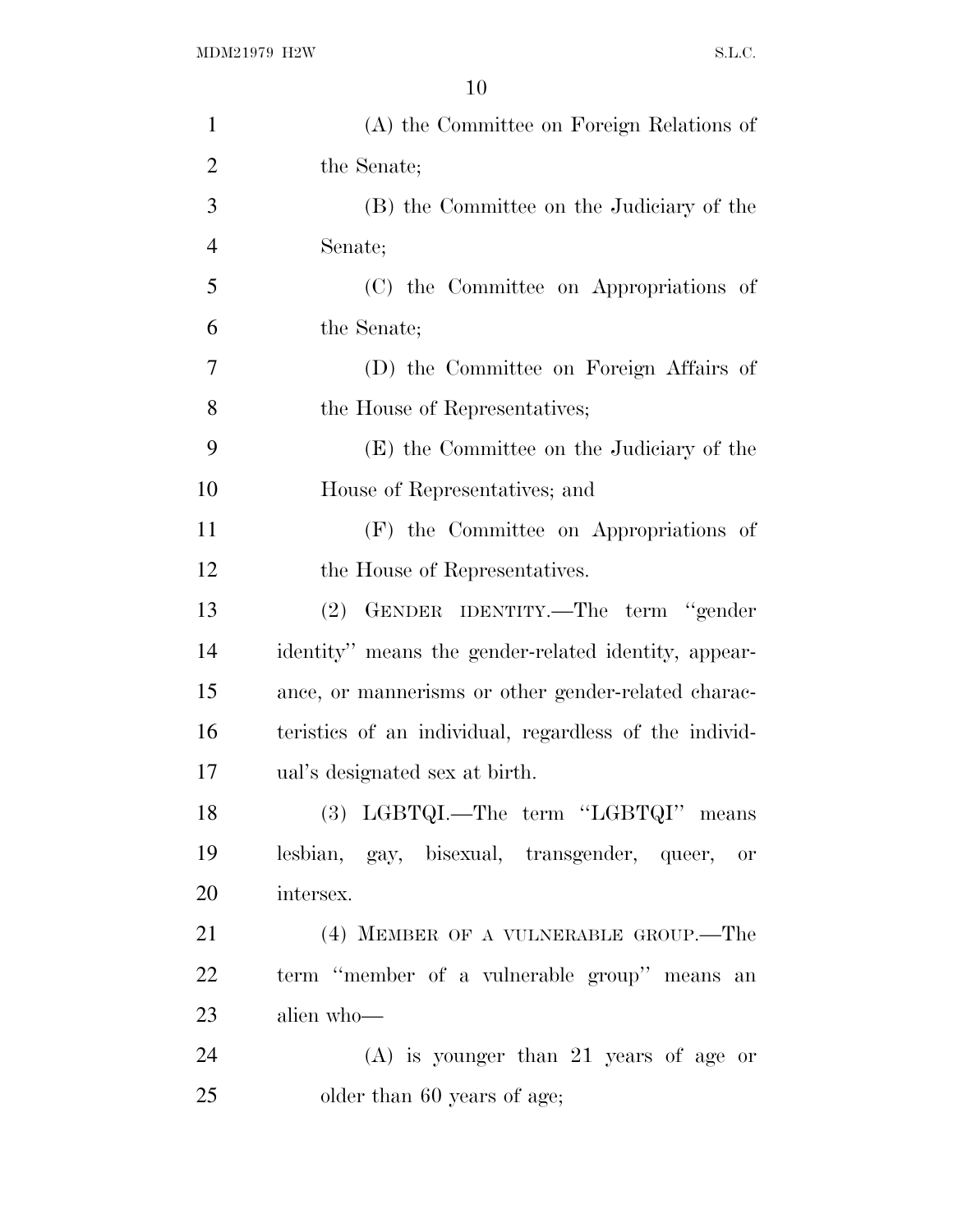| $\mathbf{1}$   | (A) the Committee on Foreign Relations of              |
|----------------|--------------------------------------------------------|
| $\overline{2}$ | the Senate;                                            |
| 3              | (B) the Committee on the Judiciary of the              |
| $\overline{4}$ | Senate;                                                |
| 5              | (C) the Committee on Appropriations of                 |
| 6              | the Senate;                                            |
| 7              | (D) the Committee on Foreign Affairs of                |
| 8              | the House of Representatives;                          |
| 9              | (E) the Committee on the Judiciary of the              |
| 10             | House of Representatives; and                          |
| 11             | (F) the Committee on Appropriations of                 |
| 12             | the House of Representatives.                          |
| 13             | (2) GENDER IDENTITY.—The term "gender                  |
| 14             | identity" means the gender-related identity, appear-   |
| 15             | ance, or mannerisms or other gender-related charac-    |
| 16             | teristics of an individual, regardless of the individ- |
| 17             | ual's designated sex at birth.                         |
| 18             | (3) LGBTQI.—The term "LGBTQI" means                    |
| 19             | lesbian, gay, bisexual, transgender, queer,<br>or      |
| 20             | intersex.                                              |
| 21             | (4) MEMBER OF A VULNERABLE GROUP.—The                  |
| 22             | term "member of a vulnerable group" means an           |
| 23             | alien who-                                             |
| 24             | $(A)$ is younger than 21 years of age or               |
| 25             | older than 60 years of age;                            |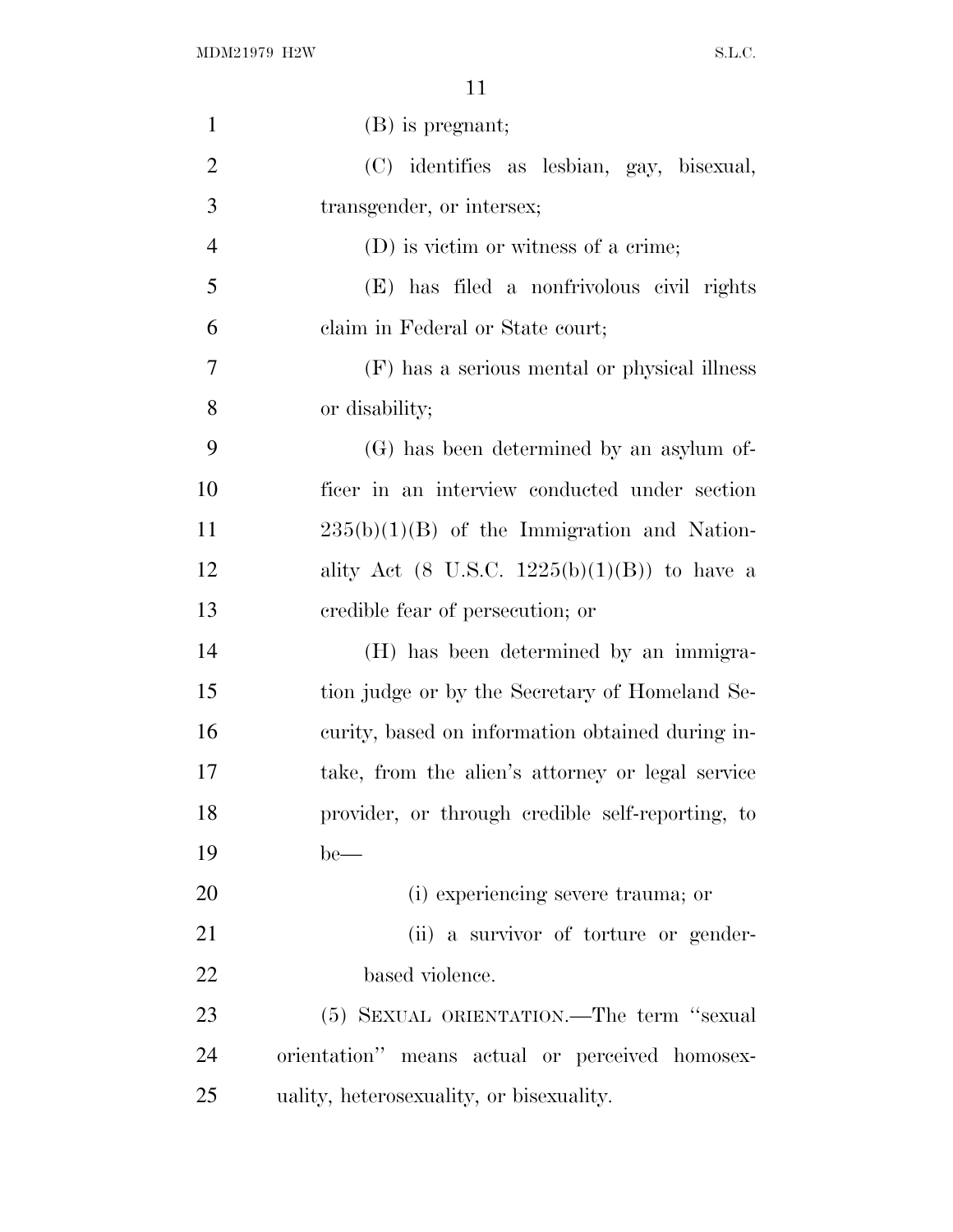| $\mathbf{1}$   | (B) is pregnant;                                 |
|----------------|--------------------------------------------------|
| $\overline{2}$ | (C) identifies as lesbian, gay, bisexual,        |
| 3              | transgender, or intersex;                        |
| $\overline{4}$ | (D) is victim or witness of a crime;             |
| 5              | (E) has filed a nonfrivolous civil rights        |
| 6              | claim in Federal or State court;                 |
| $\tau$         | (F) has a serious mental or physical illness     |
| 8              | or disability;                                   |
| 9              | (G) has been determined by an asylum of-         |
| 10             | ficer in an interview conducted under section    |
| 11             | $235(b)(1)(B)$ of the Immigration and Nation-    |
| 12             | ality Act (8 U.S.C. $1225(b)(1)(B)$ ) to have a  |
| 13             | credible fear of persecution; or                 |
| 14             | (H) has been determined by an immigra-           |
| 15             | tion judge or by the Secretary of Homeland Se-   |
| 16             | curity, based on information obtained during in- |
| 17             | take, from the alien's attorney or legal service |
| 18             | provider, or through credible self-reporting, to |
| 19             | $be$ —                                           |
| 20             | (i) experiencing severe trauma; or               |
| 21             | (ii) a survivor of torture or gender-            |
| 22             | based violence.                                  |
| 23             | (5) SEXUAL ORIENTATION.—The term "sexual         |
| 24             | orientation" means actual or perceived homosex-  |
| 25             | uality, heterosexuality, or bisexuality.         |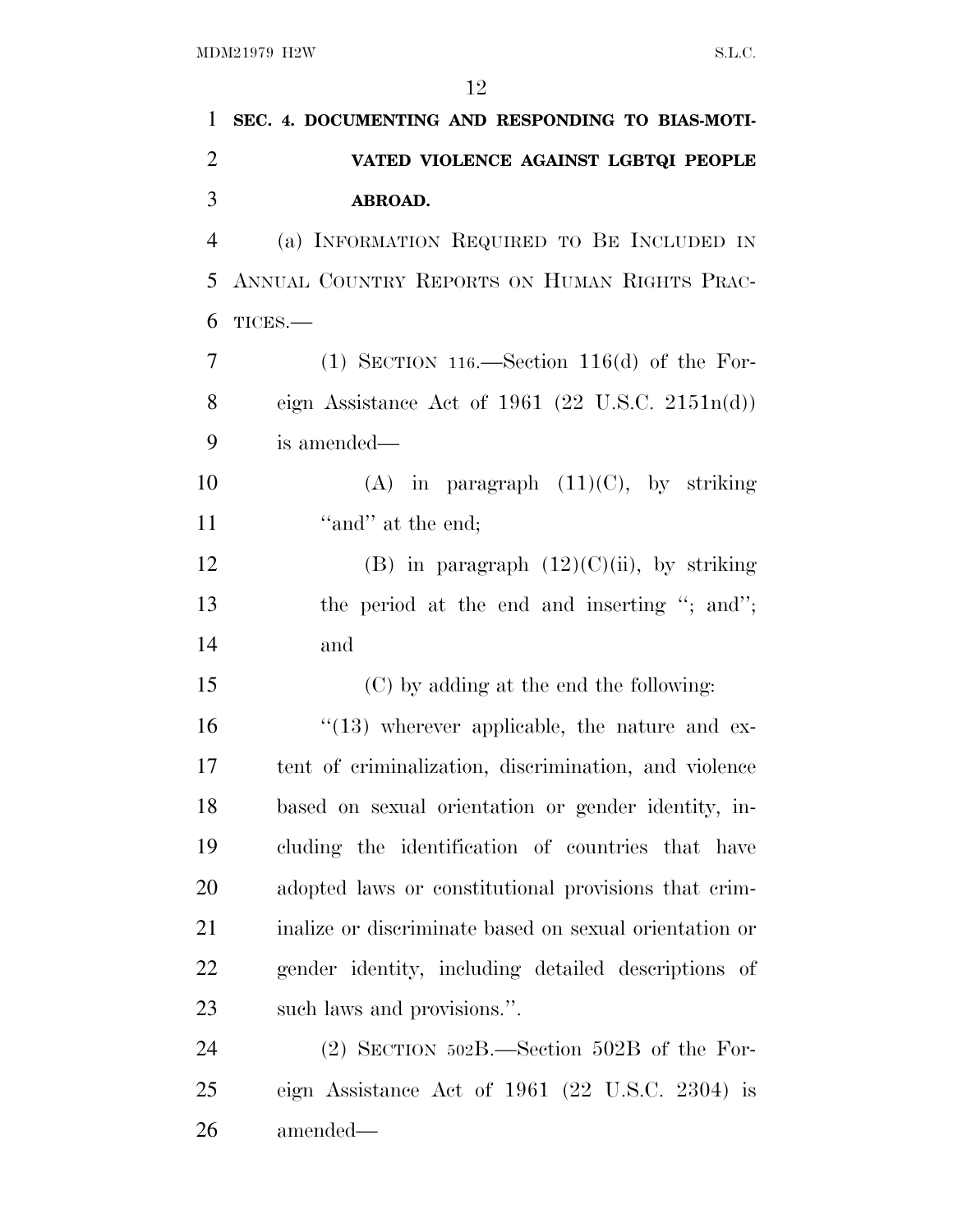| 1              | SEC. 4. DOCUMENTING AND RESPONDING TO BIAS-MOTI-       |
|----------------|--------------------------------------------------------|
| $\overline{2}$ | VATED VIOLENCE AGAINST LGBTQI PEOPLE                   |
| 3              | ABROAD.                                                |
| $\overline{4}$ | (a) INFORMATION REQUIRED TO BE INCLUDED IN             |
| 5              | ANNUAL COUNTRY REPORTS ON HUMAN RIGHTS PRAC-           |
| 6              | TICES.-                                                |
| 7              | (1) SECTION 116.—Section 116(d) of the For-            |
| 8              | eign Assistance Act of 1961 (22 U.S.C. 2151 $n(d)$ )   |
| 9              | is amended—                                            |
| 10             | (A) in paragraph $(11)(C)$ , by striking               |
| 11             | "and" at the end;                                      |
| 12             | (B) in paragraph $(12)(C)(ii)$ , by striking           |
| 13             | the period at the end and inserting "; and";           |
| 14             | and                                                    |
| 15             | (C) by adding at the end the following:                |
| 16             | $\lq(13)$ wherever applicable, the nature and ex-      |
| 17             | tent of criminalization, discrimination, and violence  |
| 18             | based on sexual orientation or gender identity, in-    |
| 19             | cluding the identification of countries that have      |
| 20             | adopted laws or constitutional provisions that crim-   |
| 21             | inalize or discriminate based on sexual orientation or |
| 22             | gender identity, including detailed descriptions of    |
| 23             | such laws and provisions.".                            |
| 24             | $(2)$ SECTION 502B.—Section 502B of the For-           |
| 25             | eign Assistance Act of $1961$ (22 U.S.C. 2304) is      |
| 26             | amended—                                               |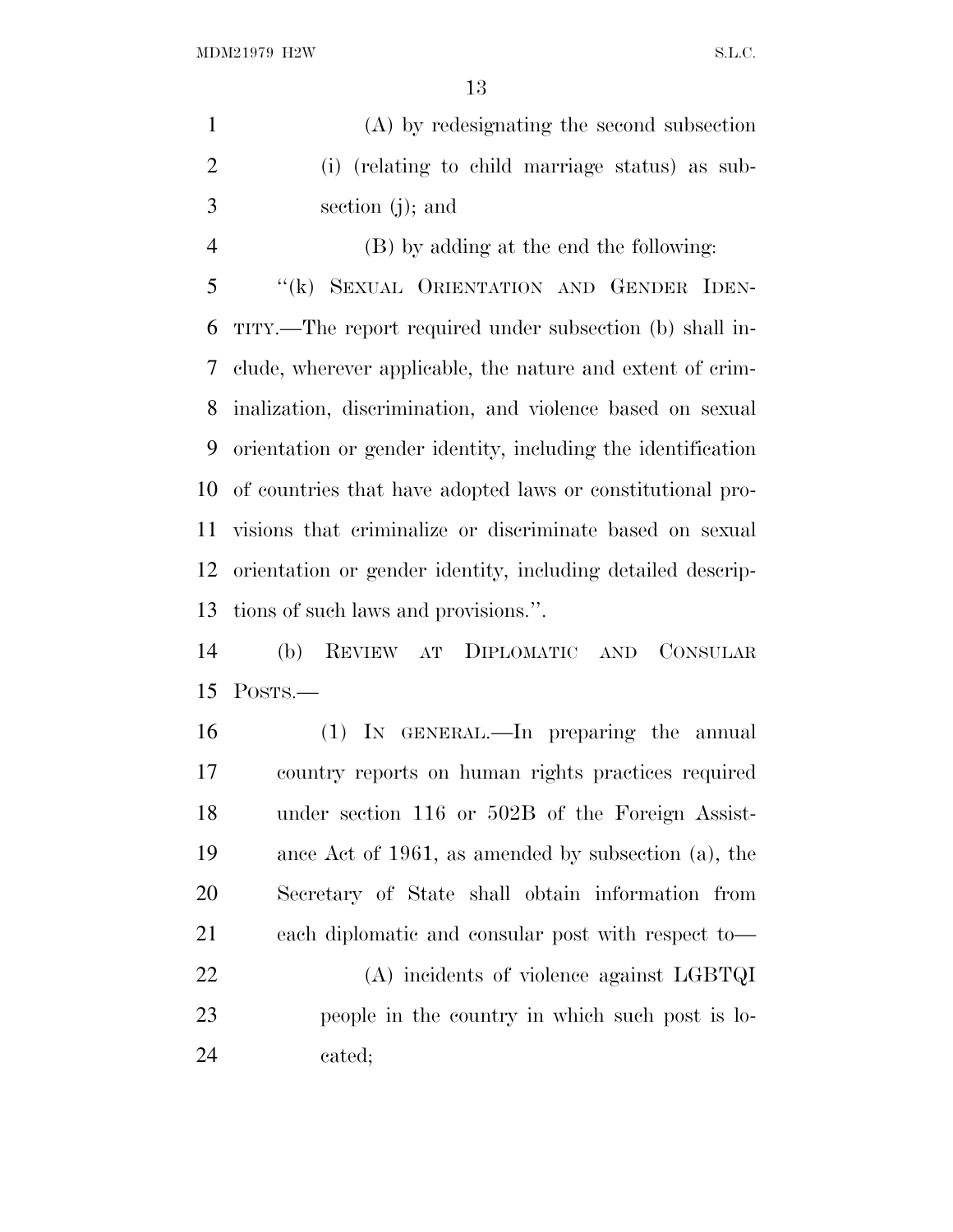(A) by redesignating the second subsection (i) (relating to child marriage status) as sub-section (j); and

 (B) by adding at the end the following: ''(k) SEXUAL ORIENTATION AND GENDER IDEN- TITY.—The report required under subsection (b) shall in- clude, wherever applicable, the nature and extent of crim- inalization, discrimination, and violence based on sexual orientation or gender identity, including the identification of countries that have adopted laws or constitutional pro- visions that criminalize or discriminate based on sexual orientation or gender identity, including detailed descrip-tions of such laws and provisions.''.

 (b) REVIEW AT DIPLOMATIC AND CONSULAR POSTS.—

 (1) IN GENERAL.—In preparing the annual country reports on human rights practices required under section 116 or 502B of the Foreign Assist- ance Act of 1961, as amended by subsection (a), the Secretary of State shall obtain information from each diplomatic and consular post with respect to—

 (A) incidents of violence against LGBTQI people in the country in which such post is lo-cated;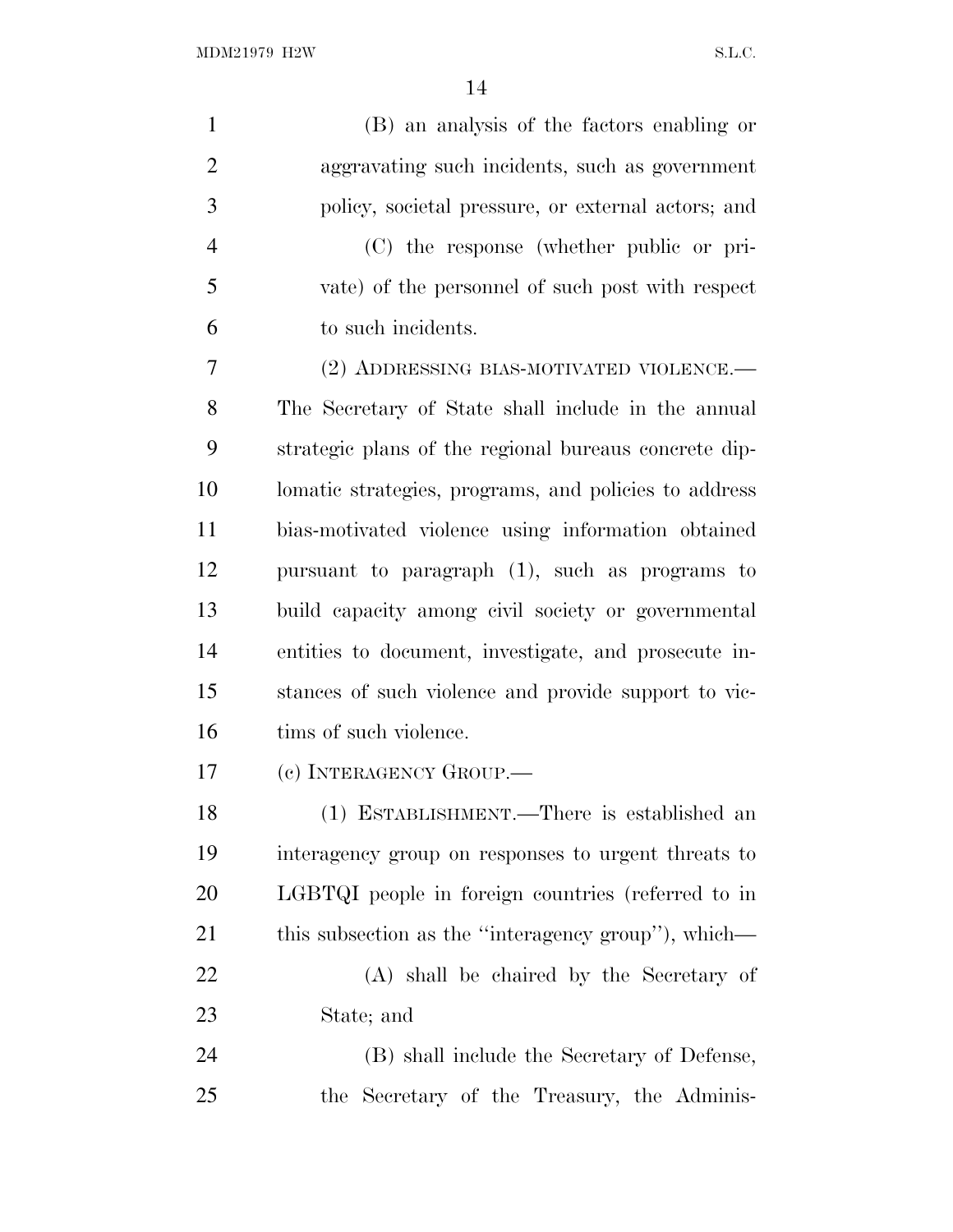| $\mathbf{1}$   | (B) an analysis of the factors enabling or            |
|----------------|-------------------------------------------------------|
| $\overline{2}$ | aggravating such incidents, such as government        |
| 3              | policy, societal pressure, or external actors; and    |
| $\overline{4}$ | (C) the response (whether public or pri-              |
| 5              | vate) of the personnel of such post with respect      |
| 6              | to such incidents.                                    |
| 7              | (2) ADDRESSING BIAS-MOTIVATED VIOLENCE.—              |
| 8              | The Secretary of State shall include in the annual    |
| 9              | strategic plans of the regional bureaus concrete dip- |
| 10             | lomatic strategies, programs, and policies to address |
| 11             | bias-motivated violence using information obtained    |
| 12             | pursuant to paragraph (1), such as programs to        |
| 13             | build capacity among civil society or governmental    |
| 14             | entities to document, investigate, and prosecute in-  |
| 15             | stances of such violence and provide support to vic-  |
| 16             | tims of such violence.                                |
| 17             | (c) INTERAGENCY GROUP.                                |
| 18             | (1) ESTABLISHMENT.—There is established an            |
| 19             | interagency group on responses to urgent threats to   |
| 20             | LGBTQI people in foreign countries (referred to in    |
| 21             | this subsection as the "interagency group"), which—   |
| 22             | (A) shall be chaired by the Secretary of              |
| 23             | State; and                                            |
| 24             | (B) shall include the Secretary of Defense,           |
| 25             | the Secretary of the Treasury, the Adminis-           |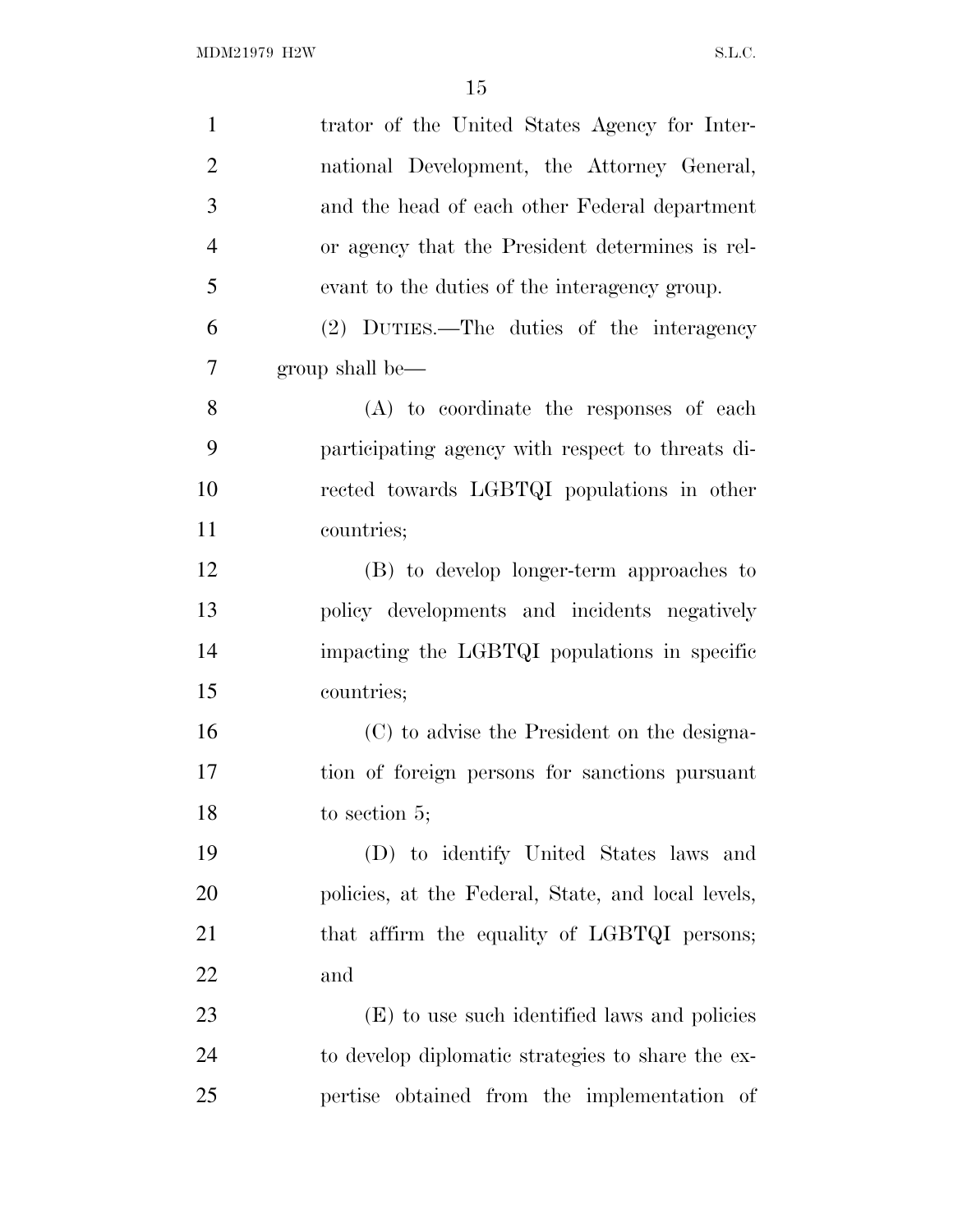| $\mathbf{1}$   | trator of the United States Agency for Inter-      |
|----------------|----------------------------------------------------|
| $\overline{2}$ | national Development, the Attorney General,        |
| 3              | and the head of each other Federal department      |
| $\overline{4}$ | or agency that the President determines is rel-    |
| 5              | evant to the duties of the interagency group.      |
| 6              | (2) DUTIES.—The duties of the interagency          |
| 7              | group shall be—                                    |
| 8              | (A) to coordinate the responses of each            |
| 9              | participating agency with respect to threats di-   |
| 10             | rected towards LGBTQI populations in other         |
| 11             | countries;                                         |
| 12             | (B) to develop longer-term approaches to           |
| 13             | policy developments and incidents negatively       |
| 14             | impacting the LGBTQI populations in specific       |
| 15             | countries;                                         |
| 16             | (C) to advise the President on the designa-        |
| 17             | tion of foreign persons for sanctions pursuant     |
| 18             | to section 5;                                      |
| 19             | (D) to identify United States laws and             |
| 20             | policies, at the Federal, State, and local levels, |
| 21             | that affirm the equality of LGBTQI persons;        |
| 22             | and                                                |
| 23             | (E) to use such identified laws and policies       |
| 24             | to develop diplomatic strategies to share the ex-  |
| 25             | pertise obtained from the implementation of        |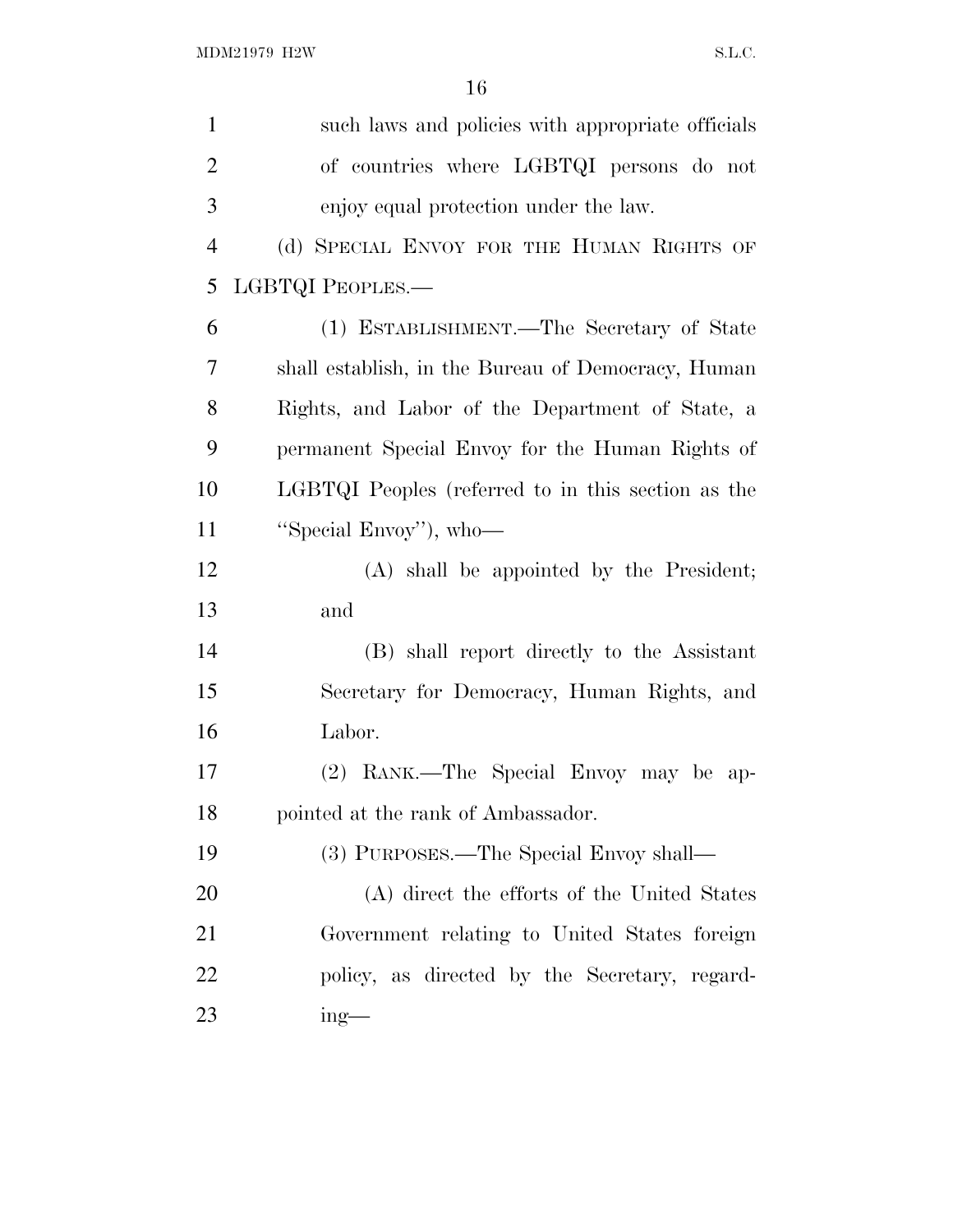| such laws and policies with appropriate officials  |
|----------------------------------------------------|
| of countries where LGBTQI persons do not           |
| enjoy equal protection under the law.              |
| (d) SPECIAL ENVOY FOR THE HUMAN RIGHTS OF          |
| LGBTQI PEOPLES.-                                   |
| (1) ESTABLISHMENT.—The Secretary of State          |
| shall establish, in the Bureau of Democracy, Human |
| Rights, and Labor of the Department of State, a    |
| permanent Special Envoy for the Human Rights of    |
| LGBTQI Peoples (referred to in this section as the |
| "Special Envoy"), who-                             |
| (A) shall be appointed by the President;           |
| and                                                |
| (B) shall report directly to the Assistant         |
| Secretary for Democracy, Human Rights, and         |
| Labor.                                             |
| (2) RANK.—The Special Envoy may be ap-             |
| pointed at the rank of Ambassador.                 |
| (3) PURPOSES.—The Special Envoy shall—             |
| (A) direct the efforts of the United States        |
| Government relating to United States foreign       |
| policy, as directed by the Secretary, regard-      |
| $ing$ —                                            |
|                                                    |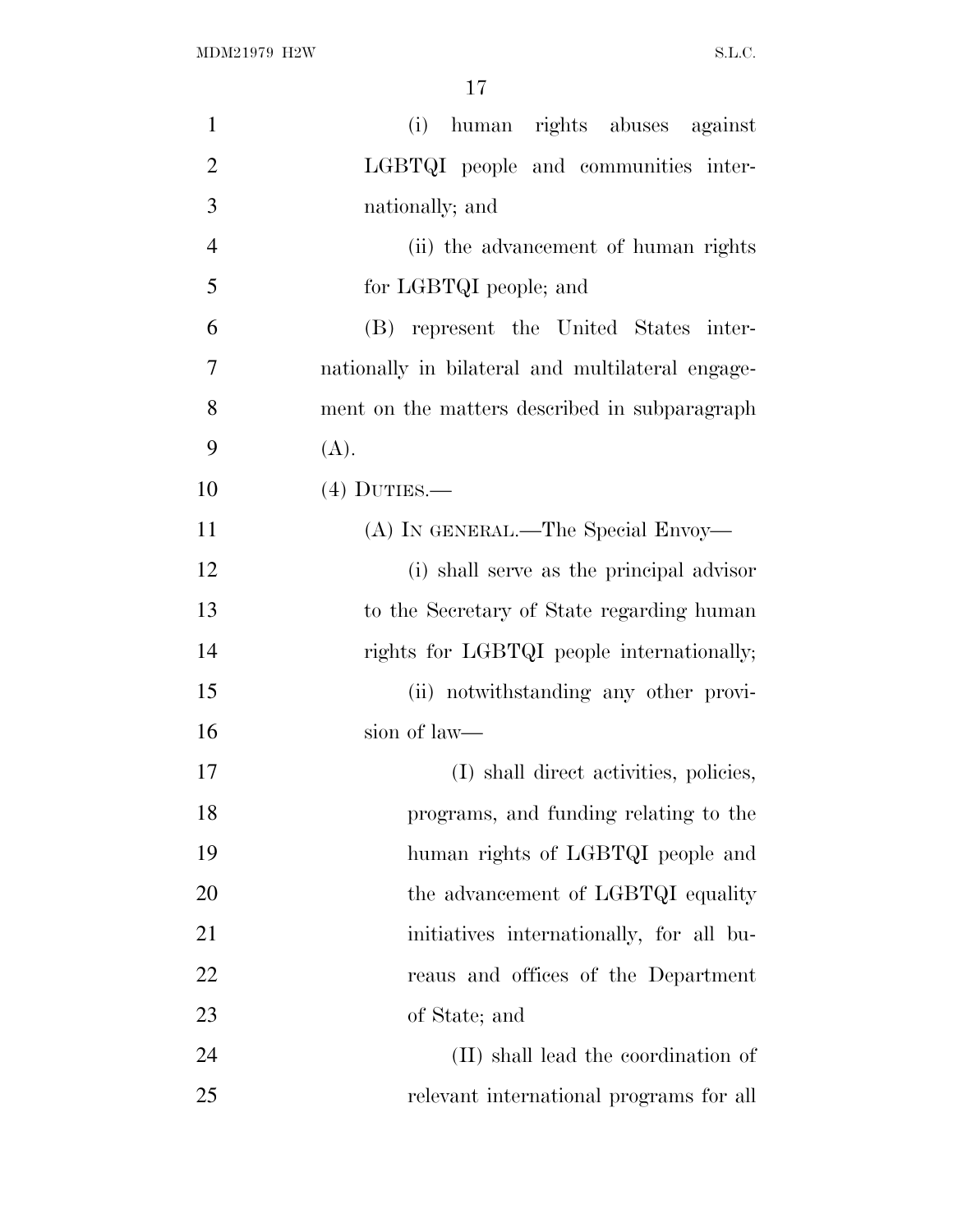| $\mathbf{1}$   | (i) human rights abuses against                  |
|----------------|--------------------------------------------------|
| $\overline{2}$ | LGBTQI people and communities inter-             |
| 3              | nationally; and                                  |
| $\overline{4}$ | (ii) the advancement of human rights             |
| 5              | for LGBTQI people; and                           |
| 6              | (B) represent the United States inter-           |
| 7              | nationally in bilateral and multilateral engage- |
| 8              | ment on the matters described in subparagraph    |
| 9              | (A).                                             |
| 10             | $(4)$ DUTIES.—                                   |
| 11             | (A) IN GENERAL.—The Special Envoy—               |
| 12             | (i) shall serve as the principal advisor         |
| 13             | to the Secretary of State regarding human        |
| 14             | rights for LGBTQI people internationally;        |
| 15             | (ii) notwithstanding any other provi-            |
| 16             | sion of law—                                     |
| 17             | (I) shall direct activities, policies,           |
| 18             | programs, and funding relating to the            |
| 19             | human rights of LGBTQI people and                |
| 20             | the advancement of LGBTQI equality               |
| 21             | initiatives internationally, for all bu-         |
| 22             | reaus and offices of the Department              |
| 23             | of State; and                                    |
| 24             | (II) shall lead the coordination of              |
| 25             | relevant international programs for all          |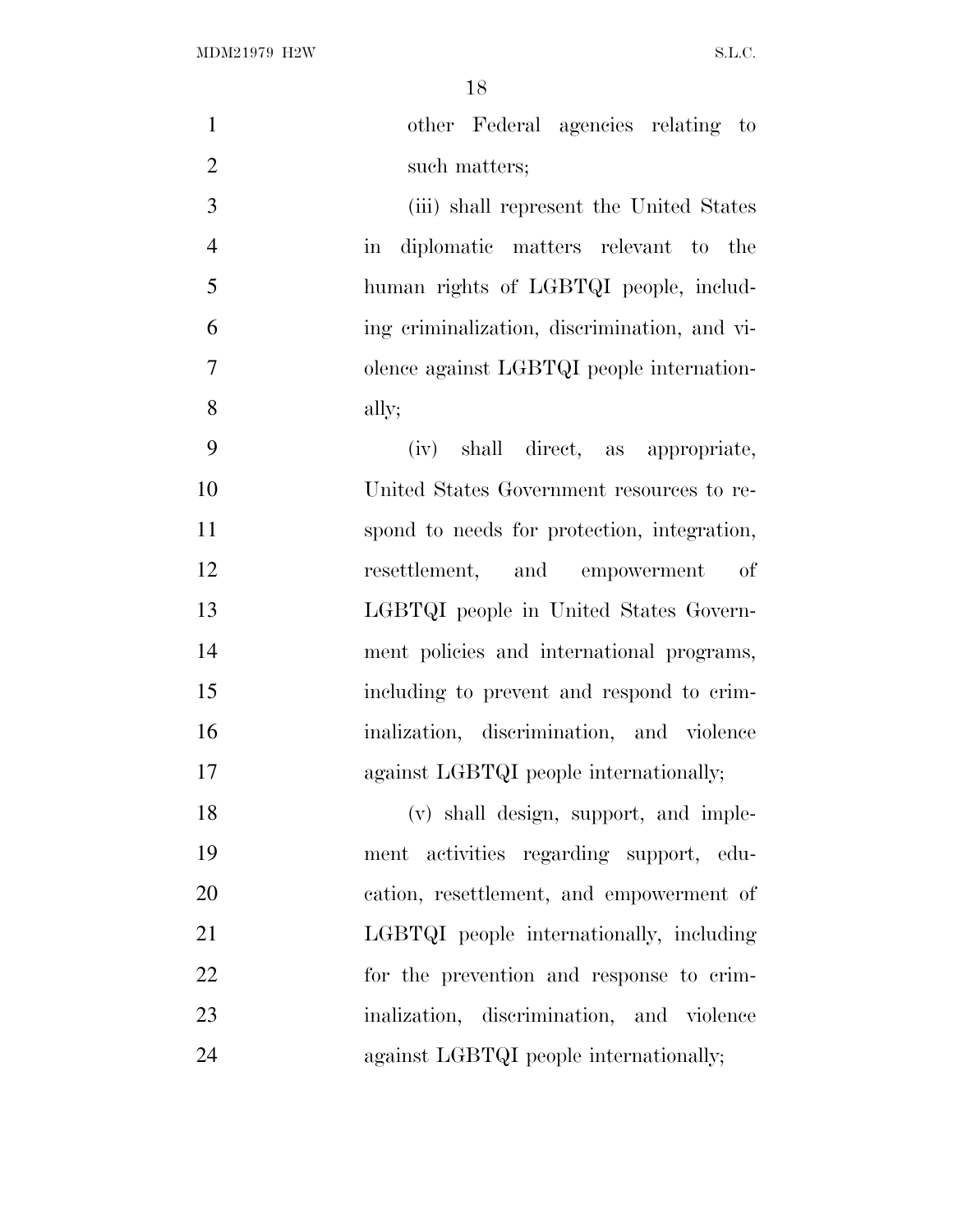$\rm MDM21979\ H2W \rm \qquad S.L.C.$ 

| $\mathbf{1}$   | other Federal agencies relating to                        |
|----------------|-----------------------------------------------------------|
| $\overline{2}$ | such matters;                                             |
| 3              | (iii) shall represent the United States                   |
| $\overline{4}$ | diplomatic matters relevant to the<br>$\operatorname{in}$ |
| 5              | human rights of LGBTQI people, includ-                    |
| 6              | ing criminalization, discrimination, and vi-              |
| $\tau$         | olence against LGBTQI people internation-                 |
| 8              | ally;                                                     |
| 9              | (iv) shall direct, as appropriate,                        |
| 10             | United States Government resources to re-                 |
| 11             | spond to needs for protection, integration,               |
| 12             | resettlement, and empowerment<br>of                       |
| 13             | LGBTQI people in United States Govern-                    |
| 14             | ment policies and international programs,                 |
| 15             | including to prevent and respond to crim-                 |
| 16             | inalization, discrimination, and violence                 |
| 17             | against LGBTQI people internationally;                    |
| 18             | (v) shall design, support, and imple-                     |
| 19             | ment activities regarding support, edu-                   |
| 20             | cation, resettlement, and empowerment of                  |
| 21             | LGBTQI people internationally, including                  |
| 22             | for the prevention and response to crim-                  |
| 23             | inalization, discrimination, and violence                 |
| 24             | against LGBTQI people internationally;                    |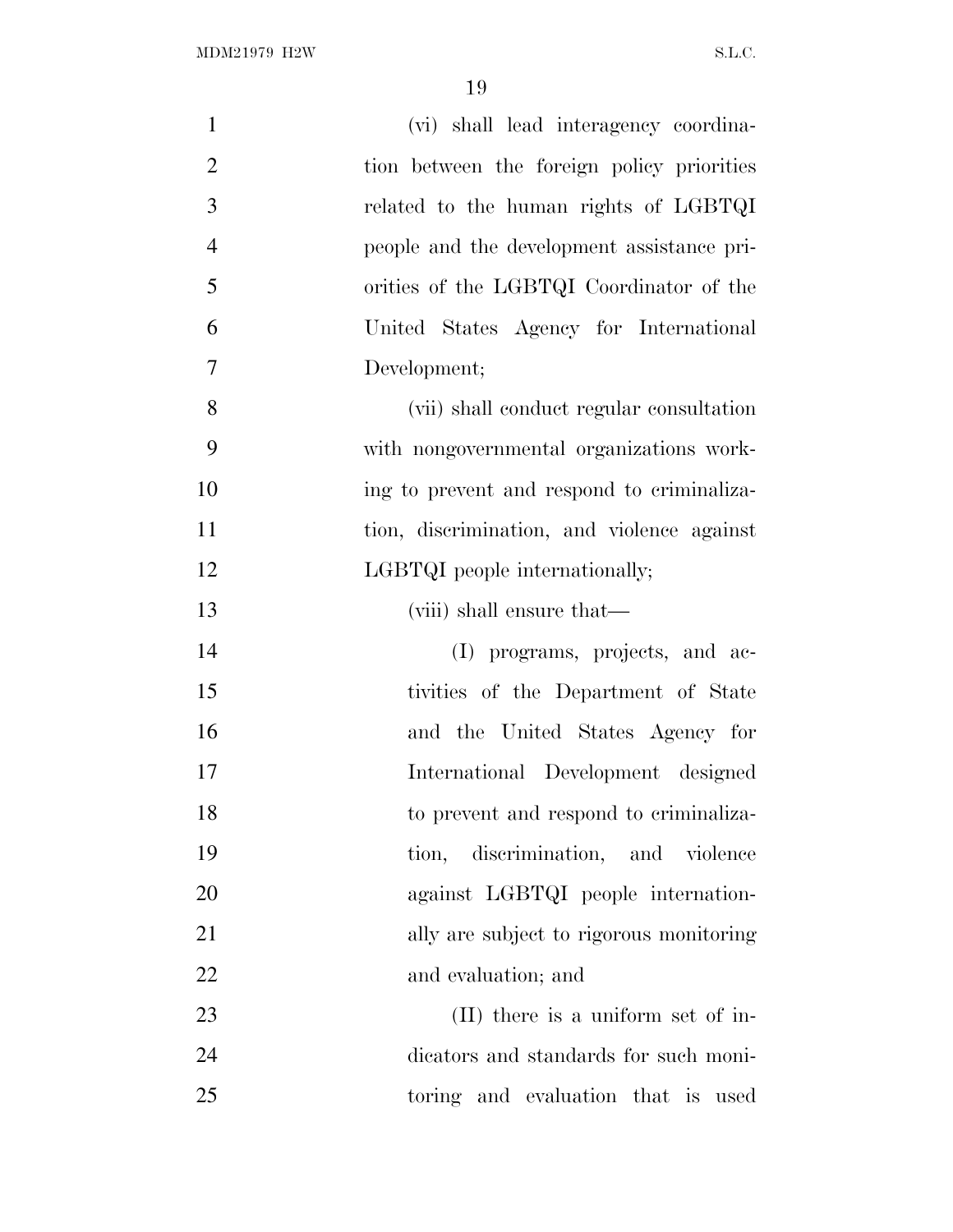| $\mathbf{1}$   | (vi) shall lead interagency coordina-      |
|----------------|--------------------------------------------|
| $\overline{2}$ | tion between the foreign policy priorities |
| 3              | related to the human rights of LGBTQI      |
| $\overline{4}$ | people and the development assistance pri- |
| 5              | orities of the LGBTQI Coordinator of the   |
| 6              | United States Agency for International     |
| 7              | Development;                               |
| 8              | (vii) shall conduct regular consultation   |
| 9              | with nongovernmental organizations work-   |
| 10             | ing to prevent and respond to criminaliza- |
| 11             | tion, discrimination, and violence against |
| 12             | LGBTQI people internationally;             |
| 13             | (viii) shall ensure that—                  |
| 14             | (I) programs, projects, and ac-            |
| 15             | tivities of the Department of State        |
| 16             | and the United States Agency for           |
| 17             | International Development designed         |
| 18             | to prevent and respond to criminaliza-     |
| 19             | tion, discrimination, and violence         |
| 20             | against LGBTQI people internation-         |
| 21             | ally are subject to rigorous monitoring    |
| 22             | and evaluation; and                        |
| 23             | (II) there is a uniform set of in-         |
| 24             | dicators and standards for such moni-      |
| 25             | toring and evaluation that is used         |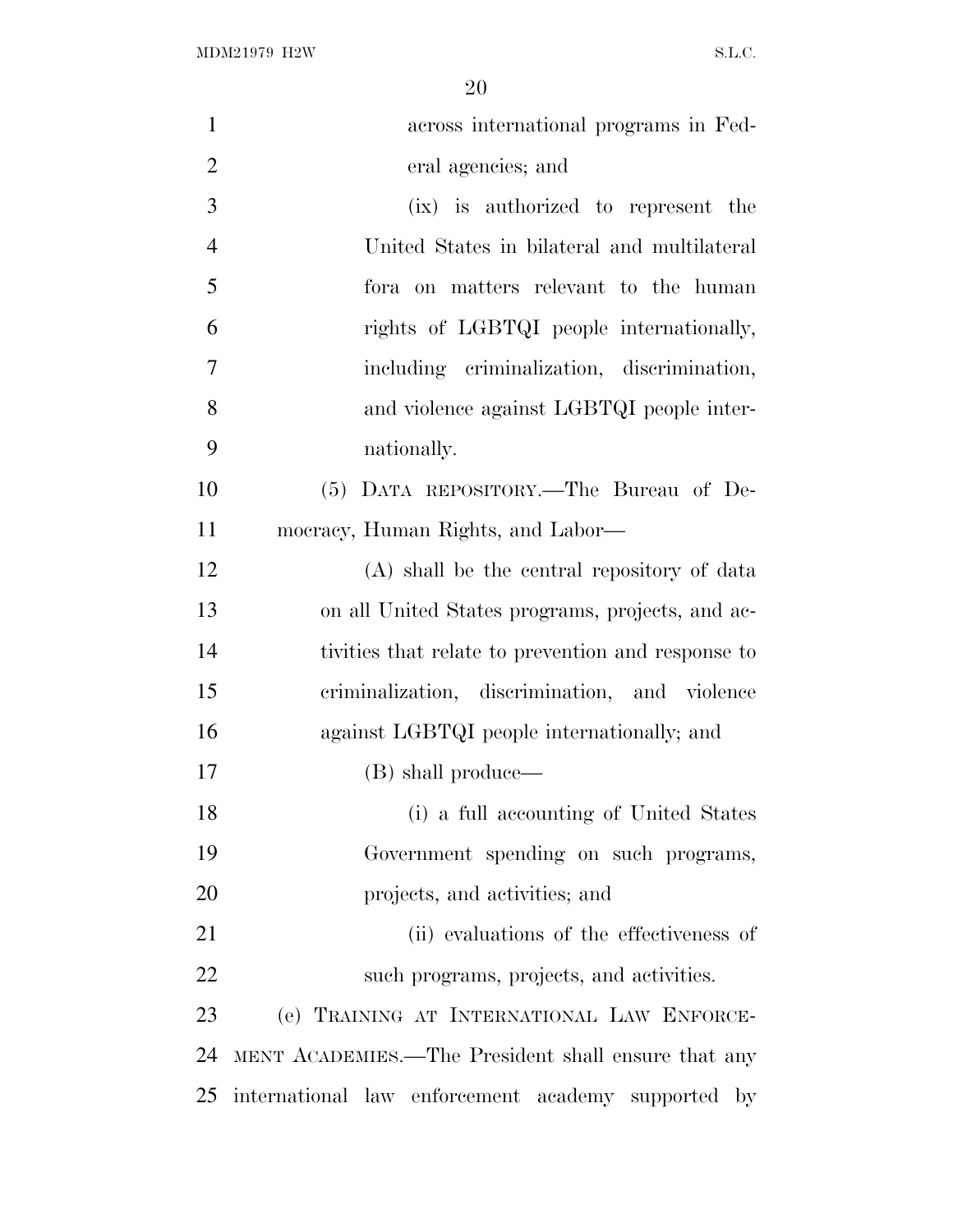$\rm MDM21979\ H2W \rm \qquad S.L.C.$ 

| $\mathbf{1}$   | across international programs in Fed-               |
|----------------|-----------------------------------------------------|
| $\overline{2}$ | eral agencies; and                                  |
| 3              | (ix) is authorized to represent the                 |
| $\overline{4}$ | United States in bilateral and multilateral         |
| 5              | for aon matters relevant to the human               |
| 6              | rights of LGBTQI people internationally,            |
| 7              | including criminalization, discrimination,          |
| 8              | and violence against LGBTQI people inter-           |
| 9              | nationally.                                         |
| 10             | (5) DATA REPOSITORY.—The Bureau of De-              |
| 11             | mocracy, Human Rights, and Labor—                   |
| 12             | (A) shall be the central repository of data         |
| 13             | on all United States programs, projects, and ac-    |
| 14             | tivities that relate to prevention and response to  |
| 15             | criminalization, discrimination, and violence       |
| 16             | against LGBTQI people internationally; and          |
| 17             | (B) shall produce—                                  |
| 18             | (i) a full accounting of United States              |
| 19             | Government spending on such programs,               |
| 20             | projects, and activities; and                       |
| 21             | (ii) evaluations of the effectiveness of            |
| 22             | such programs, projects, and activities.            |
| 23             | (e) TRAINING AT INTERNATIONAL LAW ENFORCE-          |
| 24             | MENT ACADEMIES.—The President shall ensure that any |
| 25             | international law enforcement academy supported by  |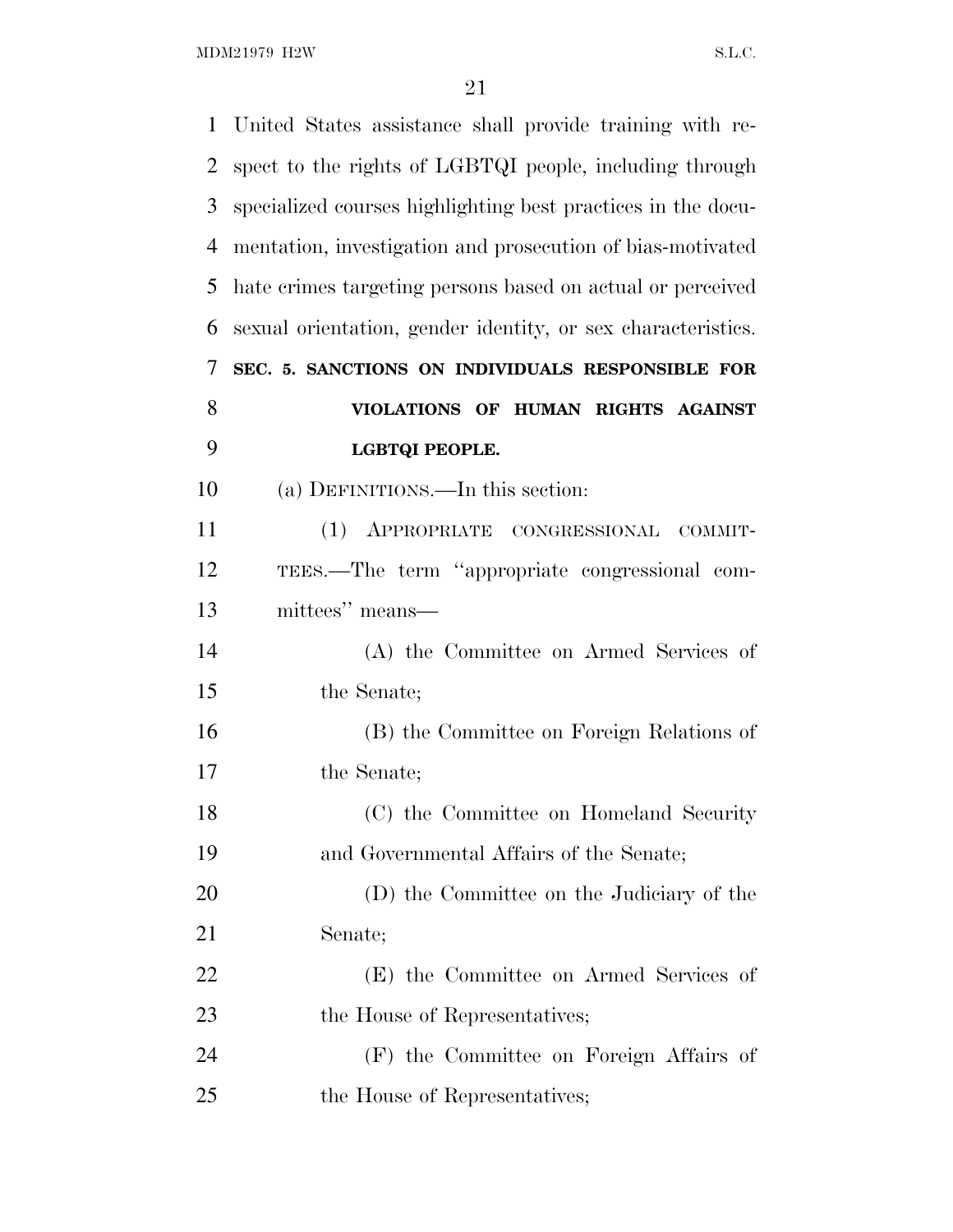$\rm MDM21979\ H2W \rm \qquad S.L.C.$ 

| $\mathbf{1}$ | United States assistance shall provide training with re-     |
|--------------|--------------------------------------------------------------|
| 2            | spect to the rights of LGBTQI people, including through      |
| 3            | specialized courses highlighting best practices in the docu- |
| 4            | mentation, investigation and prosecution of bias-motivated   |
| 5            | hate crimes targeting persons based on actual or perceived   |
| 6            | sexual orientation, gender identity, or sex characteristics. |
| 7            | SEC. 5. SANCTIONS ON INDIVIDUALS RESPONSIBLE FOR             |
| 8            | VIOLATIONS OF HUMAN RIGHTS AGAINST                           |
| 9            | LGBTQI PEOPLE.                                               |
| 10           | (a) DEFINITIONS.—In this section:                            |
| 11           | (1) APPROPRIATE CONGRESSIONAL<br>COMMIT-                     |
| 12           | TEES.—The term "appropriate congressional com-               |
| 13           | mittees" means—                                              |
| 14           | (A) the Committee on Armed Services of                       |
| 15           | the Senate;                                                  |
| 16           | (B) the Committee on Foreign Relations of                    |
| 17           | the Senate;                                                  |
| 18           | (C) the Committee on Homeland Security                       |
| 19           | and Governmental Affairs of the Senate;                      |
| 20           | (D) the Committee on the Judiciary of the                    |
| 21           | Senate;                                                      |
| 22           | (E) the Committee on Armed Services of                       |
| 23           | the House of Representatives;                                |
| 24           | (F) the Committee on Foreign Affairs of                      |
| 25           | the House of Representatives;                                |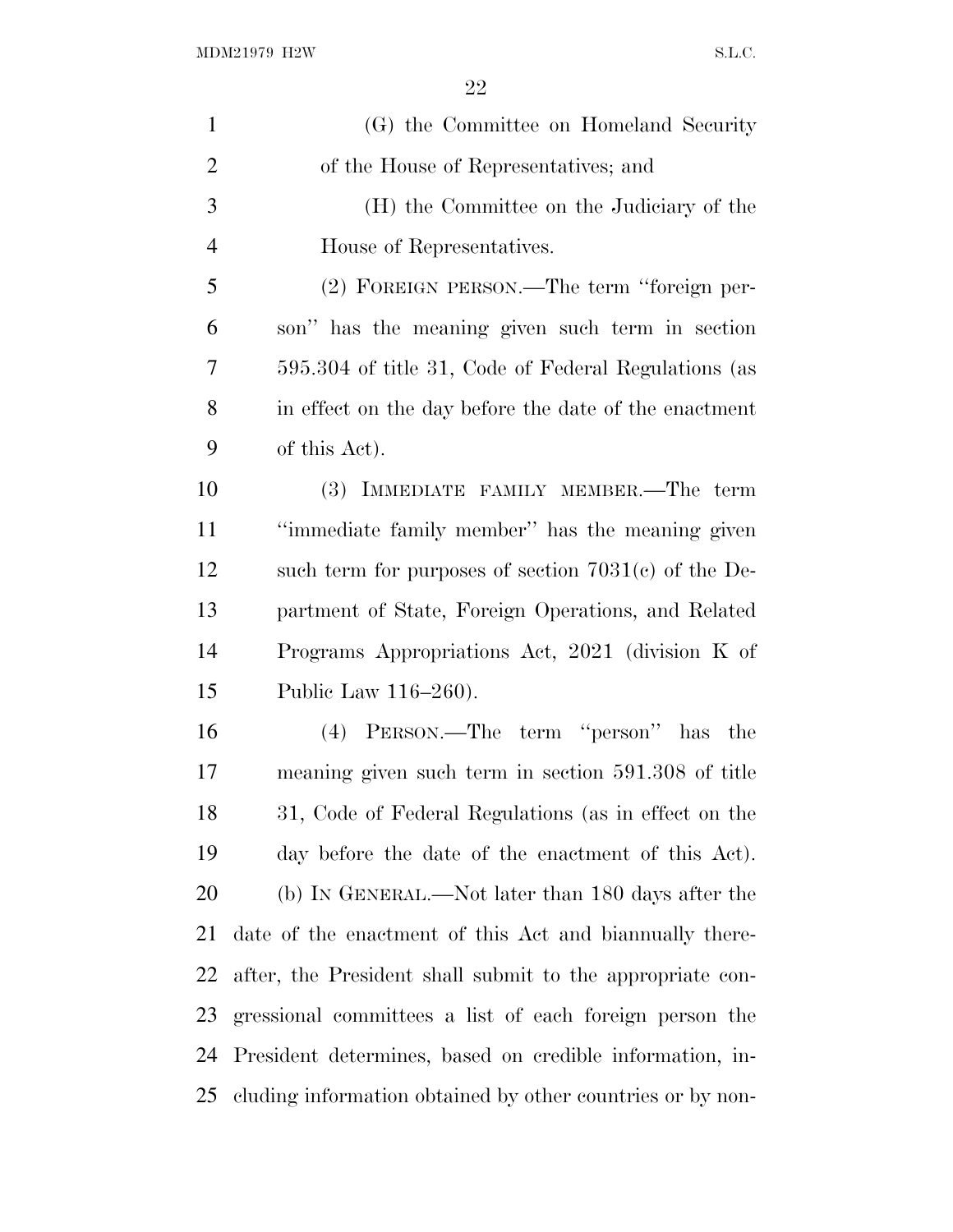| $\mathbf{1}$   | (G) the Committee on Homeland Security                     |
|----------------|------------------------------------------------------------|
| $\overline{2}$ | of the House of Representatives; and                       |
| 3              | (H) the Committee on the Judiciary of the                  |
| $\overline{4}$ | House of Representatives.                                  |
| 5              | (2) FOREIGN PERSON.—The term "foreign per-                 |
| 6              | son" has the meaning given such term in section            |
| 7              | 595.304 of title 31, Code of Federal Regulations (as       |
| 8              | in effect on the day before the date of the enactment      |
| 9              | of this Act).                                              |
| 10             | (3) IMMEDIATE FAMILY MEMBER.—The term                      |
| 11             | "immediate family member" has the meaning given            |
| 12             | such term for purposes of section $7031(c)$ of the De-     |
| 13             | partment of State, Foreign Operations, and Related         |
| 14             | Programs Appropriations Act, 2021 (division K of           |
| 15             | Public Law 116–260).                                       |
| 16             | (4) PERSON.—The term "person" has the                      |
| 17             | meaning given such term in section 591.308 of title        |
| 18             | 31, Code of Federal Regulations (as in effect on the       |
| 19             | day before the date of the enactment of this Act).         |
| 20             | (b) IN GENERAL.—Not later than 180 days after the          |
| 21             | date of the enactment of this Act and biannually there-    |
| 22             | after, the President shall submit to the appropriate con-  |
| 23             | gressional committees a list of each foreign person the    |
| 24             | President determines, based on credible information, in-   |
| 25             | cluding information obtained by other countries or by non- |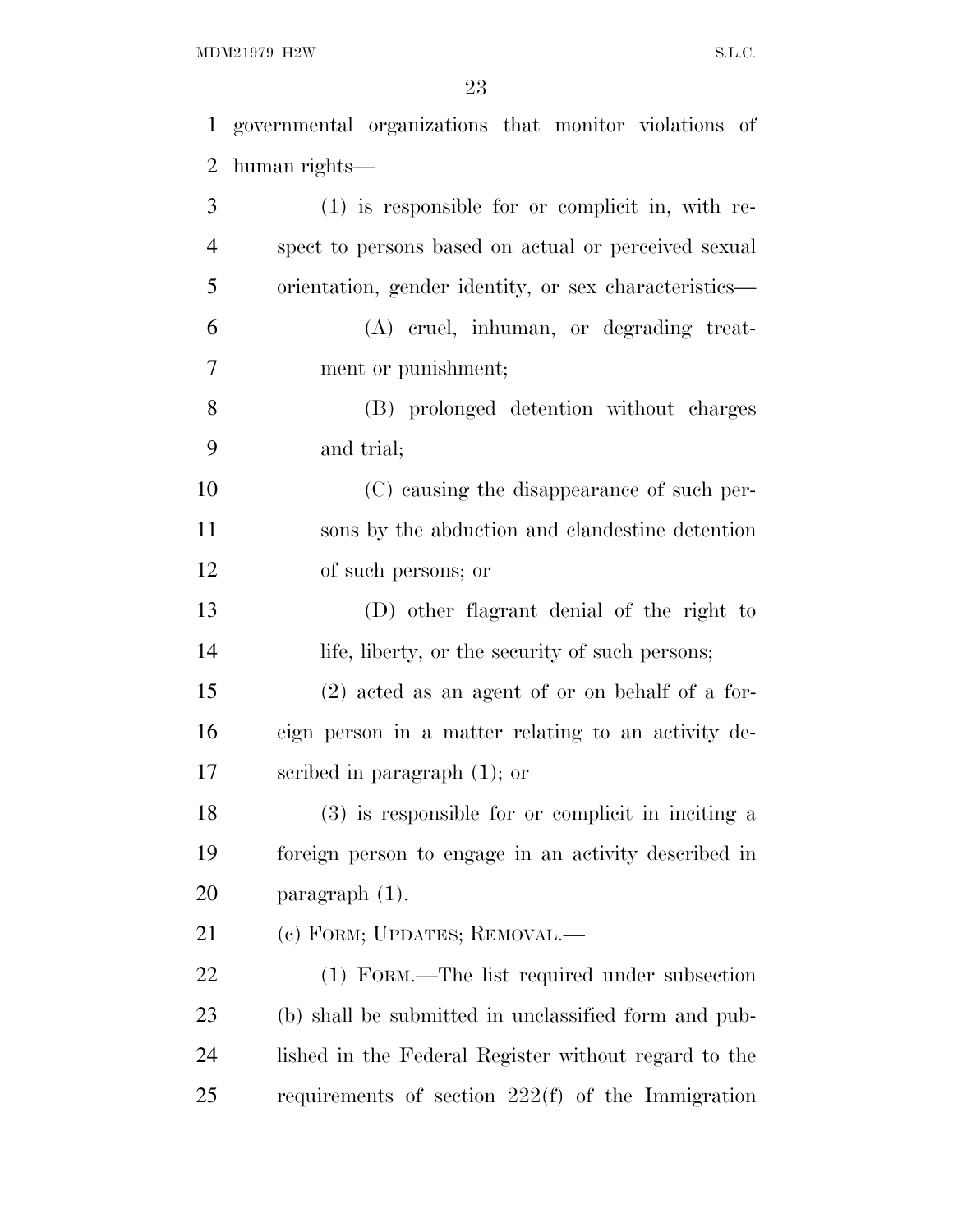MDM21979 H2W S.L.C.

governmental organizations that monitor violations of

 human rights— (1) is responsible for or complicit in, with re- spect to persons based on actual or perceived sexual orientation, gender identity, or sex characteristics— (A) cruel, inhuman, or degrading treat- ment or punishment; (B) prolonged detention without charges and trial; (C) causing the disappearance of such per- sons by the abduction and clandestine detention of such persons; or (D) other flagrant denial of the right to life, liberty, or the security of such persons; (2) acted as an agent of or on behalf of a for- eign person in a matter relating to an activity de- scribed in paragraph (1); or (3) is responsible for or complicit in inciting a foreign person to engage in an activity described in paragraph (1). (c) FORM; UPDATES; REMOVAL.— (1) FORM.—The list required under subsection (b) shall be submitted in unclassified form and pub- lished in the Federal Register without regard to the requirements of section 222(f) of the Immigration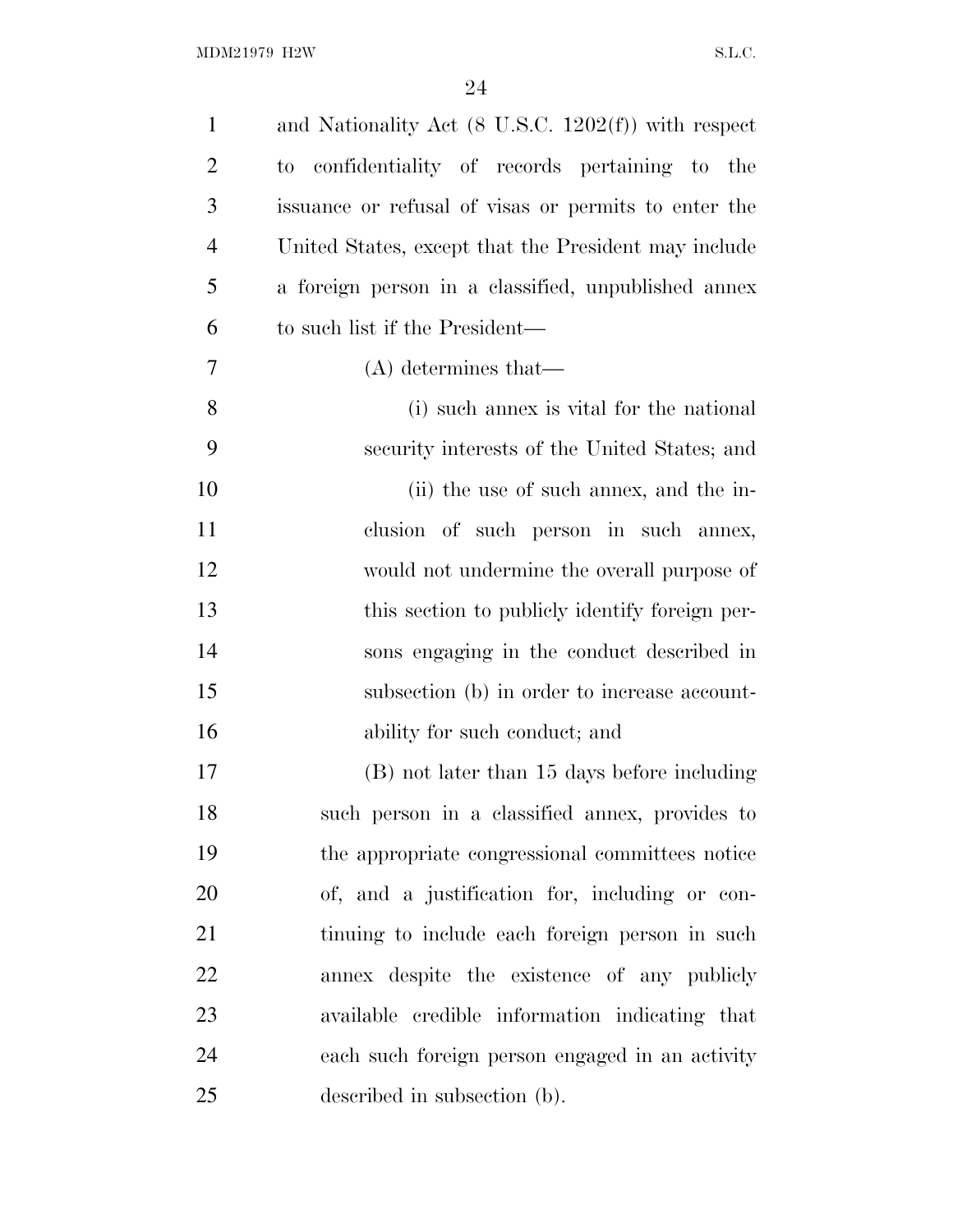| $\mathbf{1}$   | and Nationality Act $(8 \text{ U.S.C. } 1202(f))$ with respect |
|----------------|----------------------------------------------------------------|
| $\overline{2}$ | to confidentiality of records pertaining to the                |
| 3              | issuance or refusal of visas or permits to enter the           |
| $\overline{4}$ | United States, except that the President may include           |
| 5              | a foreign person in a classified, unpublished annex            |
| 6              | to such list if the President—                                 |
| $\overline{7}$ | $(A)$ determines that—                                         |
| 8              | (i) such annex is vital for the national                       |
| 9              | security interests of the United States; and                   |
| 10             | (ii) the use of such annex, and the in-                        |
| 11             | clusion of such person in such annex,                          |
| 12             | would not undermine the overall purpose of                     |
| 13             | this section to publicly identify foreign per-                 |
| 14             | sons engaging in the conduct described in                      |
| 15             | subsection (b) in order to increase account-                   |
| 16             | ability for such conduct; and                                  |
| 17             | (B) not later than 15 days before including                    |
| 18             | such person in a classified annex, provides to                 |
| 19             | the appropriate congressional committees notice                |
| 20             | of, and a justification for, including or con-                 |
| 21             | tinuing to include each foreign person in such                 |
| 22             | annex despite the existence of any publicly                    |
| 23             | available credible information indicating that                 |
| 24             | each such foreign person engaged in an activity                |
| 25             | described in subsection (b).                                   |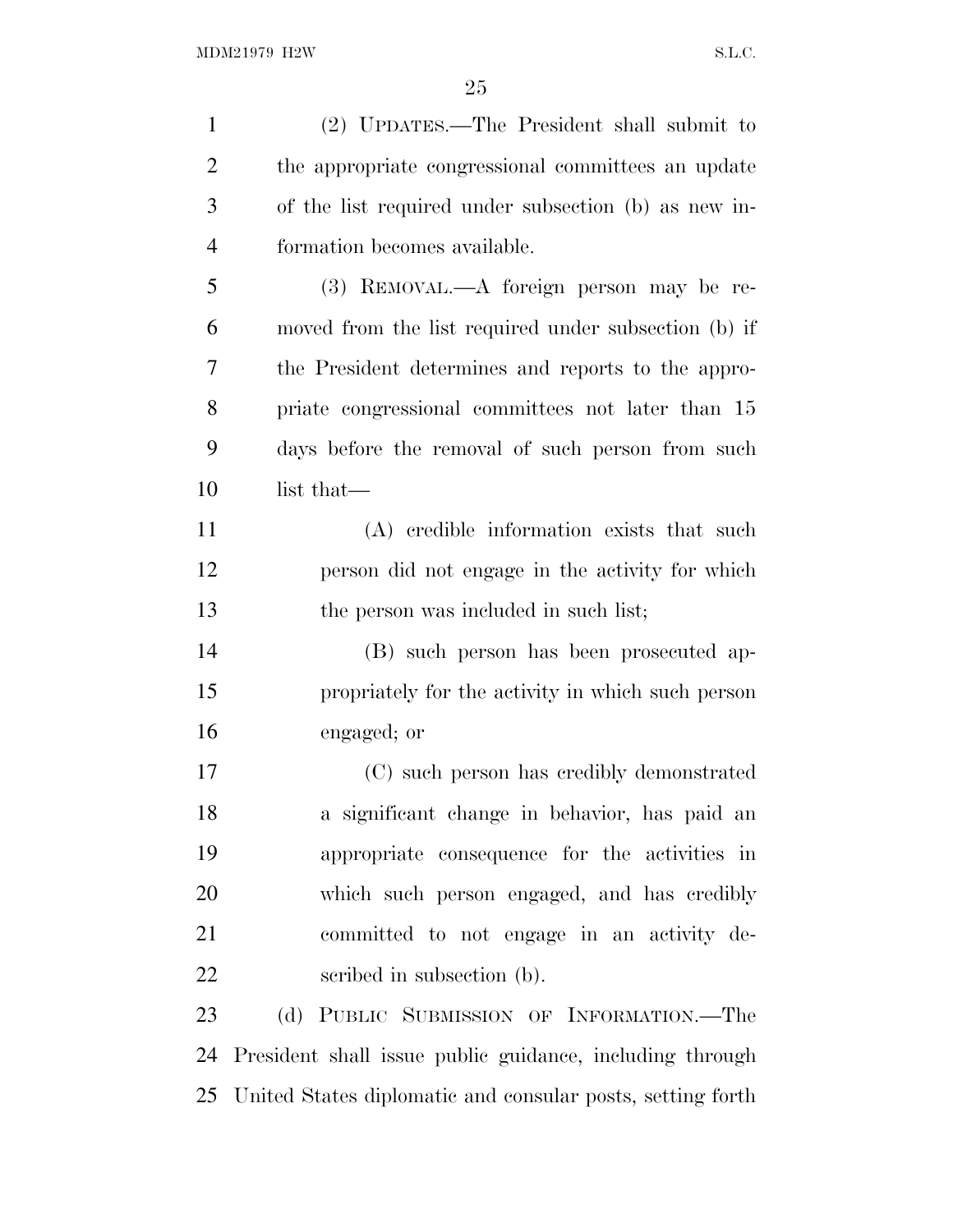| $\mathbf{1}$   | (2) UPDATES.—The President shall submit to               |
|----------------|----------------------------------------------------------|
| $\overline{2}$ | the appropriate congressional committees an update       |
| 3              | of the list required under subsection (b) as new in-     |
| $\overline{4}$ | formation becomes available.                             |
| 5              | (3) REMOVAL.—A foreign person may be re-                 |
| 6              | moved from the list required under subsection (b) if     |
| 7              | the President determines and reports to the appro-       |
| 8              | priate congressional committees not later than 15        |
| 9              | days before the removal of such person from such         |
| 10             | list that—                                               |
| 11             | (A) credible information exists that such                |
| 12             | person did not engage in the activity for which          |
| 13             | the person was included in such list;                    |
| 14             | (B) such person has been prosecuted ap-                  |
| 15             | propriately for the activity in which such person        |
| 16             | engaged; or                                              |
| 17             | (C) such person has credibly demonstrated                |
| 18             | a significant change in behavior, has paid an            |
| 19             | appropriate consequence for the activities in            |
| 20             | which such person engaged, and has credibly              |
| 21             | committed to not engage in an activity de-               |
| 22             | scribed in subsection (b).                               |
| 23             | (d) PUBLIC SUBMISSION OF INFORMATION.-The                |
| 24             | President shall issue public guidance, including through |

United States diplomatic and consular posts, setting forth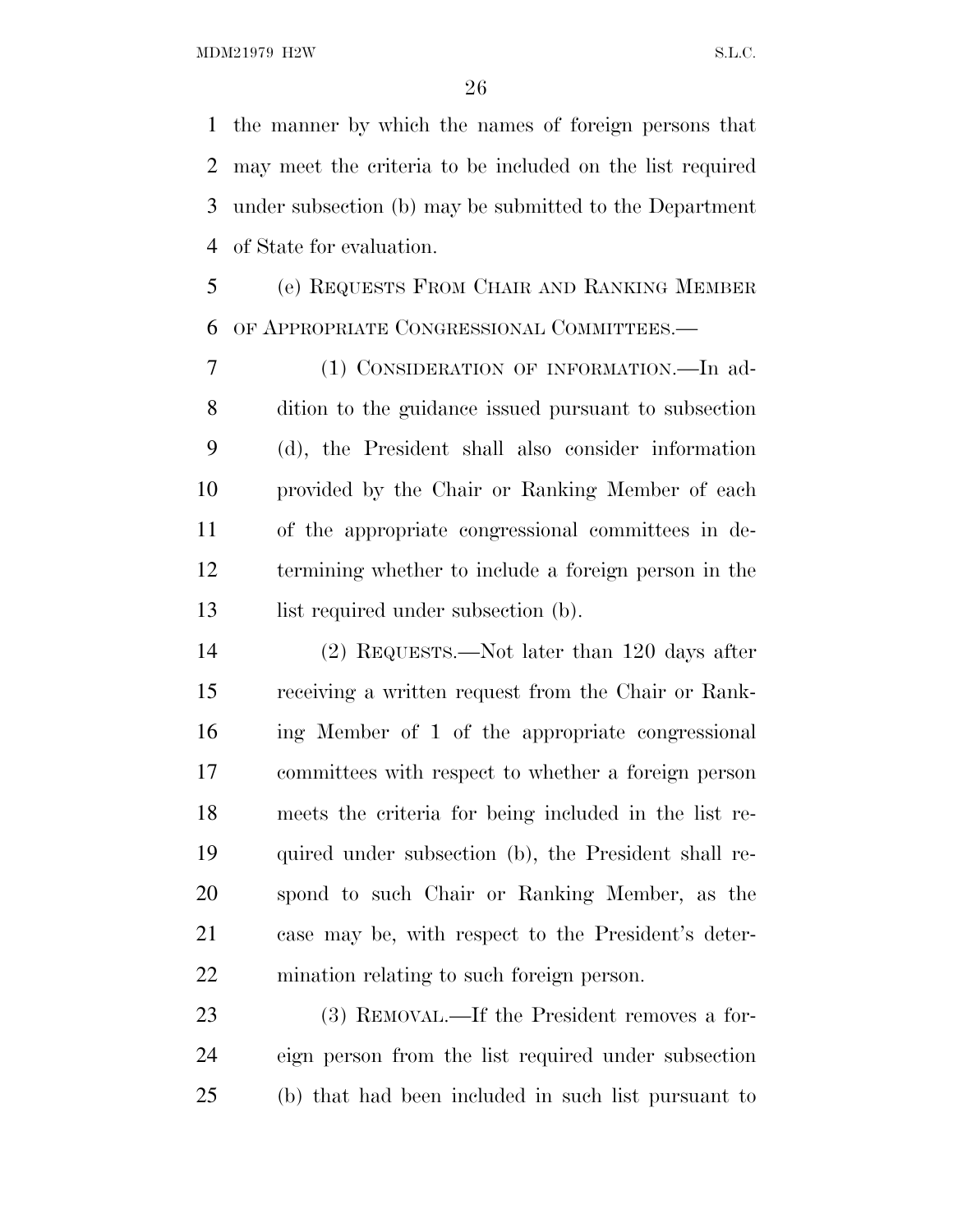the manner by which the names of foreign persons that may meet the criteria to be included on the list required under subsection (b) may be submitted to the Department of State for evaluation.

 (e) REQUESTS FROM CHAIR AND RANKING MEMBER OF APPROPRIATE CONGRESSIONAL COMMITTEES.—

 (1) CONSIDERATION OF INFORMATION.—In ad- dition to the guidance issued pursuant to subsection (d), the President shall also consider information provided by the Chair or Ranking Member of each of the appropriate congressional committees in de- termining whether to include a foreign person in the 13 list required under subsection (b).

 (2) REQUESTS.—Not later than 120 days after receiving a written request from the Chair or Rank- ing Member of 1 of the appropriate congressional committees with respect to whether a foreign person meets the criteria for being included in the list re- quired under subsection (b), the President shall re- spond to such Chair or Ranking Member, as the case may be, with respect to the President's deter-mination relating to such foreign person.

 (3) REMOVAL.—If the President removes a for- eign person from the list required under subsection (b) that had been included in such list pursuant to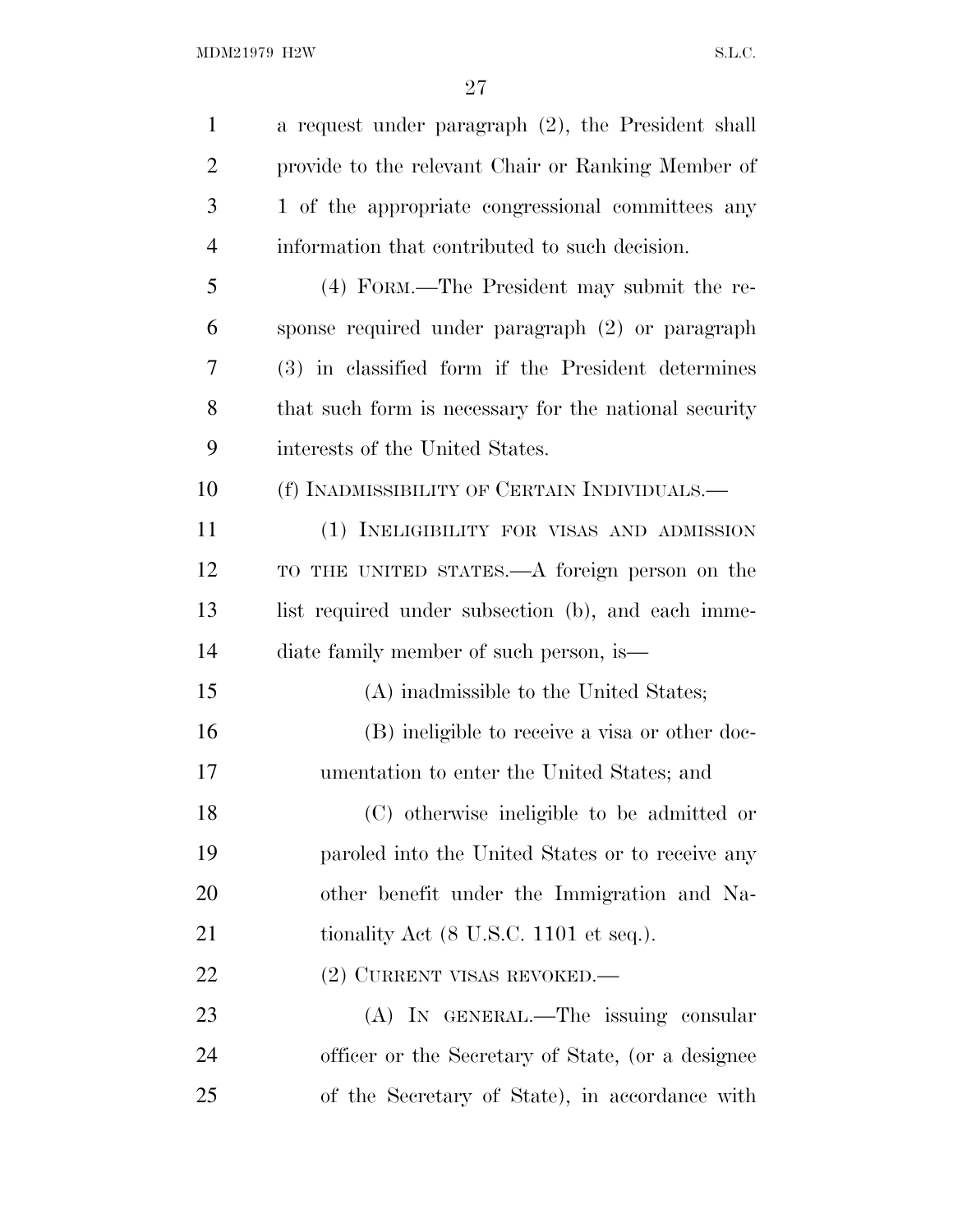| $\mathbf{1}$   | a request under paragraph (2), the President shall        |
|----------------|-----------------------------------------------------------|
| $\overline{2}$ | provide to the relevant Chair or Ranking Member of        |
| 3              | 1 of the appropriate congressional committees any         |
| $\overline{4}$ | information that contributed to such decision.            |
| 5              | (4) FORM.—The President may submit the re-                |
| 6              | sponse required under paragraph (2) or paragraph          |
| 7              | (3) in classified form if the President determines        |
| 8              | that such form is necessary for the national security     |
| 9              | interests of the United States.                           |
| 10             | (f) INADMISSIBILITY OF CERTAIN INDIVIDUALS.—              |
| 11             | (1) INELIGIBILITY FOR VISAS AND ADMISSION                 |
| 12             | TO THE UNITED STATES.—A foreign person on the             |
| 13             | list required under subsection (b), and each imme-        |
| 14             | diate family member of such person, is—                   |
| 15             | (A) inadmissible to the United States;                    |
| 16             | (B) ineligible to receive a visa or other doc-            |
| 17             | umentation to enter the United States; and                |
| 18             | (C) otherwise ineligible to be admitted or                |
| 19             | paroled into the United States or to receive any          |
| 20             | other benefit under the Immigration and Na-               |
| 21             | tionality Act $(8 \text{ U.S.C. } 1101 \text{ et seq.}).$ |
| 22             | (2) CURRENT VISAS REVOKED.—                               |
| 23             | (A) IN GENERAL.—The issuing consular                      |
| 24             | officer or the Secretary of State, (or a designee         |
| 25             | of the Secretary of State), in accordance with            |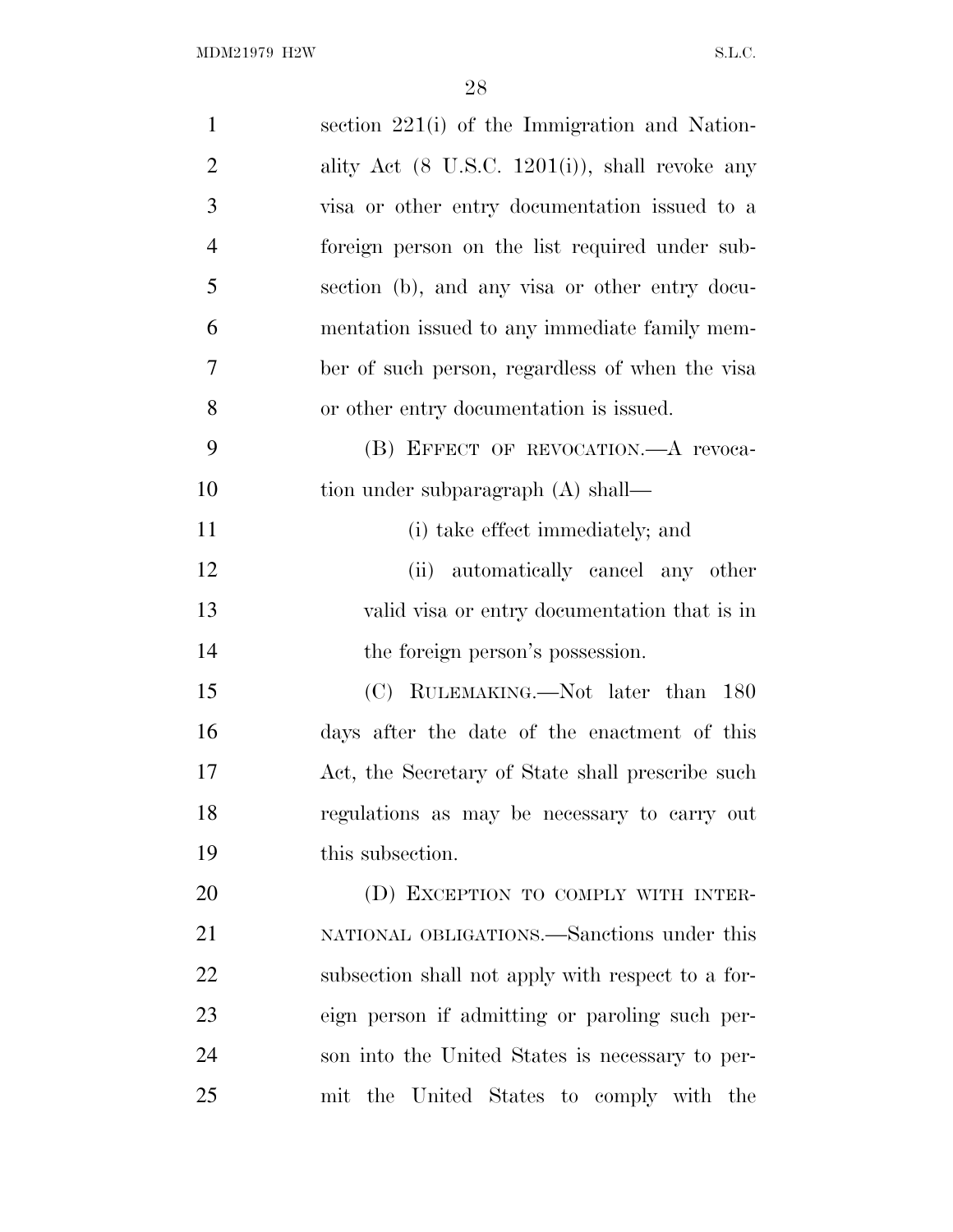| $\mathbf{1}$   | section 221(i) of the Immigration and Nation-              |
|----------------|------------------------------------------------------------|
| $\overline{c}$ | ality Act $(8 \text{ U.S.C. } 1201(i))$ , shall revoke any |
| 3              | visa or other entry documentation issued to a              |
| $\overline{4}$ | foreign person on the list required under sub-             |
| 5              | section (b), and any visa or other entry docu-             |
| 6              | mentation issued to any immediate family mem-              |
| $\tau$         | ber of such person, regardless of when the visa            |
| 8              | or other entry documentation is issued.                    |
| 9              | (B) EFFECT OF REVOCATION. A revoca-                        |
| 10             | tion under subparagraph (A) shall—                         |
| 11             | (i) take effect immediately; and                           |
| 12             | (ii) automatically cancel any other                        |
| 13             | valid visa or entry documentation that is in               |
| 14             | the foreign person's possession.                           |
| 15             | (C) RULEMAKING.—Not later than 180                         |
| 16             | days after the date of the enactment of this               |
| 17             | Act, the Secretary of State shall prescribe such           |
| 18             | regulations as may be necessary to carry out               |
| 19             | this subsection.                                           |
| 20             | (D) EXCEPTION TO COMPLY WITH INTER-                        |
| 21             | NATIONAL OBLIGATIONS.—Sanctions under this                 |
| 22             | subsection shall not apply with respect to a for-          |
| 23             | eign person if admitting or paroling such per-             |
| 24             | son into the United States is necessary to per-            |
| 25             | mit the United States to comply with the                   |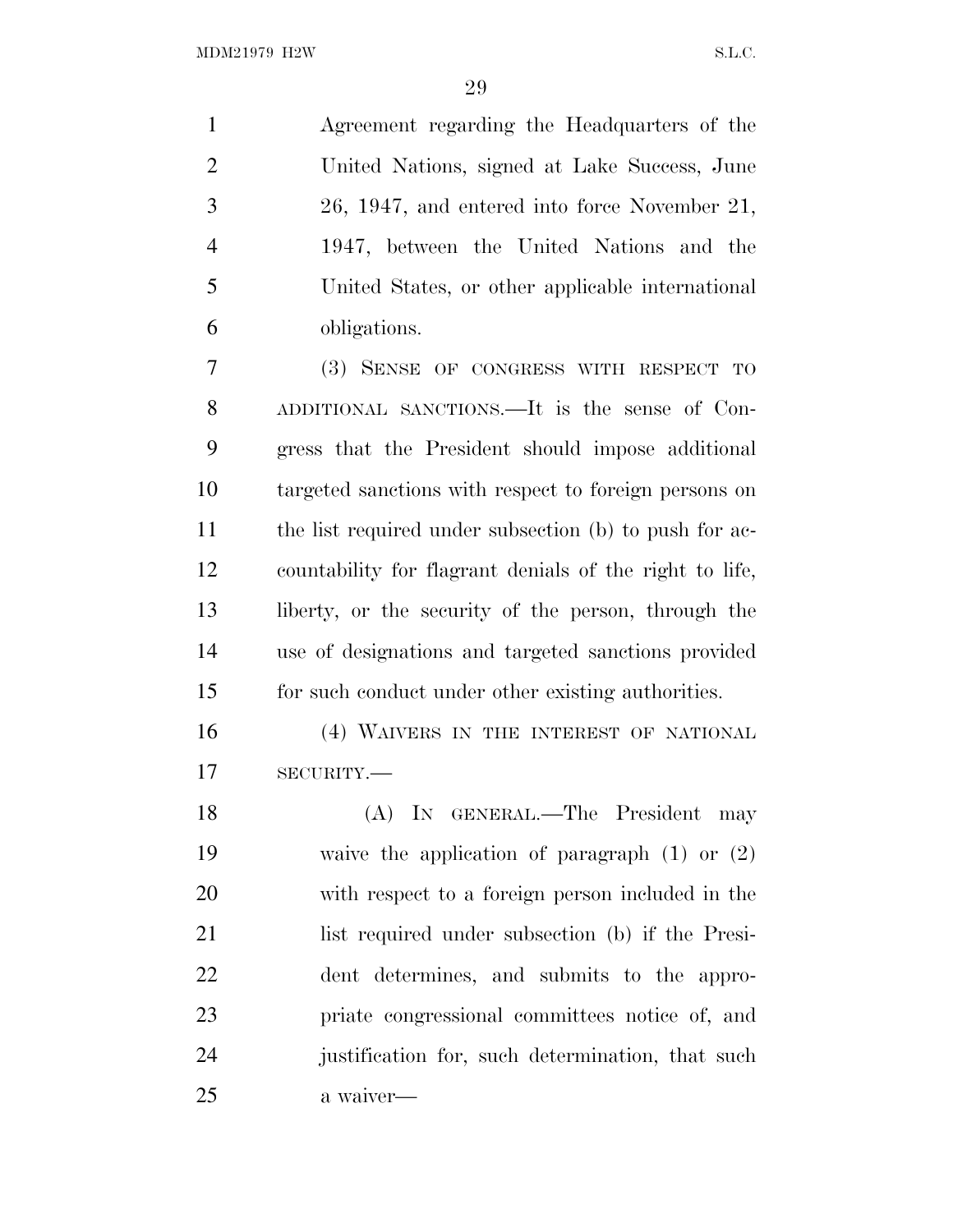Agreement regarding the Headquarters of the United Nations, signed at Lake Success, June 26, 1947, and entered into force November 21, 1947, between the United Nations and the United States, or other applicable international obligations.

 (3) SENSE OF CONGRESS WITH RESPECT TO ADDITIONAL SANCTIONS.—It is the sense of Con- gress that the President should impose additional targeted sanctions with respect to foreign persons on 11 the list required under subsection (b) to push for ac- countability for flagrant denials of the right to life, liberty, or the security of the person, through the use of designations and targeted sanctions provided for such conduct under other existing authorities.

16 (4) WAIVERS IN THE INTEREST OF NATIONAL SECURITY.—

 (A) IN GENERAL.—The President may waive the application of paragraph (1) or (2) with respect to a foreign person included in the list required under subsection (b) if the Presi- dent determines, and submits to the appro- priate congressional committees notice of, and justification for, such determination, that such a waiver—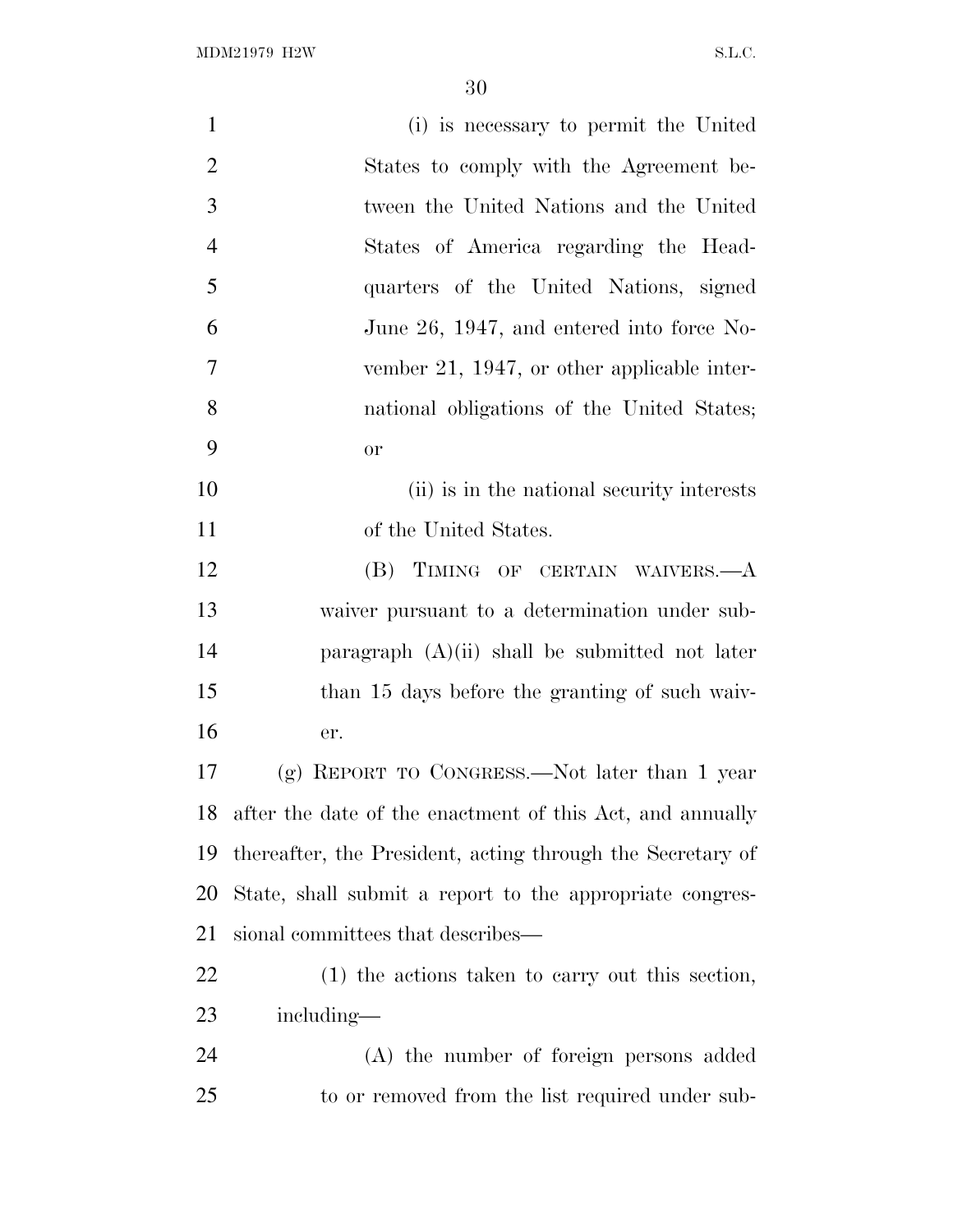| $\mathbf{1}$   | (i) is necessary to permit the United                      |
|----------------|------------------------------------------------------------|
| $\overline{2}$ | States to comply with the Agreement be-                    |
| 3              | tween the United Nations and the United                    |
| $\overline{4}$ | States of America regarding the Head-                      |
| 5              | quarters of the United Nations, signed                     |
| 6              | June 26, 1947, and entered into force No-                  |
| 7              | vember 21, 1947, or other applicable inter-                |
| 8              | national obligations of the United States;                 |
| 9              | <b>or</b>                                                  |
| 10             | (ii) is in the national security interests                 |
| 11             | of the United States.                                      |
| 12             | (B) TIMING OF CERTAIN WAIVERS.—A                           |
| 13             | waiver pursuant to a determination under sub-              |
| 14             | paragraph $(A)(ii)$ shall be submitted not later           |
| 15             | than 15 days before the granting of such waiv-             |
| 16             | er.                                                        |
| 17             | $(g)$ REPORT TO CONGRESS.—Not later than 1 year            |
| 18             | after the date of the enactment of this Act, and annually  |
| 19             | thereafter, the President, acting through the Secretary of |
| 20             | State, shall submit a report to the appropriate congres-   |
| 21             | sional committees that describes—                          |
| 22             | $(1)$ the actions taken to carry out this section,         |
| 23             | including—                                                 |
| 24             | (A) the number of foreign persons added                    |
| 25             | to or removed from the list required under sub-            |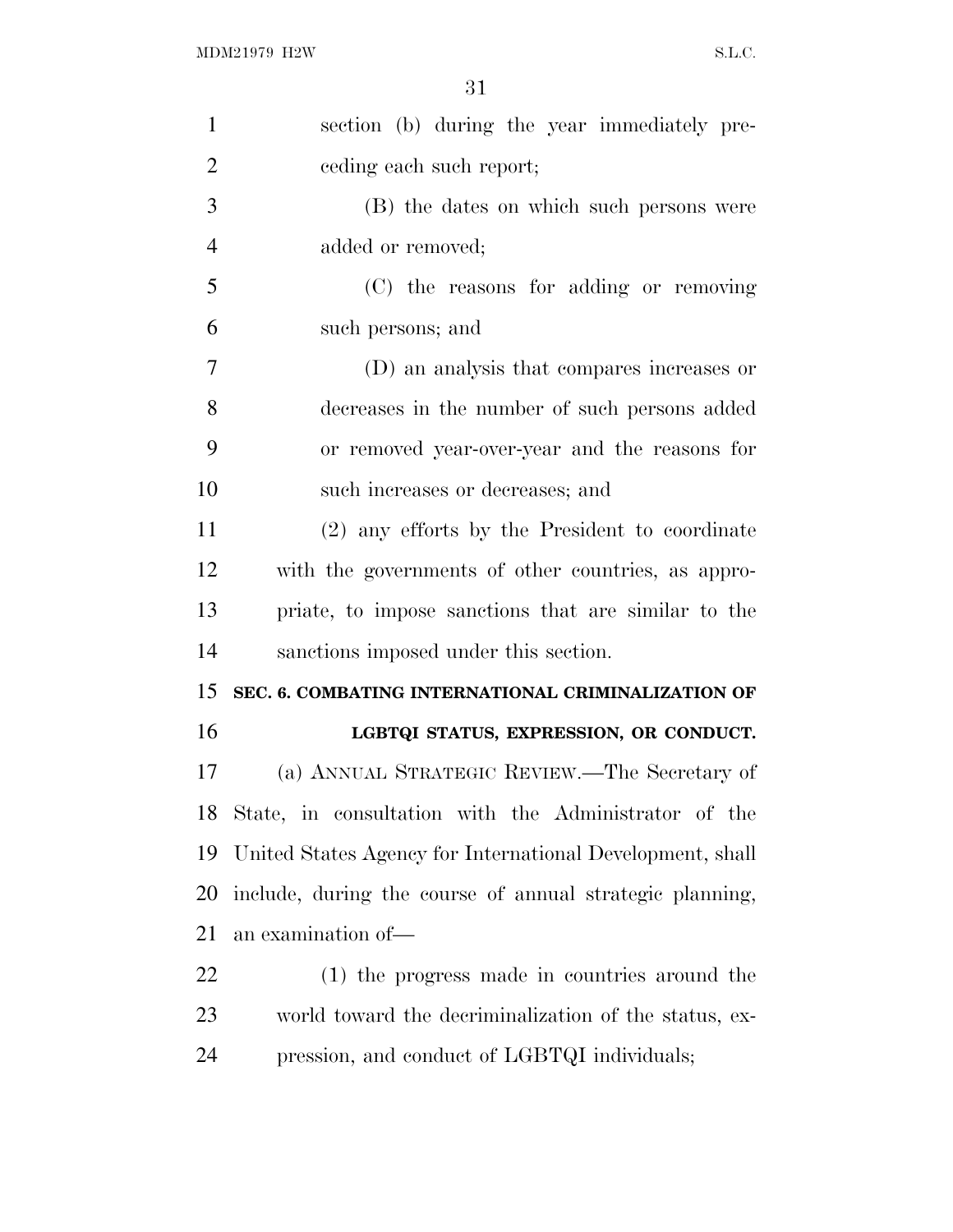| $\mathbf{1}$   | section (b) during the year immediately pre-              |
|----------------|-----------------------------------------------------------|
| $\overline{2}$ | eeding each such report;                                  |
| 3              | (B) the dates on which such persons were                  |
| $\overline{4}$ | added or removed;                                         |
| 5              | (C) the reasons for adding or removing                    |
| 6              | such persons; and                                         |
| 7              | (D) an analysis that compares increases or                |
| 8              | decreases in the number of such persons added             |
| 9              | or removed year-over-year and the reasons for             |
| 10             | such increases or decreases; and                          |
| 11             | (2) any efforts by the President to coordinate            |
| 12             | with the governments of other countries, as appro-        |
| 13             | priate, to impose sanctions that are similar to the       |
| 14             | sanctions imposed under this section.                     |
| 15             | SEC. 6. COMBATING INTERNATIONAL CRIMINALIZATION OF        |
| 16             | LGBTQI STATUS, EXPRESSION, OR CONDUCT.                    |
| 17             | (a) ANNUAL STRATEGIC REVIEW.—The Secretary of             |
| 18             | State, in consultation with the Administrator of the      |
| 19             | United States Agency for International Development, shall |
| 20             | include, during the course of annual strategic planning,  |
| 21             | an examination of-                                        |
| 22             | (1) the progress made in countries around the             |
| 23             | world toward the decriminalization of the status, ex-     |
| 24             | pression, and conduct of LGBTQI individuals;              |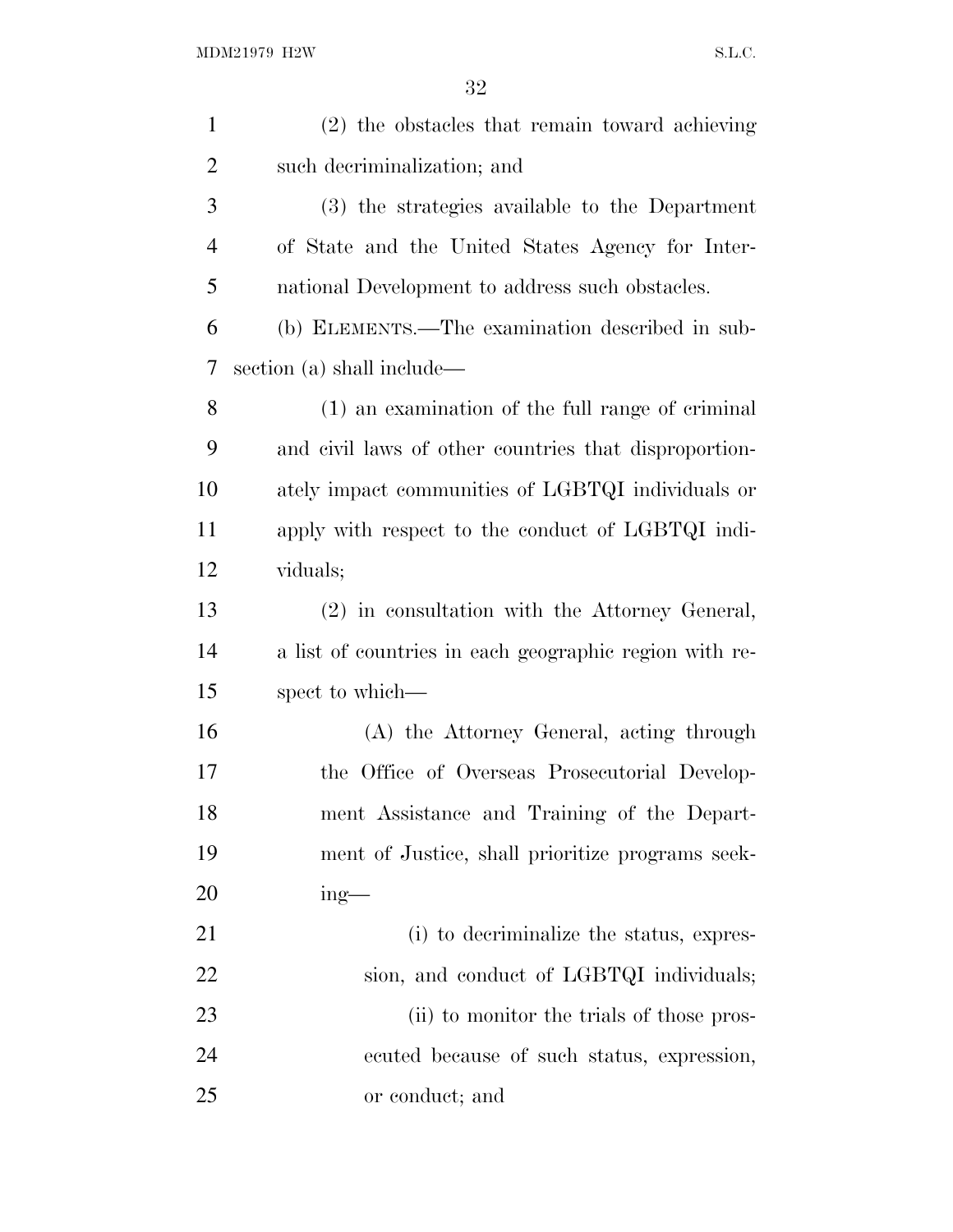| $\mathbf{1}$   | (2) the obstacles that remain toward achieving         |
|----------------|--------------------------------------------------------|
| $\overline{2}$ | such decriminalization; and                            |
| 3              | (3) the strategies available to the Department         |
| $\overline{4}$ | of State and the United States Agency for Inter-       |
| 5              | national Development to address such obstacles.        |
| 6              | (b) ELEMENTS.—The examination described in sub-        |
| 7              | section (a) shall include—                             |
| 8              | (1) an examination of the full range of criminal       |
| 9              | and civil laws of other countries that disproportion-  |
| 10             | ately impact communities of LGBTQI individuals or      |
| 11             | apply with respect to the conduct of LGBTQI indi-      |
| 12             | viduals;                                               |
| 13             | (2) in consultation with the Attorney General,         |
| 14             | a list of countries in each geographic region with re- |
| 15             | spect to which—                                        |
| 16             | (A) the Attorney General, acting through               |
| 17             | the Office of Overseas Prosecutorial Develop-          |
| 18             | ment Assistance and Training of the Depart-            |
| 19             | ment of Justice, shall prioritize programs seek-       |
| 20             | $ing$ —                                                |
| 21             | (i) to decriminalize the status, expres-               |
| 22             | sion, and conduct of LGBTQI individuals;               |
| 23             | (ii) to monitor the trials of those pros-              |
| 24             | ecuted because of such status, expression,             |
| 25             | or conduct; and                                        |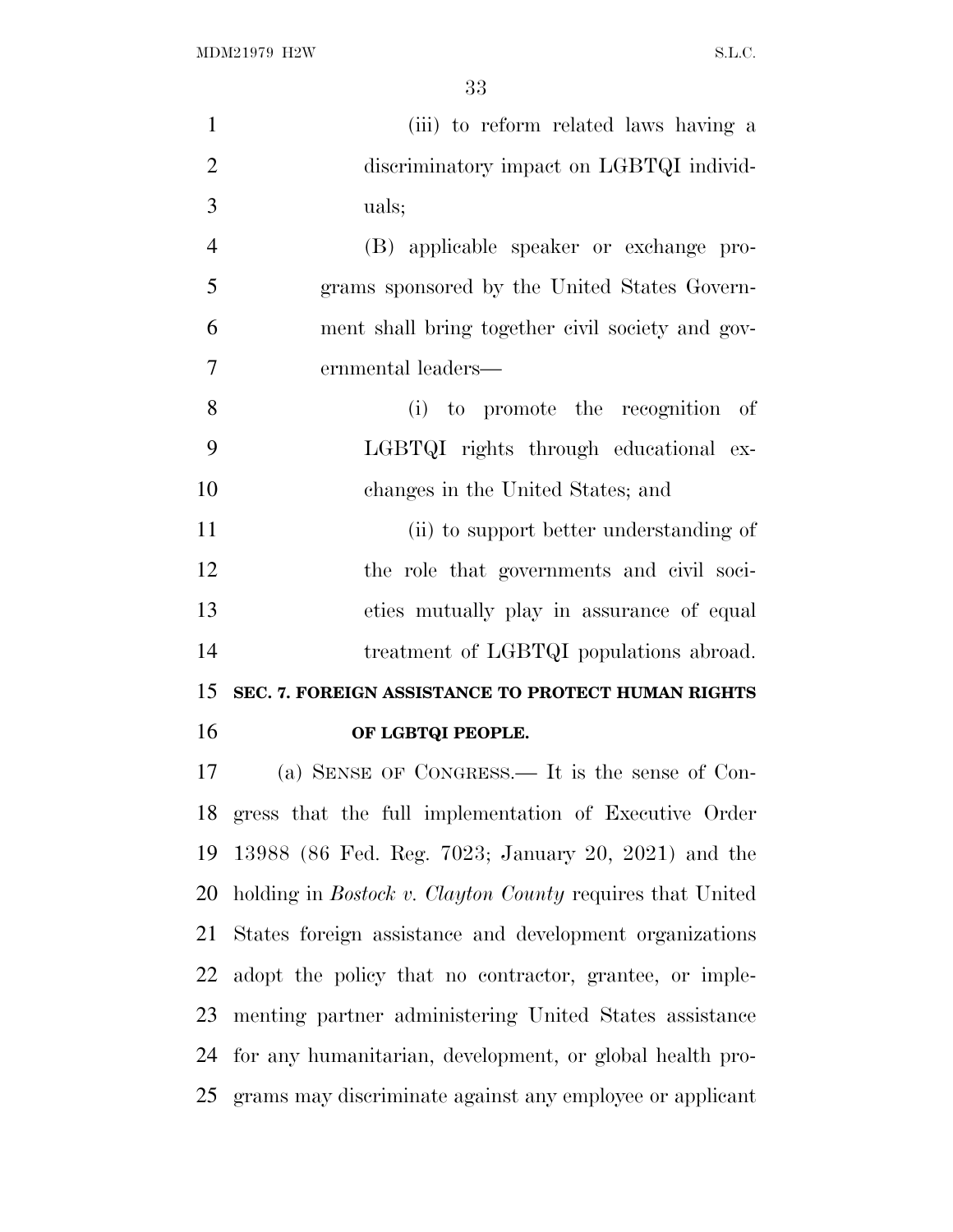| $\mathbf{1}$   | (iii) to reform related laws having a                            |
|----------------|------------------------------------------------------------------|
| $\overline{2}$ | discriminatory impact on LGBTQI individ-                         |
| 3              | uals;                                                            |
| $\overline{4}$ | (B) applicable speaker or exchange pro-                          |
| 5              | grams sponsored by the United States Govern-                     |
| 6              | ment shall bring together civil society and gov-                 |
| 7              | ernmental leaders—                                               |
| 8              | (i) to promote the recognition of                                |
| 9              | LGBTQI rights through educational ex-                            |
| 10             | changes in the United States; and                                |
| 11             | (ii) to support better understanding of                          |
| 12             | the role that governments and civil soci-                        |
| 13             | eties mutually play in assurance of equal                        |
| 14             | treatment of LGBTQI populations abroad.                          |
| 15             | SEC. 7. FOREIGN ASSISTANCE TO PROTECT HUMAN RIGHTS               |
| 16             | OF LGBTQI PEOPLE.                                                |
| 17             | (a) SENSE OF CONGRESS.— It is the sense of Con-                  |
|                | 18 gress that the full implementation of Executive Order         |
| 19             | 13988 (86 Fed. Reg. 7023; January 20, 2021) and the              |
| 20             | holding in <i>Bostock v. Clayton County</i> requires that United |
| 21             | States foreign assistance and development organizations          |
| 22             | adopt the policy that no contractor, grantee, or imple-          |
| 23             | menting partner administering United States assistance           |
| 24             | for any humanitarian, development, or global health pro-         |
|                | 25 grams may discriminate against any employee or applicant      |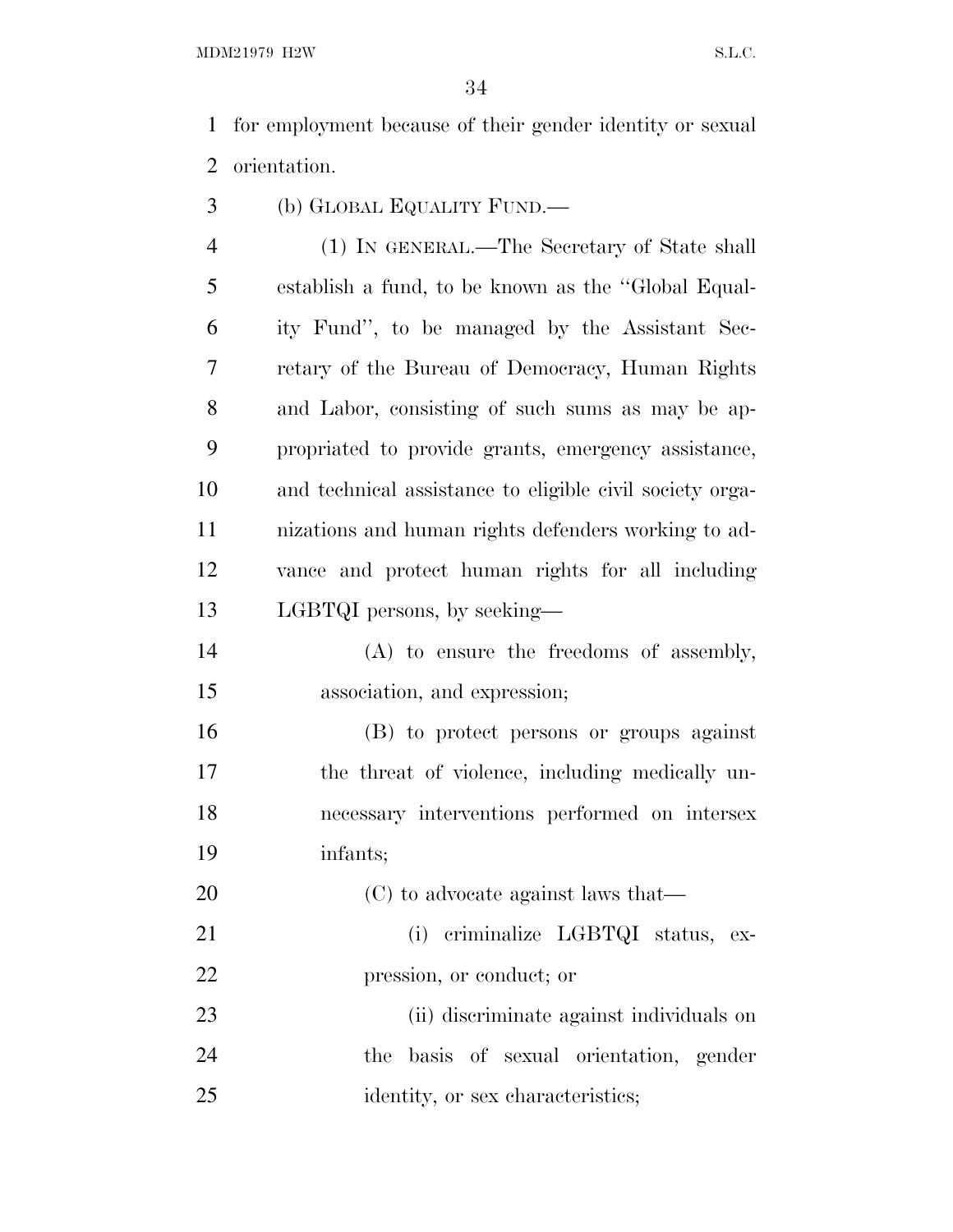MDM21979 H2W S.L.C.

 for employment because of their gender identity or sexual orientation.

(b) GLOBAL EQUALITY FUND.—

 (1) IN GENERAL.—The Secretary of State shall establish a fund, to be known as the ''Global Equal- ity Fund'', to be managed by the Assistant Sec- retary of the Bureau of Democracy, Human Rights and Labor, consisting of such sums as may be ap- propriated to provide grants, emergency assistance, and technical assistance to eligible civil society orga- nizations and human rights defenders working to ad- vance and protect human rights for all including LGBTQI persons, by seeking—

 (A) to ensure the freedoms of assembly, association, and expression;

 (B) to protect persons or groups against the threat of violence, including medically un- necessary interventions performed on intersex infants;

20 (C) to advocate against laws that— 21 (i) criminalize LGBTQI status, ex-pression, or conduct; or

 (ii) discriminate against individuals on the basis of sexual orientation, gender 25 identity, or sex characteristics;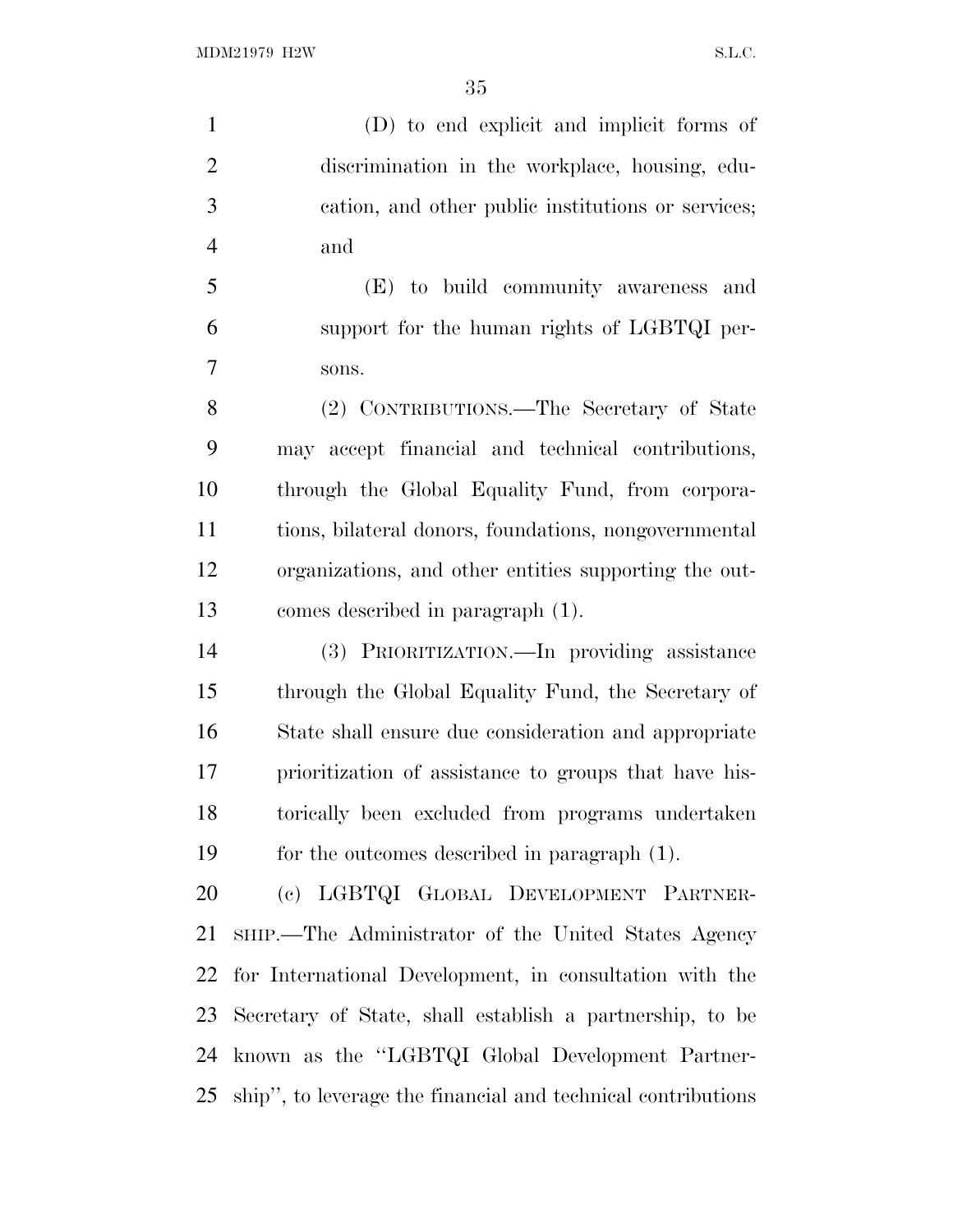(D) to end explicit and implicit forms of discrimination in the workplace, housing, edu- cation, and other public institutions or services; and

 (E) to build community awareness and support for the human rights of LGBTQI per-sons.

 (2) CONTRIBUTIONS.—The Secretary of State may accept financial and technical contributions, through the Global Equality Fund, from corpora- tions, bilateral donors, foundations, nongovernmental organizations, and other entities supporting the out-comes described in paragraph (1).

 (3) PRIORITIZATION.—In providing assistance through the Global Equality Fund, the Secretary of State shall ensure due consideration and appropriate prioritization of assistance to groups that have his- torically been excluded from programs undertaken for the outcomes described in paragraph (1).

 (c) LGBTQI GLOBAL DEVELOPMENT PARTNER- SHIP.—The Administrator of the United States Agency for International Development, in consultation with the Secretary of State, shall establish a partnership, to be known as the ''LGBTQI Global Development Partner-ship'', to leverage the financial and technical contributions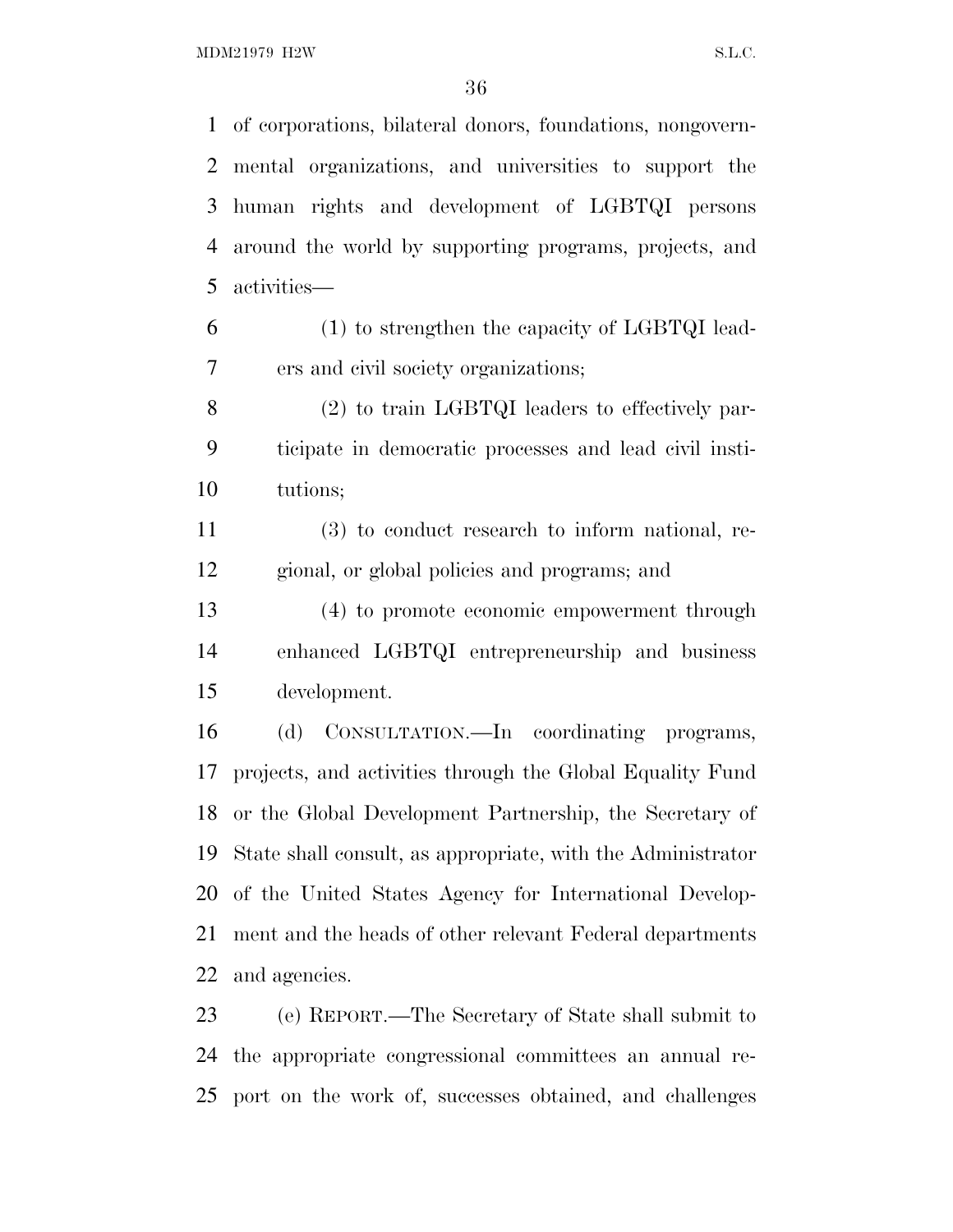MDM21979 H2W S.L.C.

 of corporations, bilateral donors, foundations, nongovern- mental organizations, and universities to support the human rights and development of LGBTQI persons around the world by supporting programs, projects, and activities—

 (1) to strengthen the capacity of LGBTQI lead-ers and civil society organizations;

 (2) to train LGBTQI leaders to effectively par- ticipate in democratic processes and lead civil insti-tutions;

 (3) to conduct research to inform national, re-gional, or global policies and programs; and

 (4) to promote economic empowerment through enhanced LGBTQI entrepreneurship and business development.

 (d) CONSULTATION.—In coordinating programs, projects, and activities through the Global Equality Fund or the Global Development Partnership, the Secretary of State shall consult, as appropriate, with the Administrator of the United States Agency for International Develop- ment and the heads of other relevant Federal departments and agencies.

 (e) REPORT.—The Secretary of State shall submit to the appropriate congressional committees an annual re-port on the work of, successes obtained, and challenges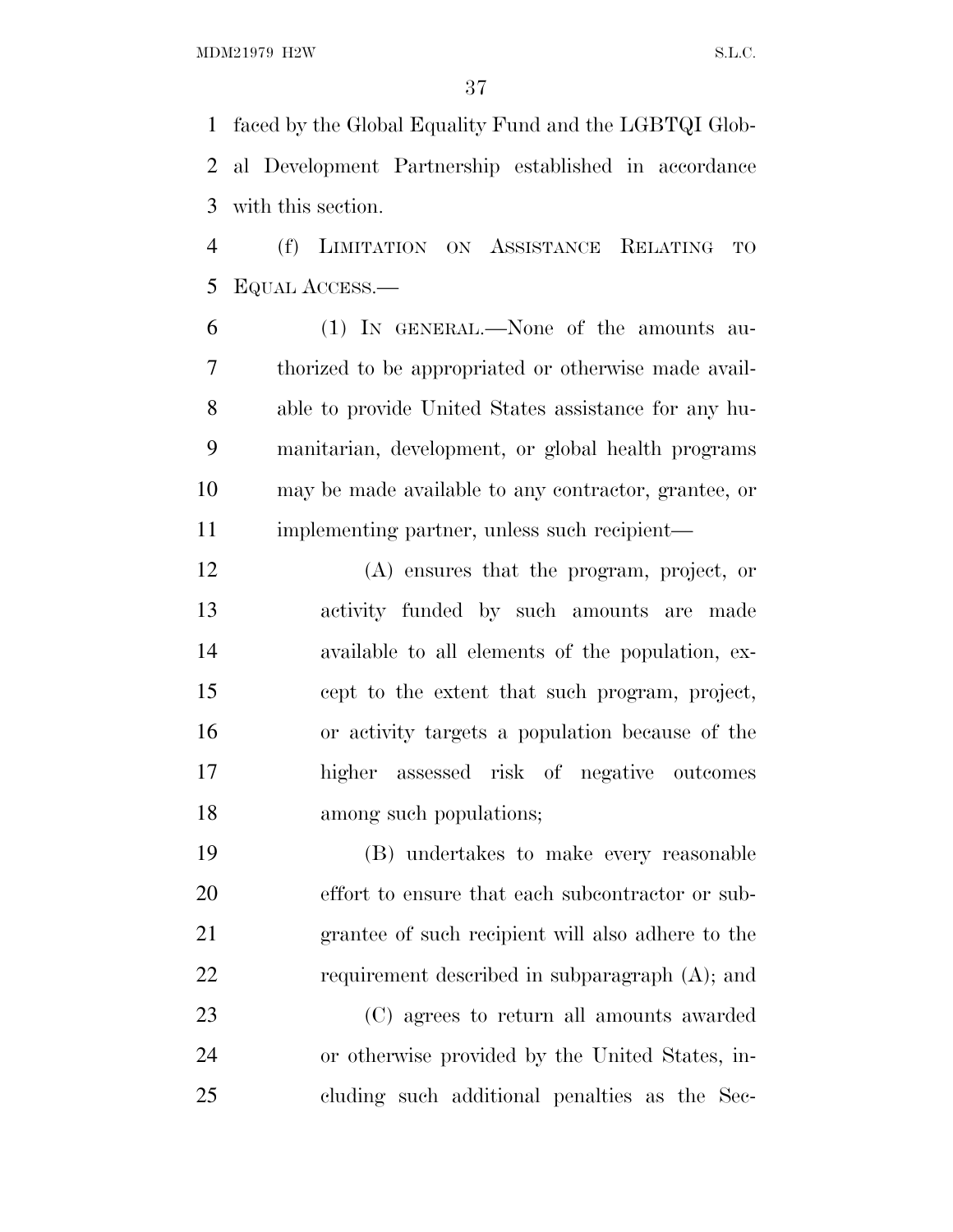faced by the Global Equality Fund and the LGBTQI Glob- al Development Partnership established in accordance with this section.

 (f) LIMITATION ON ASSISTANCE RELATING TO EQUAL ACCESS.—

 (1) IN GENERAL.—None of the amounts au- thorized to be appropriated or otherwise made avail- able to provide United States assistance for any hu- manitarian, development, or global health programs may be made available to any contractor, grantee, or 11 implementing partner, unless such recipient—

 (A) ensures that the program, project, or activity funded by such amounts are made available to all elements of the population, ex- cept to the extent that such program, project, or activity targets a population because of the higher assessed risk of negative outcomes among such populations;

 (B) undertakes to make every reasonable effort to ensure that each subcontractor or sub- grantee of such recipient will also adhere to the requirement described in subparagraph (A); and

 (C) agrees to return all amounts awarded or otherwise provided by the United States, in-cluding such additional penalties as the Sec-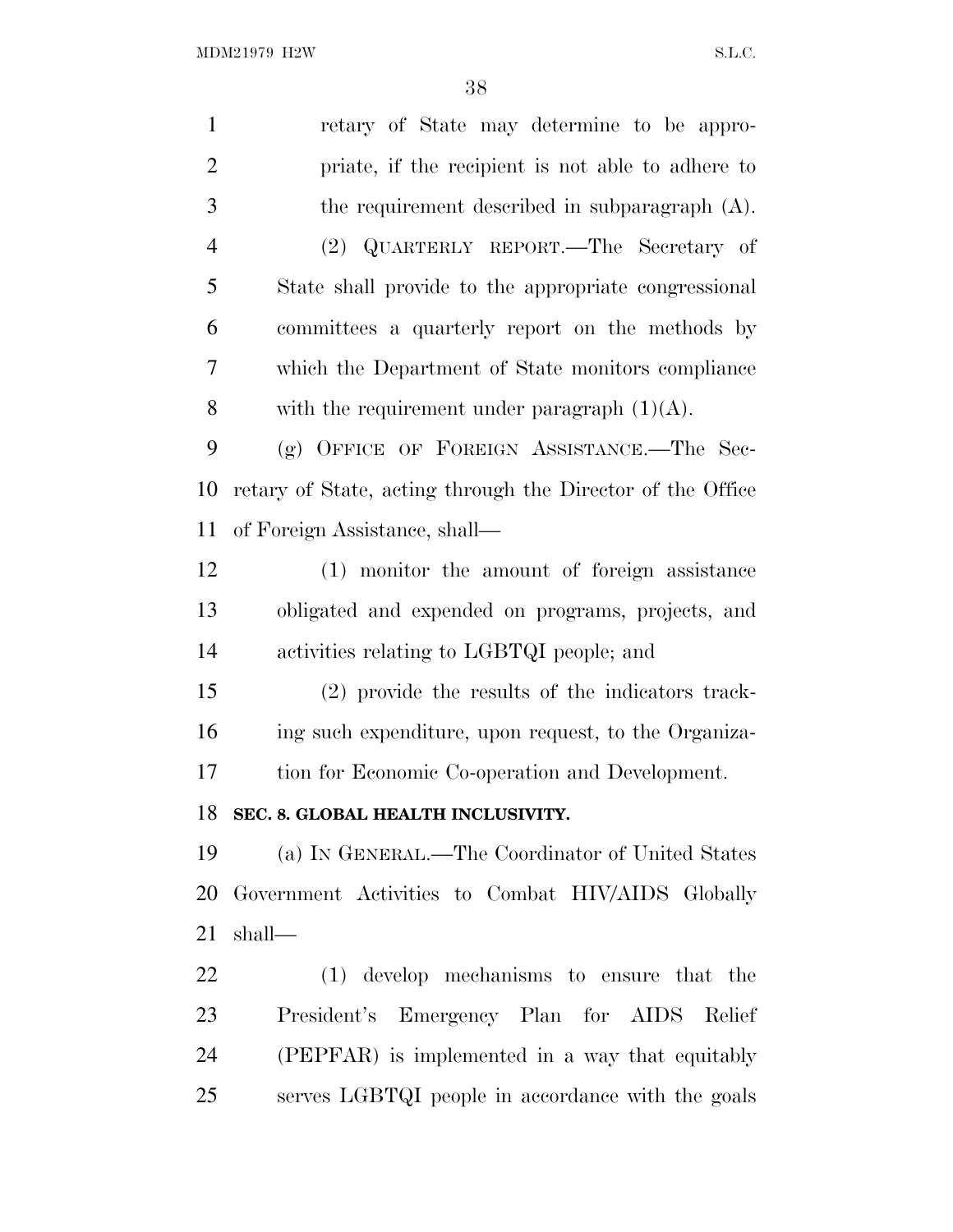| $\mathbf{1}$   | retary of State may determine to be appro-                 |
|----------------|------------------------------------------------------------|
| $\overline{2}$ | priate, if the recipient is not able to adhere to          |
| $\mathfrak{Z}$ | the requirement described in subparagraph $(A)$ .          |
| $\overline{4}$ | (2) QUARTERLY REPORT.—The Secretary of                     |
| 5              | State shall provide to the appropriate congressional       |
| 6              | committees a quarterly report on the methods by            |
| 7              | which the Department of State monitors compliance          |
| 8              | with the requirement under paragraph $(1)(A)$ .            |
| 9              | (g) OFFICE OF FOREIGN ASSISTANCE.—The Sec-                 |
| 10             | retary of State, acting through the Director of the Office |
| 11             | of Foreign Assistance, shall—                              |
| 12             | (1) monitor the amount of foreign assistance               |
| 13             | obligated and expended on programs, projects, and          |
| 14             | activities relating to LGBTQI people; and                  |
| 15             | (2) provide the results of the indicators track-           |
| 16             | ing such expenditure, upon request, to the Organiza-       |
| 17             | tion for Economic Co-operation and Development.            |
| 18             | SEC. 8. GLOBAL HEALTH INCLUSIVITY.                         |
| 19             | (a) IN GENERAL.—The Coordinator of United States           |
| 20             | Government Activities to Combat HIV/AIDS Globally          |
| 21             | shall—                                                     |
| 22             | (1) develop mechanisms to ensure that the                  |
| 23             | President's Emergency Plan for AIDS Relief                 |
| 24             | (PEPFAR) is implemented in a way that equitably            |
| 25             | serves LGBTQI people in accordance with the goals          |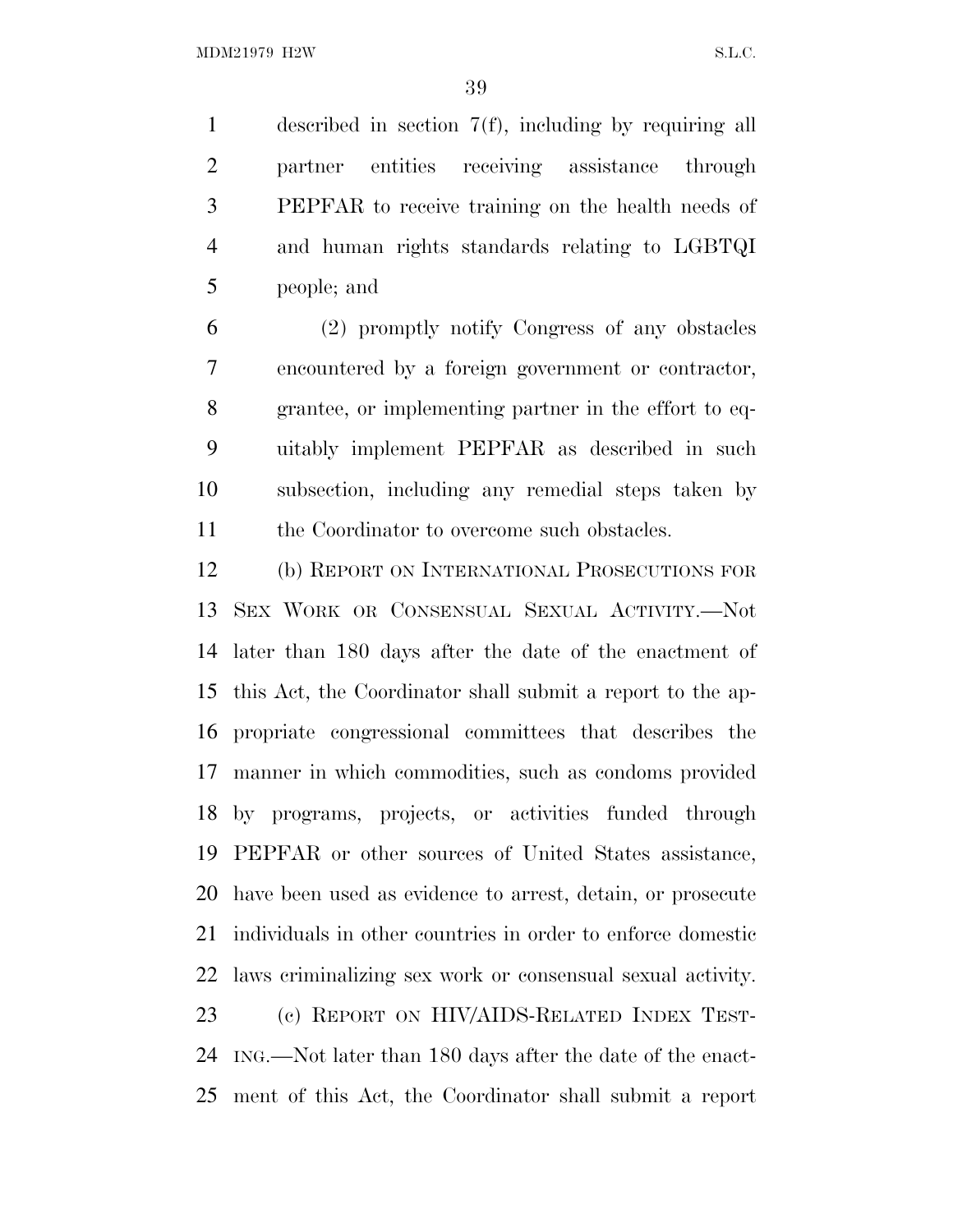described in section 7(f), including by requiring all partner entities receiving assistance through PEPFAR to receive training on the health needs of and human rights standards relating to LGBTQI people; and

 (2) promptly notify Congress of any obstacles encountered by a foreign government or contractor, grantee, or implementing partner in the effort to eq- uitably implement PEPFAR as described in such subsection, including any remedial steps taken by 11 the Coordinator to overcome such obstacles.

 (b) REPORT ON INTERNATIONAL PROSECUTIONS FOR SEX WORK OR CONSENSUAL SEXUAL ACTIVITY.—Not later than 180 days after the date of the enactment of this Act, the Coordinator shall submit a report to the ap- propriate congressional committees that describes the manner in which commodities, such as condoms provided by programs, projects, or activities funded through PEPFAR or other sources of United States assistance, have been used as evidence to arrest, detain, or prosecute individuals in other countries in order to enforce domestic laws criminalizing sex work or consensual sexual activity. (c) REPORT ON HIV/AIDS-RELATED INDEX TEST- ING.—Not later than 180 days after the date of the enact-ment of this Act, the Coordinator shall submit a report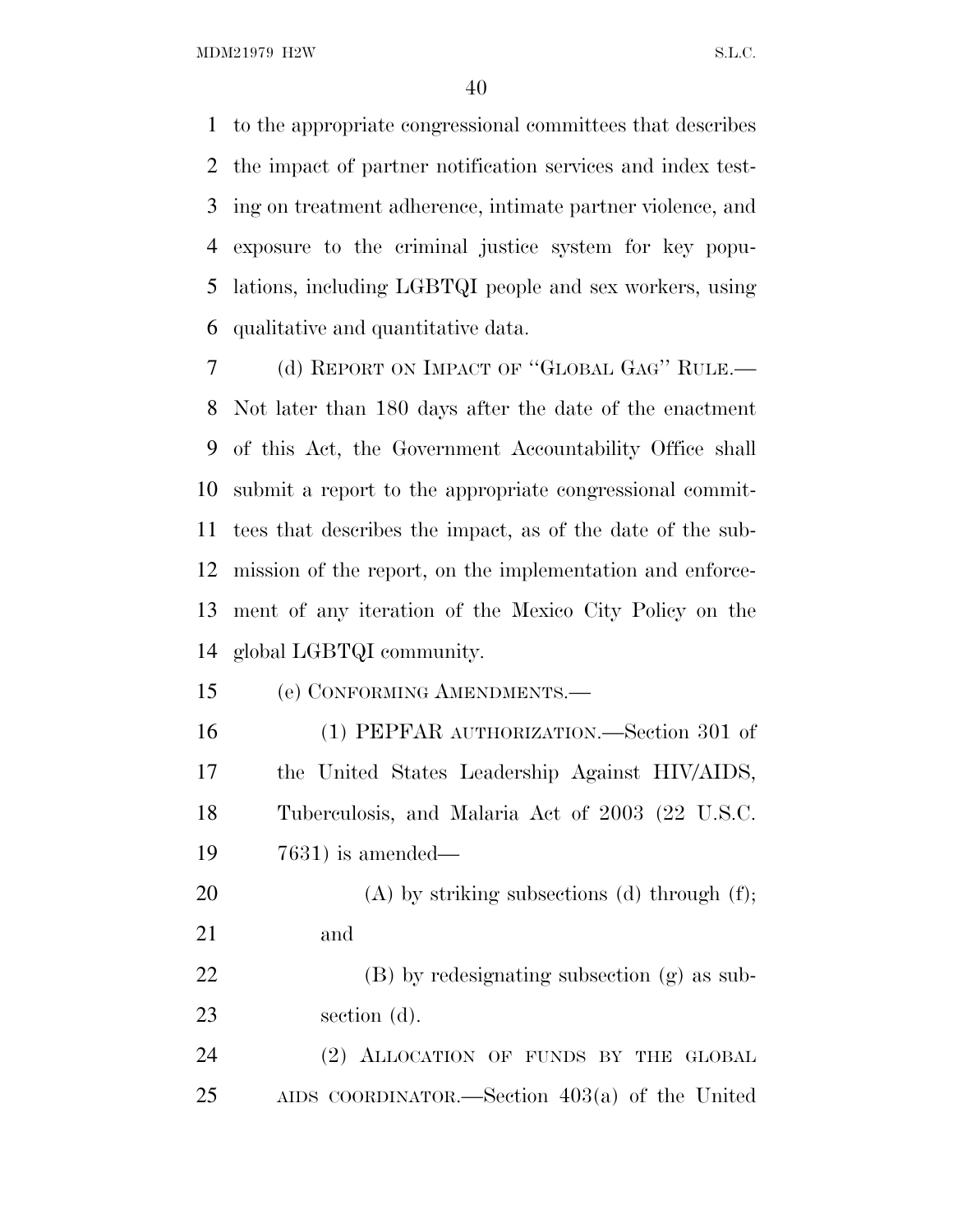MDM21979 H2W S.L.C.

 to the appropriate congressional committees that describes the impact of partner notification services and index test- ing on treatment adherence, intimate partner violence, and exposure to the criminal justice system for key popu- lations, including LGBTQI people and sex workers, using qualitative and quantitative data.

 (d) REPORT ON IMPACT OF ''GLOBAL GAG'' RULE.— Not later than 180 days after the date of the enactment of this Act, the Government Accountability Office shall submit a report to the appropriate congressional commit- tees that describes the impact, as of the date of the sub- mission of the report, on the implementation and enforce- ment of any iteration of the Mexico City Policy on the global LGBTQI community.

(e) CONFORMING AMENDMENTS.—

 (1) PEPFAR AUTHORIZATION.—Section 301 of the United States Leadership Against HIV/AIDS, Tuberculosis, and Malaria Act of 2003 (22 U.S.C. 7631) is amended—

20 (A) by striking subsections (d) through  $(f)$ ; and

 (B) by redesignating subsection (g) as sub-section (d).

 (2) ALLOCATION OF FUNDS BY THE GLOBAL AIDS COORDINATOR.—Section 403(a) of the United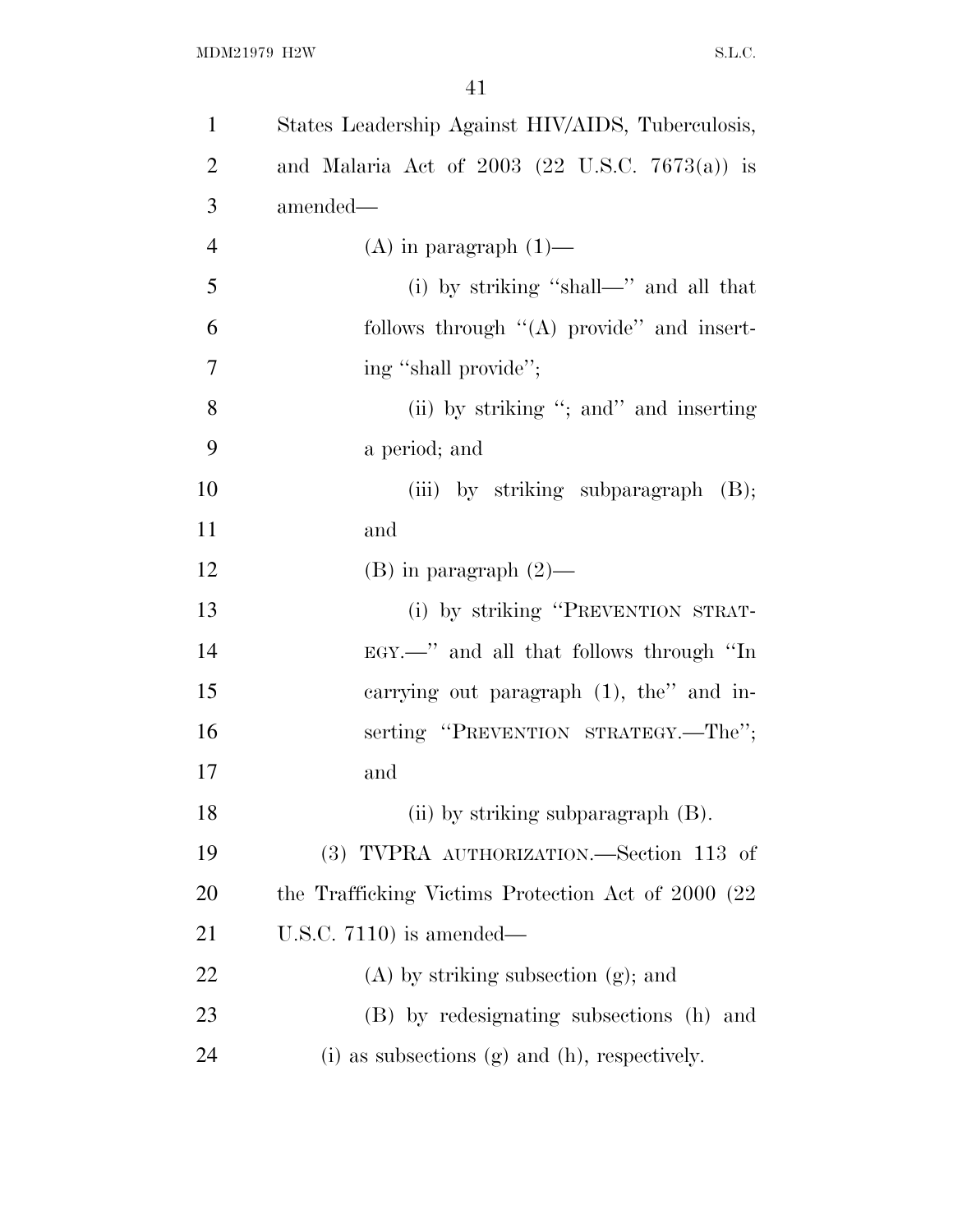| $\mathbf{1}$   | States Leadership Against HIV/AIDS, Tuberculosis,    |
|----------------|------------------------------------------------------|
| $\overline{2}$ | and Malaria Act of $2003$ (22 U.S.C. 7673(a)) is     |
| 3              | amended-                                             |
| $\overline{4}$ | $(A)$ in paragraph $(1)$ —                           |
| 5              | (i) by striking "shall-" and all that                |
| 6              | follows through $\lq (A)$ provide" and insert-       |
| 7              | ing "shall provide";                                 |
| 8              | (ii) by striking "; and inserting                    |
| 9              | a period; and                                        |
| 10             | (iii) by striking subparagraph $(B)$ ;               |
| 11             | and                                                  |
| 12             | $(B)$ in paragraph $(2)$ —                           |
| 13             | (i) by striking "PREVENTION STRAT-                   |
| 14             | EGY.—" and all that follows through "In              |
| 15             | carrying out paragraph $(1)$ , the" and in-          |
| 16             | serting "PREVENTION STRATEGY.—The";                  |
| 17             | and                                                  |
| 18             | (ii) by striking subparagraph $(B)$ .                |
| 19             | (3) TVPRA AUTHORIZATION.—Section 113 of              |
| 20             | the Trafficking Victims Protection Act of 2000 (22)  |
| 21             | U.S.C. $7110$ ) is amended—                          |
| 22             | $(A)$ by striking subsection $(g)$ ; and             |
| 23             | (B) by redesignating subsections (h) and             |
| 24             | $(i)$ as subsections $(g)$ and $(h)$ , respectively. |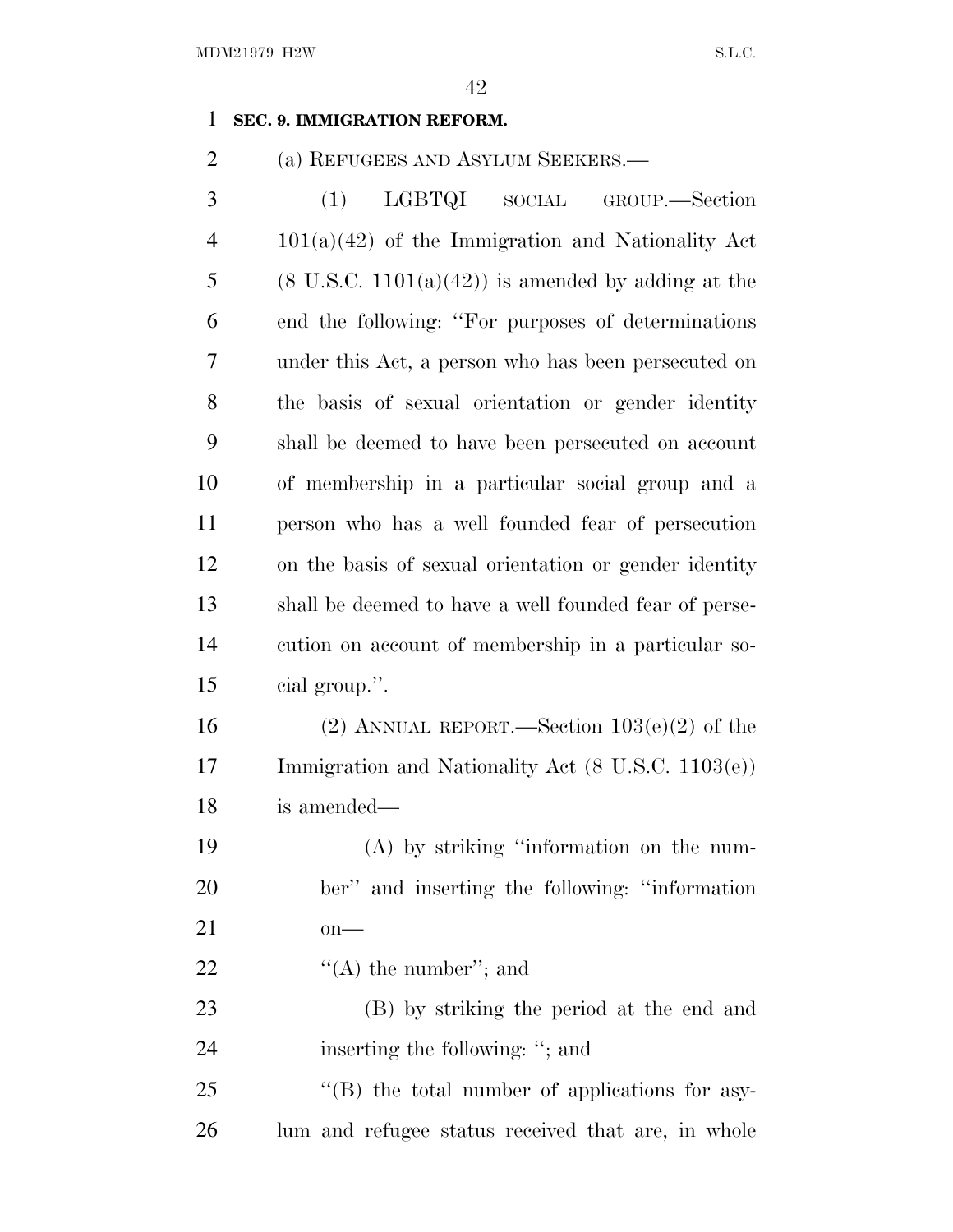#### **SEC. 9. IMMIGRATION REFORM.**

(a) REFUGEES AND ASYLUM SEEKERS.—

| 3              | (1) LGBTQI SOCIAL GROUP.—Section                              |
|----------------|---------------------------------------------------------------|
| $\overline{4}$ | $101(a)(42)$ of the Immigration and Nationality Act           |
| 5              | $(8 \text{ U.S.C. } 1101(a)(42))$ is amended by adding at the |
| 6              | end the following: "For purposes of determinations"           |
| $\overline{7}$ | under this Act, a person who has been persecuted on           |
| 8              | the basis of sexual orientation or gender identity            |
| 9              | shall be deemed to have been persecuted on account            |
| 10             | of membership in a particular social group and a              |
| 11             | person who has a well founded fear of persecution             |
| 12             | on the basis of sexual orientation or gender identity         |
| 13             | shall be deemed to have a well founded fear of perse-         |
| 14             | cution on account of membership in a particular so-           |
| 15             | cial group.".                                                 |
|                |                                                               |

16 (2) ANNUAL REPORT.—Section  $103(e)(2)$  of the Immigration and Nationality Act (8 U.S.C. 1103(e)) is amended—

 (A) by striking ''information on the num- ber'' and inserting the following: ''information on—

22  $\langle (A)$  the number"; and

 (B) by striking the period at the end and 24 inserting the following: "; and

25 ''(B) the total number of applications for asy-lum and refugee status received that are, in whole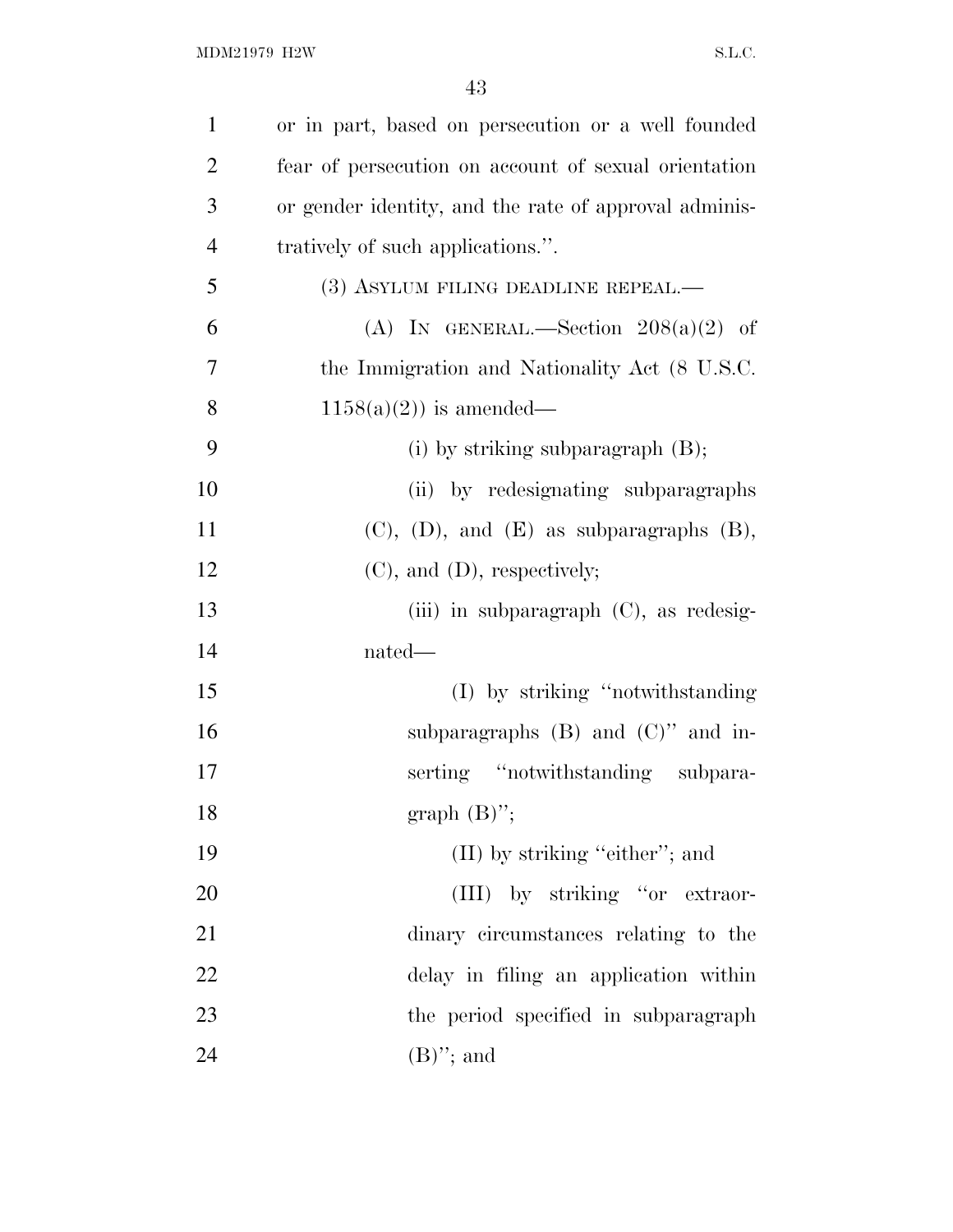| $\mathbf{1}$   | or in part, based on persecution or a well founded    |
|----------------|-------------------------------------------------------|
| $\overline{2}$ | fear of persecution on account of sexual orientation  |
| 3              | or gender identity, and the rate of approval adminis- |
| $\overline{4}$ | tratively of such applications.".                     |
| 5              | (3) ASYLUM FILING DEADLINE REPEAL.—                   |
| 6              | (A) IN GENERAL.—Section $208(a)(2)$ of                |
| 7              | the Immigration and Nationality Act (8 U.S.C.         |
| 8              | $1158(a)(2)$ is amended—                              |
| 9              | (i) by striking subparagraph $(B)$ ;                  |
| 10             | (ii) by redesignating subparagraphs                   |
| 11             | $(C)$ , $(D)$ , and $(E)$ as subparagraphs $(B)$ ,    |
| 12             | $(C)$ , and $(D)$ , respectively;                     |
| 13             | (iii) in subparagraph $(C)$ , as redesig-             |
| 14             | nated—                                                |
| 15             | (I) by striking "notwithstanding"                     |
| 16             | subparagraphs $(B)$ and $(C)$ " and in-               |
| 17             | serting "notwithstanding subpara-                     |
| 18             | graph $(B)$ ";                                        |
| 19             | $(II)$ by striking "either"; and                      |
| 20             | (III) by striking "or extraor-                        |
| 21             | dinary circumstances relating to the                  |
| 22             | delay in filing an application within                 |
| 23             | the period specified in subparagraph                  |
| 24             | $(B)$ "; and                                          |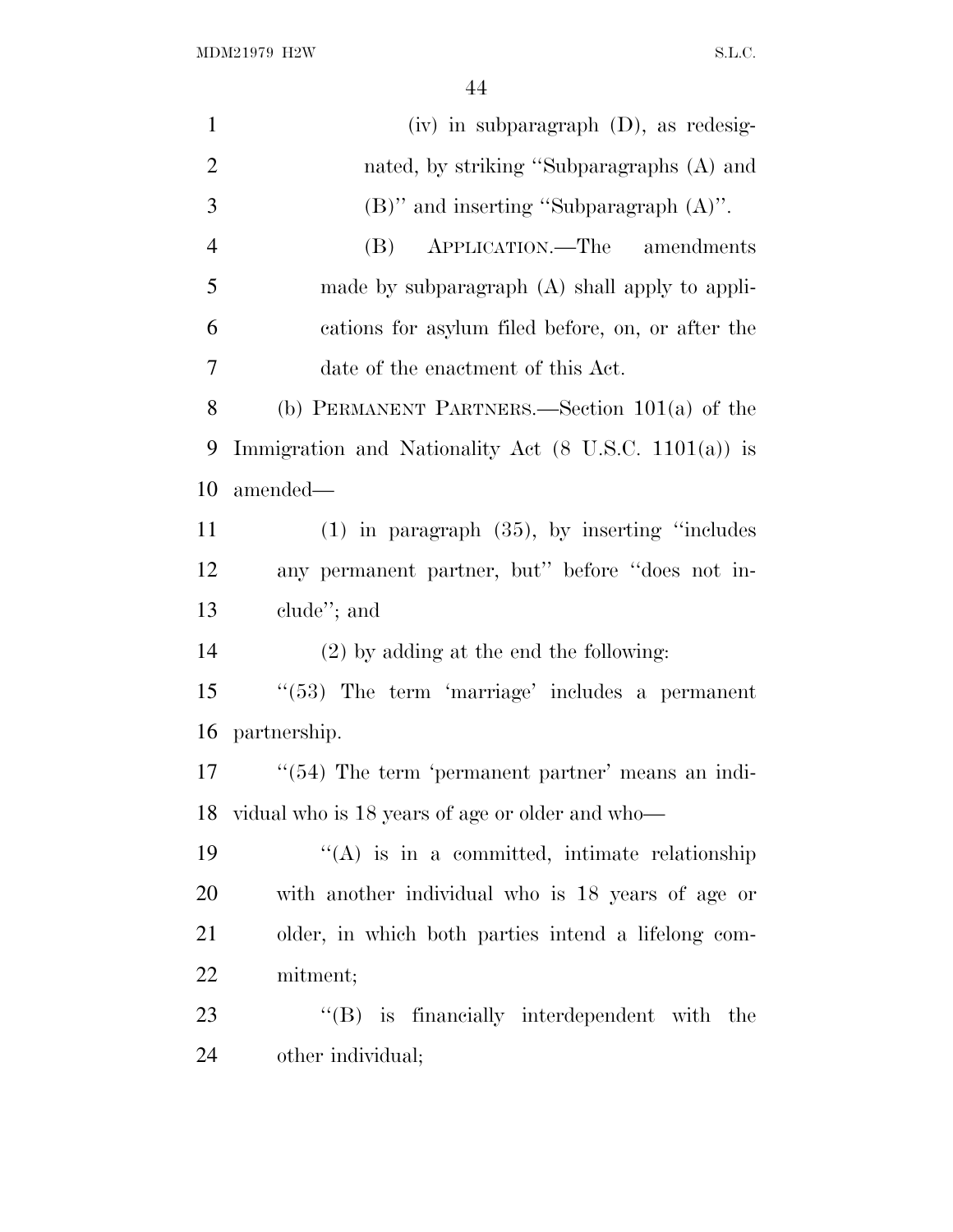$\rm MDM21979\ H2W \rm \qquad S.L.C.$ 

| $\mathbf{1}$   | $(iv)$ in subparagraph $(D)$ , as redesig-                       |
|----------------|------------------------------------------------------------------|
| $\overline{2}$ | nated, by striking "Subparagraphs (A) and                        |
| 3              | $(B)$ " and inserting "Subparagraph $(A)$ ".                     |
| $\overline{4}$ | APPLICATION.—The amendments<br>(B)                               |
| 5              | made by subparagraph (A) shall apply to appli-                   |
| 6              | cations for asylum filed before, on, or after the                |
| 7              | date of the enactment of this Act.                               |
| 8              | (b) PERMANENT PARTNERS.—Section $101(a)$ of the                  |
| 9              | Immigration and Nationality Act $(8 \text{ U.S.C. } 1101(a))$ is |
| 10             | amended—                                                         |
| 11             | $(1)$ in paragraph $(35)$ , by inserting "includes"              |
| 12             | any permanent partner, but" before "does not in-                 |
| 13             | clude"; and                                                      |
| 14             | $(2)$ by adding at the end the following:                        |
| 15             | $\lq(53)$ The term 'marriage' includes a permanent               |
| 16             | partnership.                                                     |
| 17             | $\cdot\cdot$ (54) The term 'permanent partner' means an indi-    |
| 18             | vidual who is 18 years of age or older and who—                  |
| 19             | "(A) is in a committed, intimate relationship                    |
| 20             | with another individual who is 18 years of age or                |
| 21             | older, in which both parties intend a lifelong com-              |
| <u>22</u>      | mitment;                                                         |
| 23             | $\lq\lq$ is financially interdependent with the                  |
| 24             | other individual;                                                |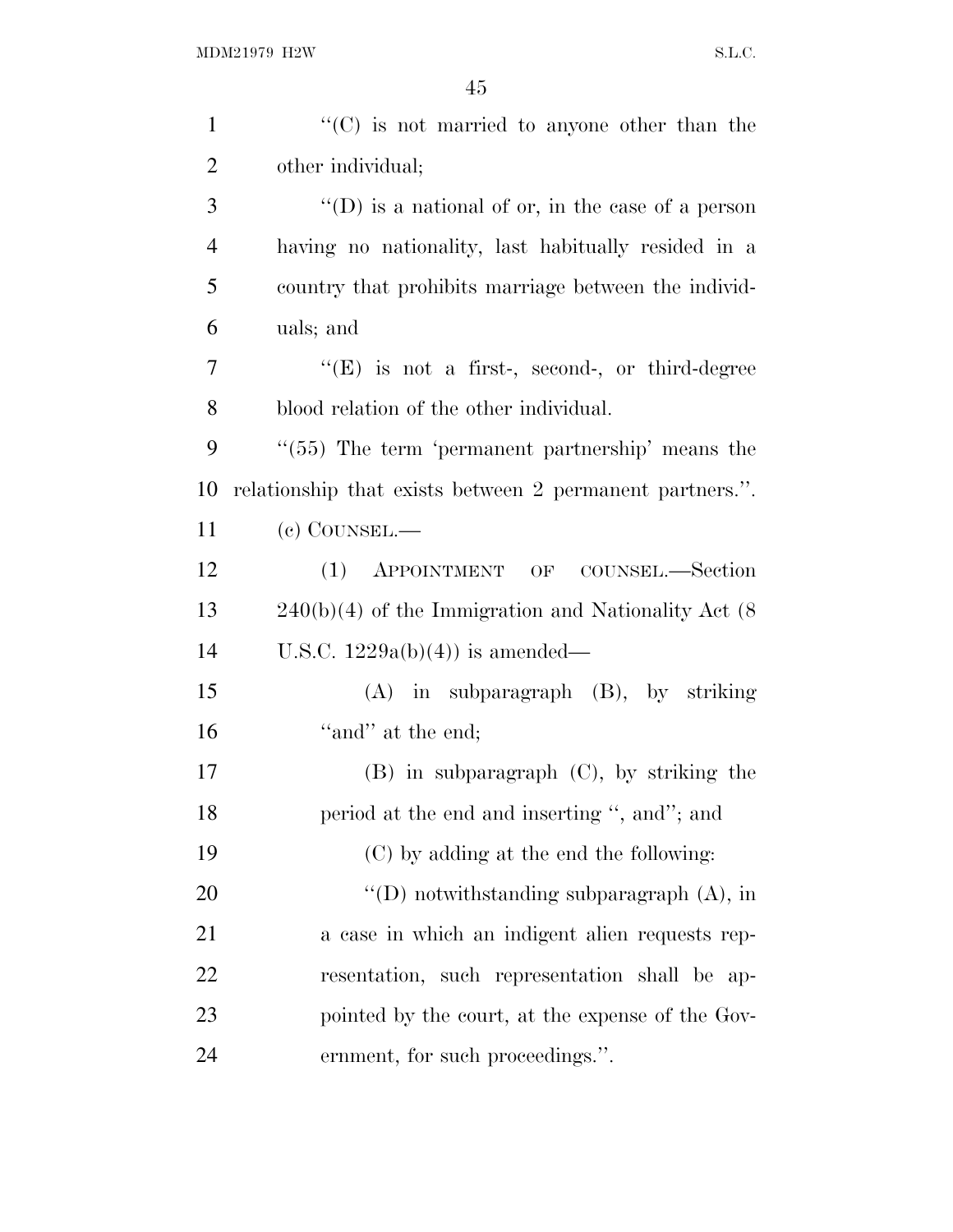| $\mathbf{1}$   | $\lq\lq$ (C) is not married to anyone other than the      |
|----------------|-----------------------------------------------------------|
| $\overline{2}$ | other individual;                                         |
| 3              | $\lq\lq$ (D) is a national of or, in the case of a person |
| $\overline{4}$ | having no nationality, last habitually resided in a       |
| 5              | country that prohibits marriage between the individ-      |
| 6              | uals; and                                                 |
| 7              | $\lq\lq(E)$ is not a first-, second-, or third-degree     |
| 8              | blood relation of the other individual.                   |
| 9              | $\cdot$ (55) The term 'permanent partnership' means the   |
| 10             | relationship that exists between 2 permanent partners.".  |
| 11             | (c) COUNSEL.—                                             |
| 12             | (1)<br>APPOINTMENT OF COUNSEL.—Section                    |
| 13             | $240(b)(4)$ of the Immigration and Nationality Act (8)    |
| 14             | U.S.C. $1229a(b)(4)$ is amended—                          |
| 15             | $(A)$ in subparagraph $(B)$ , by striking                 |
| 16             | "and" at the end;                                         |
| 17             | $(B)$ in subparagraph $(C)$ , by striking the             |
| 18             | period at the end and inserting ", and"; and              |
| 19             | (C) by adding at the end the following:                   |
| 20             | "(D) notwithstanding subparagraph $(A)$ , in              |
| 21             | a case in which an indigent alien requests rep-           |
| 22             | resentation, such representation shall be ap-             |
| 23             | pointed by the court, at the expense of the Gov-          |
| 24             | ernment, for such proceedings.".                          |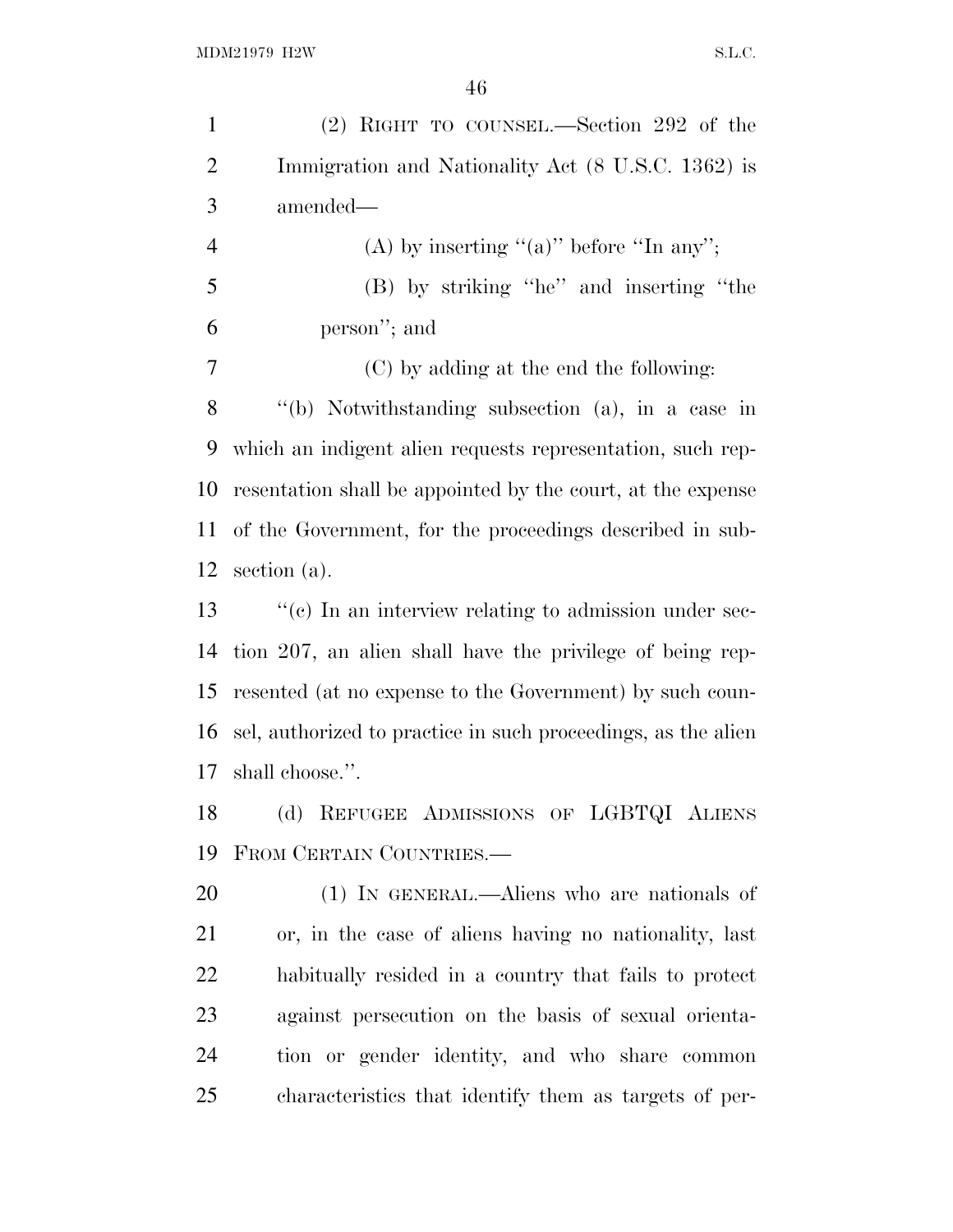| $\mathbf{1}$   | (2) RIGHT TO COUNSEL.—Section 292 of the                      |
|----------------|---------------------------------------------------------------|
| $\overline{2}$ | Immigration and Nationality Act (8 U.S.C. 1362) is            |
| 3              | amended—                                                      |
| $\overline{4}$ | (A) by inserting " $(a)$ " before "In any";                   |
| 5              | (B) by striking "he" and inserting "the                       |
| 6              | person"; and                                                  |
| 7              | (C) by adding at the end the following:                       |
| 8              | "(b) Notwithstanding subsection (a), in a case in             |
| 9              | which an indigent alien requests representation, such rep-    |
| 10             | resentation shall be appointed by the court, at the expense   |
| 11             | of the Government, for the proceedings described in sub-      |
| 12             | section (a).                                                  |
| 13             | $\lq\lq$ (c) In an interview relating to admission under sec- |
| 14             | tion 207, an alien shall have the privilege of being rep-     |
| 15             | resented (at no expense to the Government) by such coun-      |
| 16             | sel, authorized to practice in such proceedings, as the alien |
| 17             | shall choose.".                                               |
| 18             | (d) REFUGEE ADMISSIONS OF LGBTQI ALIENS                       |
| 19             | FROM CERTAIN COUNTRIES.                                       |
| 20             | (1) IN GENERAL.—Aliens who are nationals of                   |
| 21             | or, in the case of aliens having no nationality, last         |
| <u>22</u>      | habitually resided in a country that fails to protect         |
| 23             | against persecution on the basis of sexual orienta-           |
| 24             | tion or gender identity, and who share common                 |
| 25             | characteristics that identify them as targets of per-         |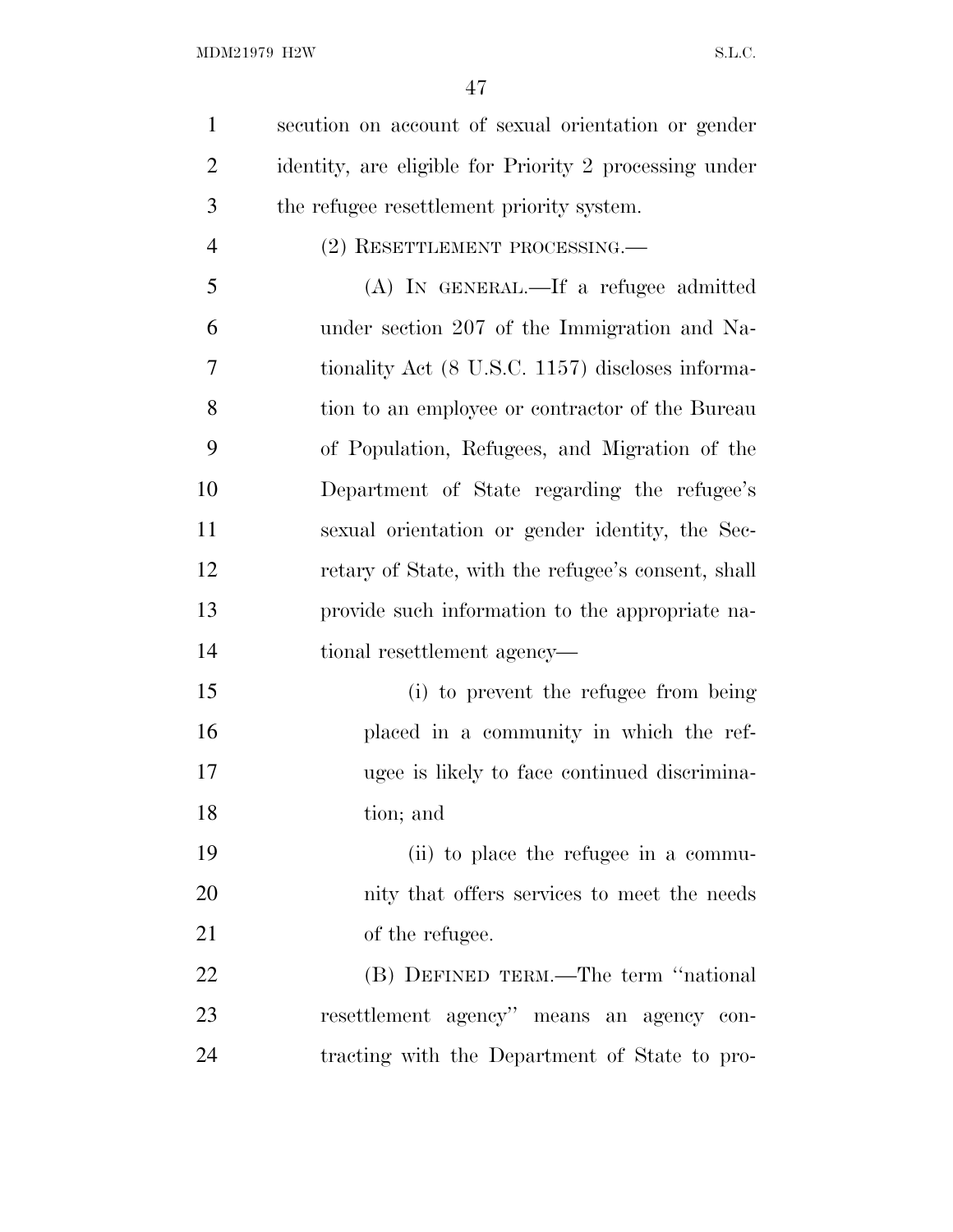secution on account of sexual orientation or gender identity, are eligible for Priority 2 processing under the refugee resettlement priority system.

4 (2) RESETTLEMENT PROCESSING.

 (A) IN GENERAL.—If a refugee admitted under section 207 of the Immigration and Na- tionality Act (8 U.S.C. 1157) discloses informa- tion to an employee or contractor of the Bureau of Population, Refugees, and Migration of the Department of State regarding the refugee's sexual orientation or gender identity, the Sec- retary of State, with the refugee's consent, shall provide such information to the appropriate na-tional resettlement agency—

 (i) to prevent the refugee from being placed in a community in which the ref- ugee is likely to face continued discrimina-tion; and

 (ii) to place the refugee in a commu- nity that offers services to meet the needs 21 of the refugee.

 (B) DEFINED TERM.—The term ''national resettlement agency'' means an agency con-tracting with the Department of State to pro-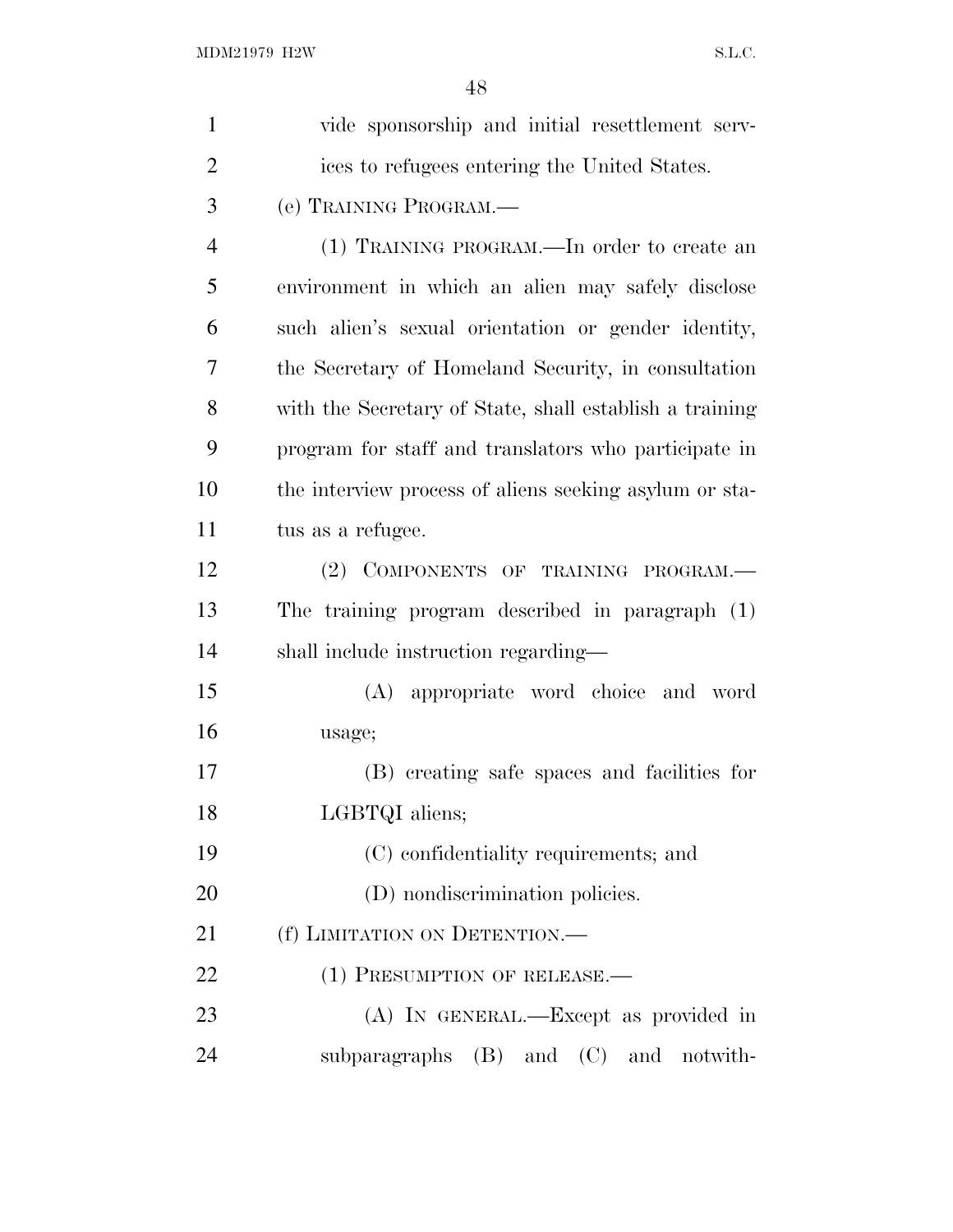| $\mathbf{1}$   | vide sponsorship and initial resettlement serv-         |
|----------------|---------------------------------------------------------|
| $\overline{2}$ | ices to refugees entering the United States.            |
| 3              | (e) TRAINING PROGRAM.—                                  |
| $\overline{4}$ | (1) TRAINING PROGRAM.—In order to create an             |
| 5              | environment in which an alien may safely disclose       |
| 6              | such alien's sexual orientation or gender identity,     |
| 7              | the Secretary of Homeland Security, in consultation     |
| 8              | with the Secretary of State, shall establish a training |
| 9              | program for staff and translators who participate in    |
| 10             | the interview process of aliens seeking asylum or sta-  |
| 11             | tus as a refugee.                                       |
| 12             | (2) COMPONENTS OF TRAINING PROGRAM.                     |
| 13             | The training program described in paragraph $(1)$       |
| 14             | shall include instruction regarding—                    |
| 15             | (A) appropriate word choice and word                    |
| 16             | usage;                                                  |
| 17             | (B) creating safe spaces and facilities for             |
| 18             | LGBTQI aliens;                                          |
| 19             | (C) confidentiality requirements; and                   |
| 20             | (D) nondiscrimination policies.                         |
| 21             | (f) LIMITATION ON DETENTION.                            |
| 22             | (1) PRESUMPTION OF RELEASE.—                            |
| 23             | (A) IN GENERAL.—Except as provided in                   |
| 24             | subparagraphs (B) and (C) and notwith-                  |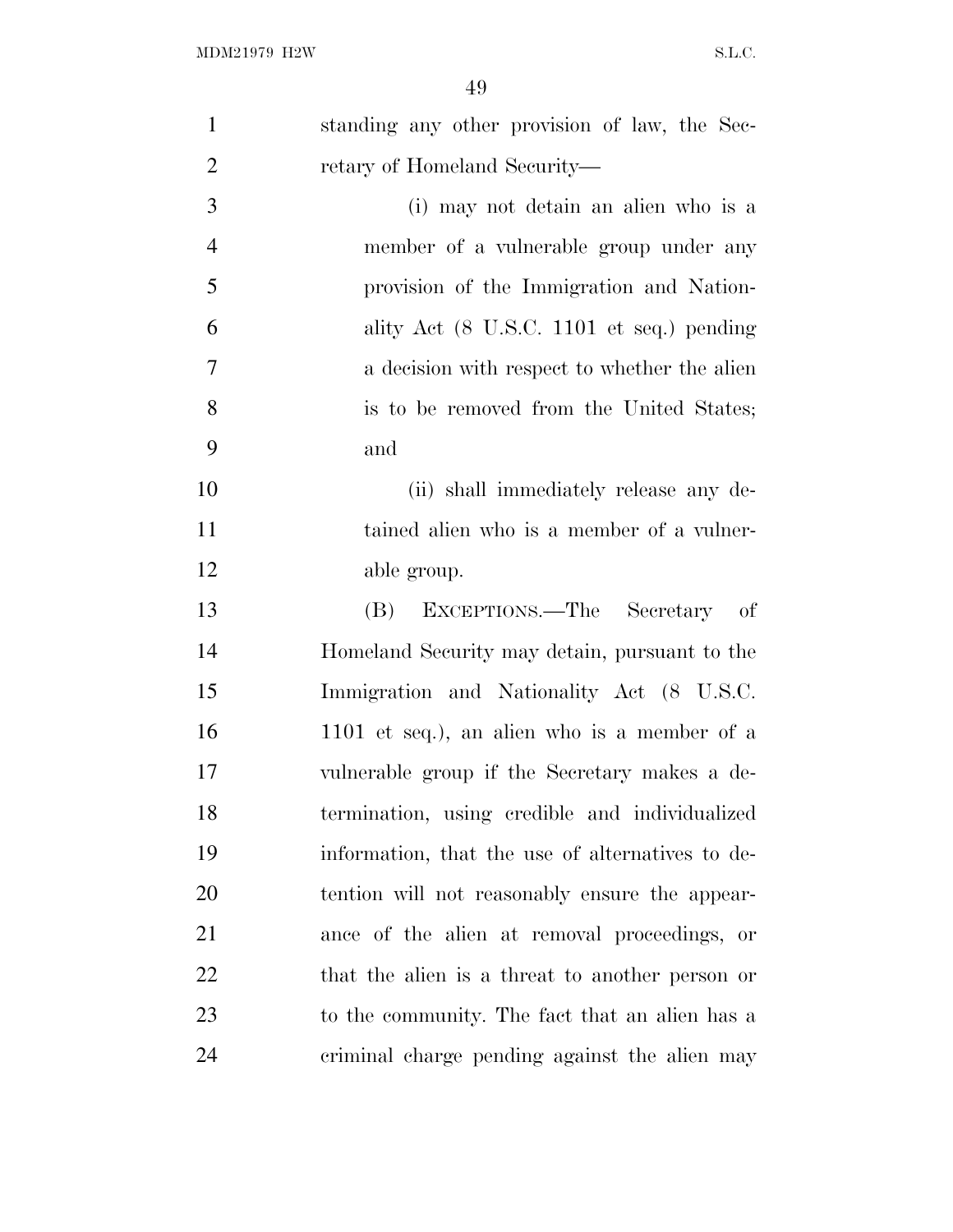| $\mathbf{1}$   | standing any other provision of law, the Sec-    |
|----------------|--------------------------------------------------|
| $\overline{2}$ | retary of Homeland Security—                     |
| 3              | (i) may not detain an alien who is a             |
| $\overline{4}$ | member of a vulnerable group under any           |
| 5              | provision of the Immigration and Nation-         |
| 6              | ality Act (8 U.S.C. 1101 et seq.) pending        |
| $\overline{7}$ | a decision with respect to whether the alien     |
| 8              | is to be removed from the United States;         |
| 9              | and                                              |
| 10             | (ii) shall immediately release any de-           |
| 11             | tained alien who is a member of a vulner-        |
| 12             | able group.                                      |
| 13             | EXCEPTIONS.—The Secretary of<br>(B)              |
| 14             | Homeland Security may detain, pursuant to the    |
| 15             | Immigration and Nationality Act (8 U.S.C.        |
| 16             | 1101 et seq.), an alien who is a member of a     |
| 17             | vulnerable group if the Secretary makes a de-    |
| 18             | termination, using credible and individualized   |
| 19             | information, that the use of alternatives to de- |
| 20             | tention will not reasonably ensure the appear-   |
| 21             | ance of the alien at removal proceedings, or     |
| 22             | that the alien is a threat to another person or  |
| 23             | to the community. The fact that an alien has a   |
| 24             | criminal charge pending against the alien may    |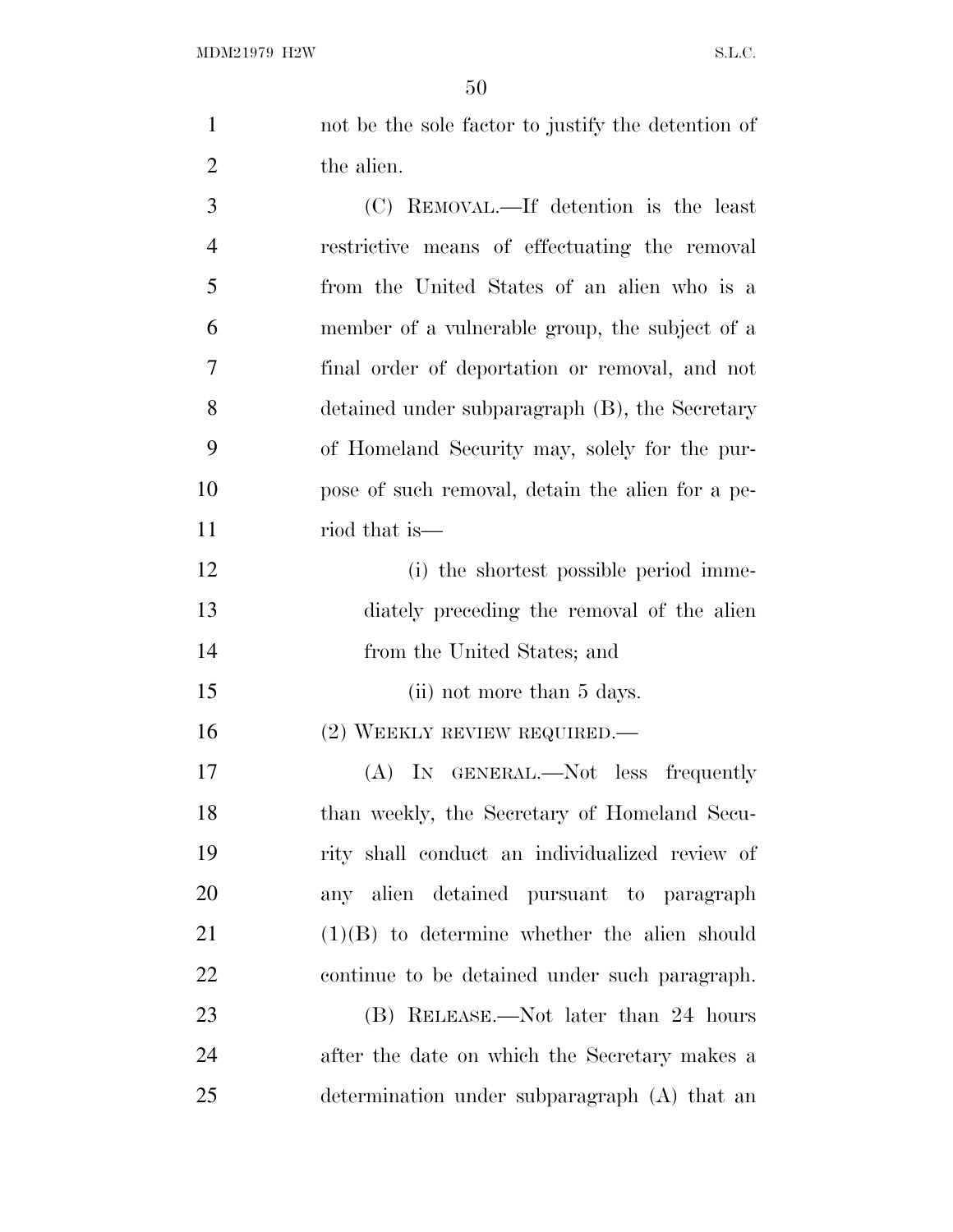| $\mathbf{1}$   | not be the sole factor to justify the detention of |
|----------------|----------------------------------------------------|
| $\overline{2}$ | the alien.                                         |
| 3              | (C) REMOVAL.—If detention is the least             |
| $\overline{4}$ | restrictive means of effectuating the removal      |
| 5              | from the United States of an alien who is a        |
| 6              | member of a vulnerable group, the subject of a     |
| $\overline{7}$ | final order of deportation or removal, and not     |
| 8              | detained under subparagraph (B), the Secretary     |
| 9              | of Homeland Security may, solely for the pur-      |
| 10             | pose of such removal, detain the alien for a pe-   |
| 11             | riod that is—                                      |
| 12             | (i) the shortest possible period imme-             |
| 13             | diately preceding the removal of the alien         |
| 14             | from the United States; and                        |

15 (ii) not more than 5 days.

16 (2) WEEKLY REVIEW REQUIRED.—

 (A) IN GENERAL.—Not less frequently than weekly, the Secretary of Homeland Secu- rity shall conduct an individualized review of any alien detained pursuant to paragraph (1)(B) to determine whether the alien should continue to be detained under such paragraph.

 (B) RELEASE.—Not later than 24 hours after the date on which the Secretary makes a determination under subparagraph (A) that an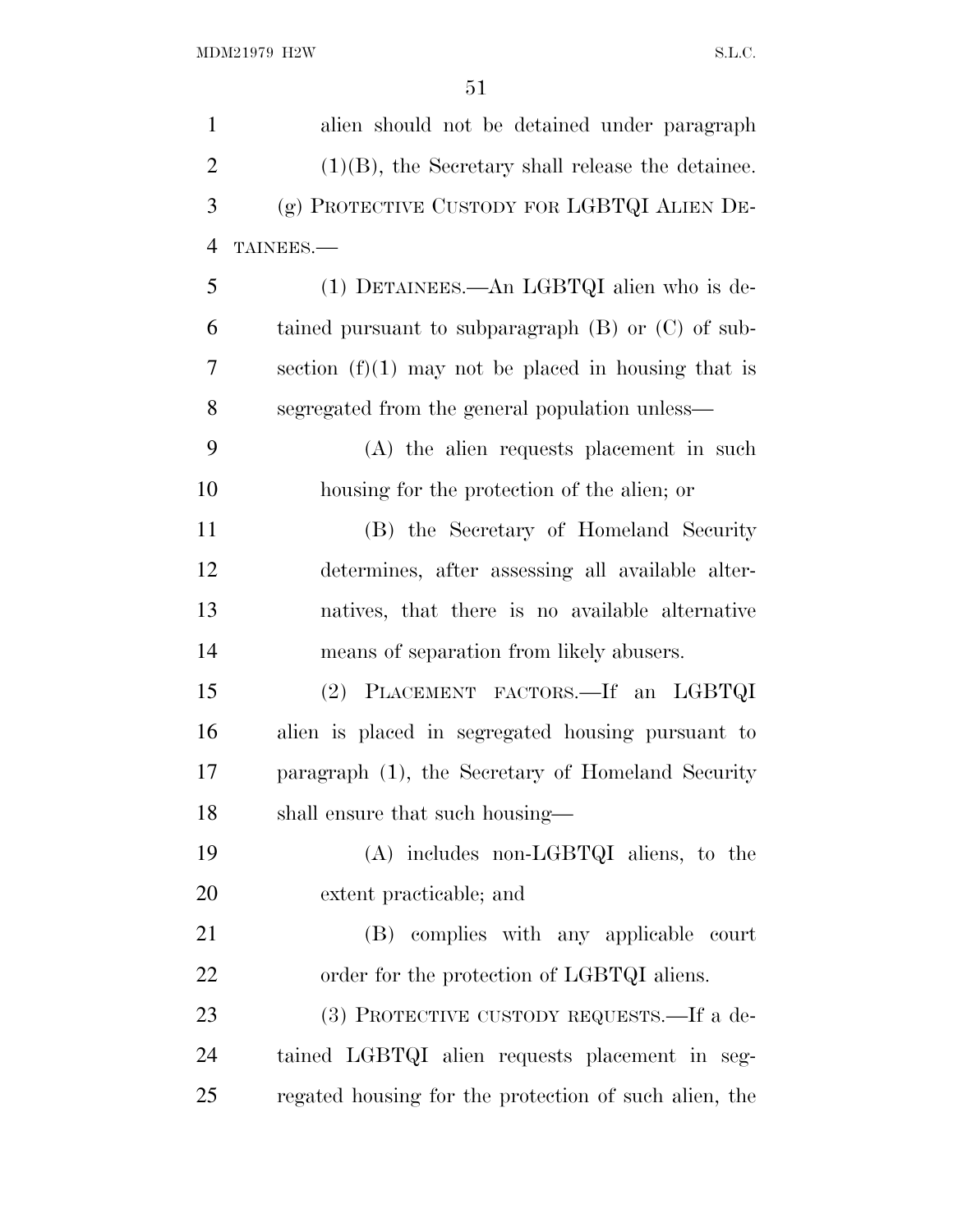| $\mathbf{1}$   | alien should not be detained under paragraph           |
|----------------|--------------------------------------------------------|
| $\overline{2}$ | $(1)(B)$ , the Secretary shall release the detainee.   |
| 3              | (g) PROTECTIVE CUSTODY FOR LGBTQI ALIEN DE-            |
| $\overline{4}$ | TAINEES.                                               |
| 5              | (1) DETAINEES.—An LGBTQI alien who is de-              |
| 6              | tained pursuant to subparagraph $(B)$ or $(C)$ of sub- |
| 7              | section $(f)(1)$ may not be placed in housing that is  |
| 8              | segregated from the general population unless—         |
| 9              | (A) the alien requests placement in such               |
| 10             | housing for the protection of the alien; or            |
| 11             | (B) the Secretary of Homeland Security                 |
| 12             | determines, after assessing all available alter-       |
| 13             | natives, that there is no available alternative        |
| 14             | means of separation from likely abusers.               |
| 15             | (2) PLACEMENT FACTORS.—If an LGBTQI                    |
| 16             | alien is placed in segregated housing pursuant to      |
| 17             | paragraph (1), the Secretary of Homeland Security      |
| 18             | shall ensure that such housing—                        |
| 19             | $(A)$ includes non-LGBTQI aliens, to the               |
| 20             | extent practicable; and                                |
| 21             | complies with any applicable court<br>(B)              |
| 22             | order for the protection of LGBTQI aliens.             |
| 23             | (3) PROTECTIVE CUSTODY REQUESTS.—If a de-              |
| 24             | tained LGBTQI alien requests placement in seg-         |
| 25             | regated housing for the protection of such alien, the  |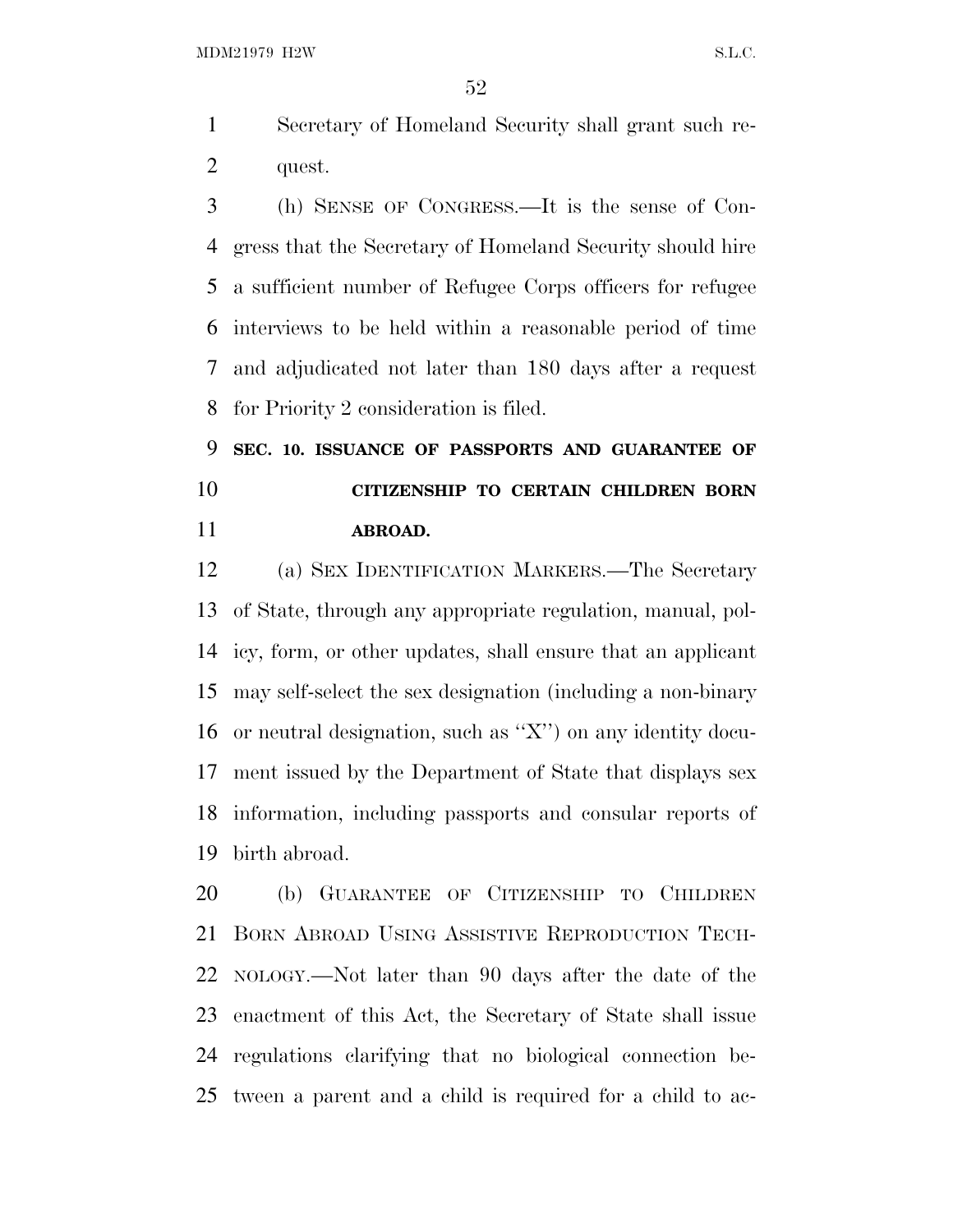MDM21979 H2W S.L.C.

 Secretary of Homeland Security shall grant such re-quest.

 (h) SENSE OF CONGRESS.—It is the sense of Con- gress that the Secretary of Homeland Security should hire a sufficient number of Refugee Corps officers for refugee interviews to be held within a reasonable period of time and adjudicated not later than 180 days after a request for Priority 2 consideration is filed.

 **SEC. 10. ISSUANCE OF PASSPORTS AND GUARANTEE OF CITIZENSHIP TO CERTAIN CHILDREN BORN ABROAD.**

 (a) SEX IDENTIFICATION MARKERS.—The Secretary of State, through any appropriate regulation, manual, pol- icy, form, or other updates, shall ensure that an applicant may self-select the sex designation (including a non-binary or neutral designation, such as ''X'') on any identity docu- ment issued by the Department of State that displays sex information, including passports and consular reports of birth abroad.

 (b) GUARANTEE OF CITIZENSHIP TO CHILDREN BORN ABROAD USING ASSISTIVE REPRODUCTION TECH- NOLOGY.—Not later than 90 days after the date of the enactment of this Act, the Secretary of State shall issue regulations clarifying that no biological connection be-tween a parent and a child is required for a child to ac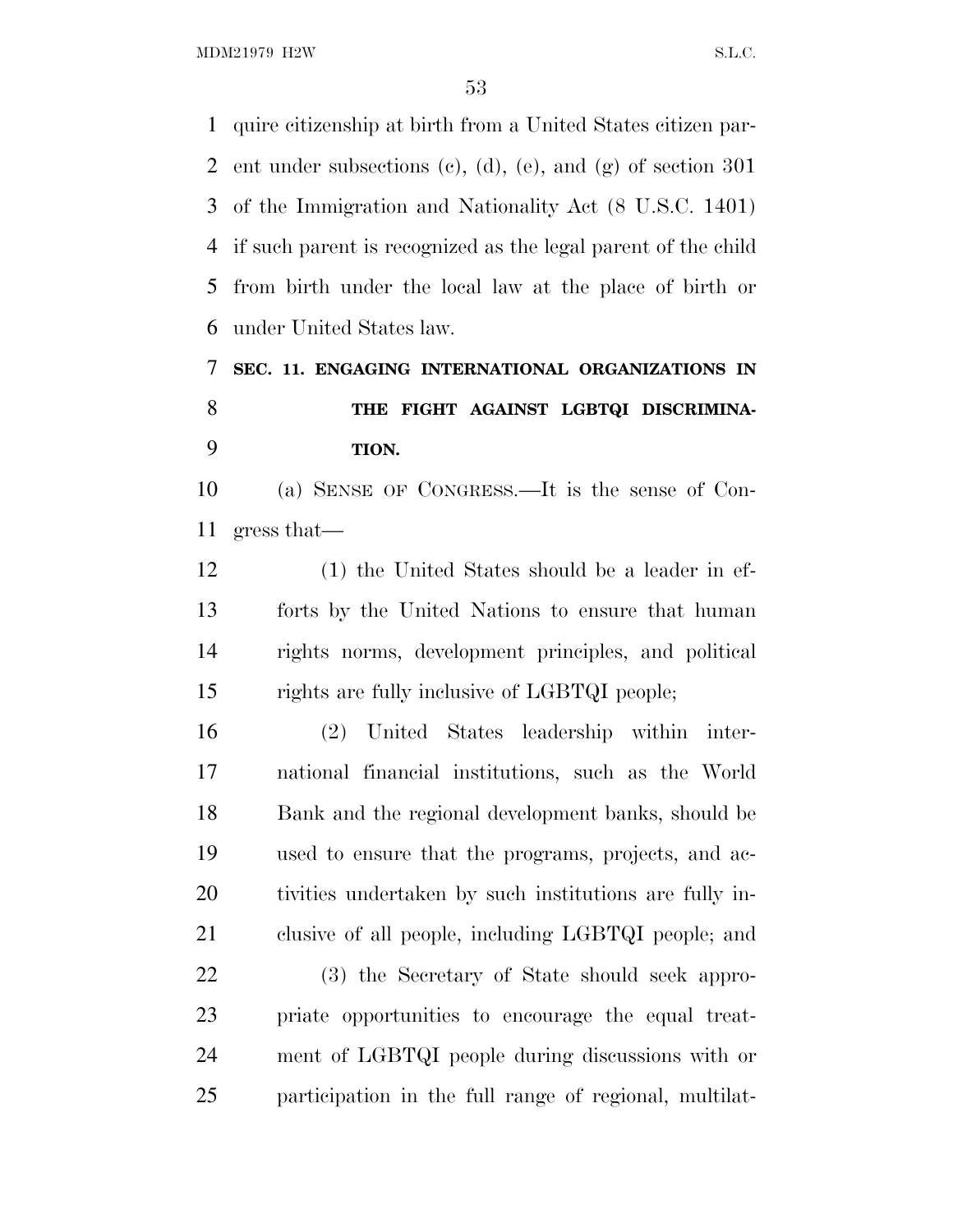MDM21979 H2W S.L.C.

 quire citizenship at birth from a United States citizen par-2 ent under subsections (c), (d), (e), and  $(g)$  of section 301 of the Immigration and Nationality Act (8 U.S.C. 1401) if such parent is recognized as the legal parent of the child from birth under the local law at the place of birth or under United States law.

 **SEC. 11. ENGAGING INTERNATIONAL ORGANIZATIONS IN THE FIGHT AGAINST LGBTQI DISCRIMINA-TION.**

 (a) SENSE OF CONGRESS.—It is the sense of Con-gress that—

 (1) the United States should be a leader in ef- forts by the United Nations to ensure that human rights norms, development principles, and political rights are fully inclusive of LGBTQI people;

 (2) United States leadership within inter- national financial institutions, such as the World Bank and the regional development banks, should be used to ensure that the programs, projects, and ac- tivities undertaken by such institutions are fully in-clusive of all people, including LGBTQI people; and

 (3) the Secretary of State should seek appro- priate opportunities to encourage the equal treat- ment of LGBTQI people during discussions with or participation in the full range of regional, multilat-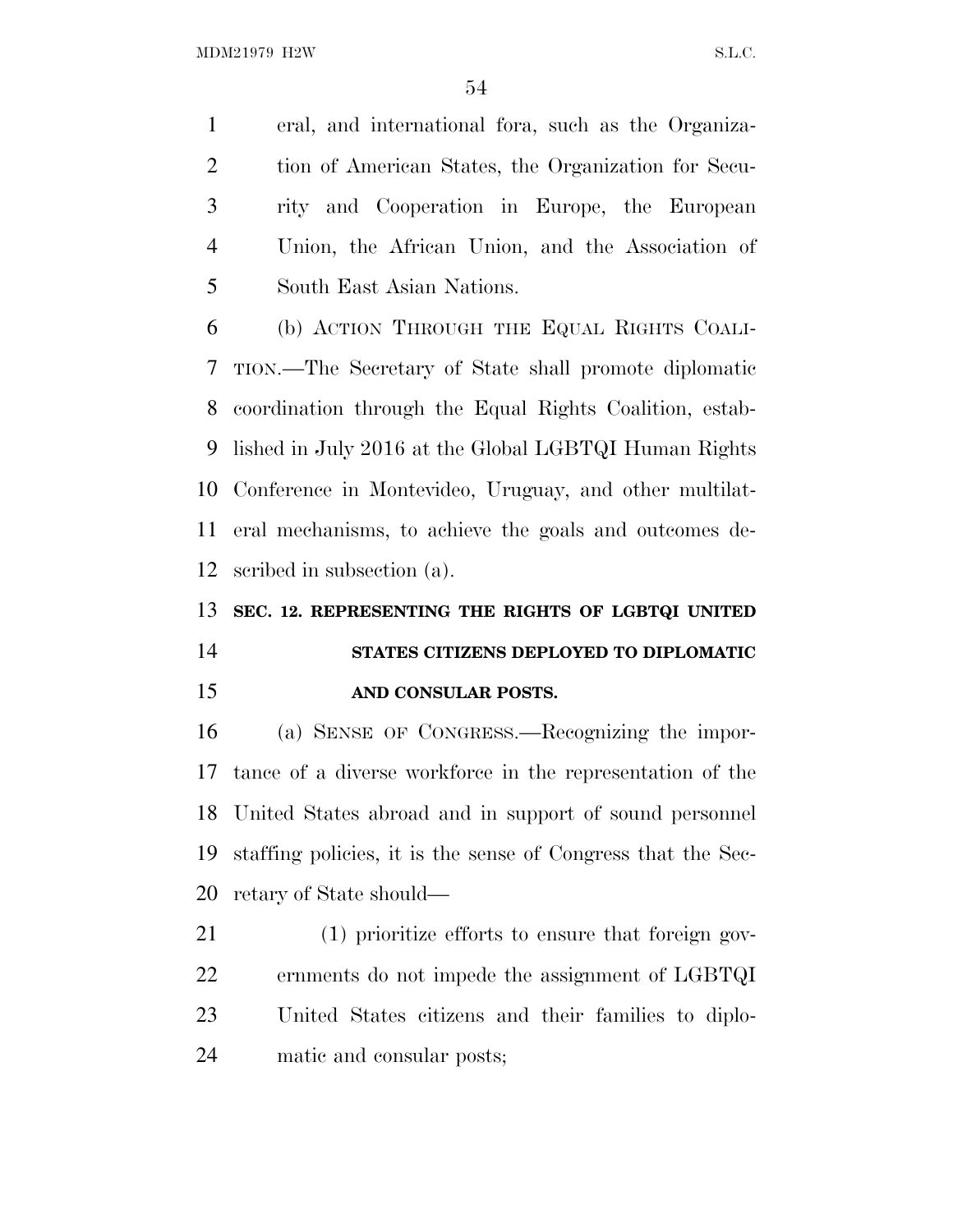eral, and international fora, such as the Organiza- tion of American States, the Organization for Secu- rity and Cooperation in Europe, the European Union, the African Union, and the Association of South East Asian Nations.

 (b) ACTION THROUGH THE EQUAL RIGHTS COALI- TION.—The Secretary of State shall promote diplomatic coordination through the Equal Rights Coalition, estab- lished in July 2016 at the Global LGBTQI Human Rights Conference in Montevideo, Uruguay, and other multilat- eral mechanisms, to achieve the goals and outcomes de-scribed in subsection (a).

### **SEC. 12. REPRESENTING THE RIGHTS OF LGBTQI UNITED**

## **STATES CITIZENS DEPLOYED TO DIPLOMATIC AND CONSULAR POSTS.**

 (a) SENSE OF CONGRESS.—Recognizing the impor- tance of a diverse workforce in the representation of the United States abroad and in support of sound personnel staffing policies, it is the sense of Congress that the Sec-retary of State should—

 (1) prioritize efforts to ensure that foreign gov- ernments do not impede the assignment of LGBTQI United States citizens and their families to diplo-matic and consular posts;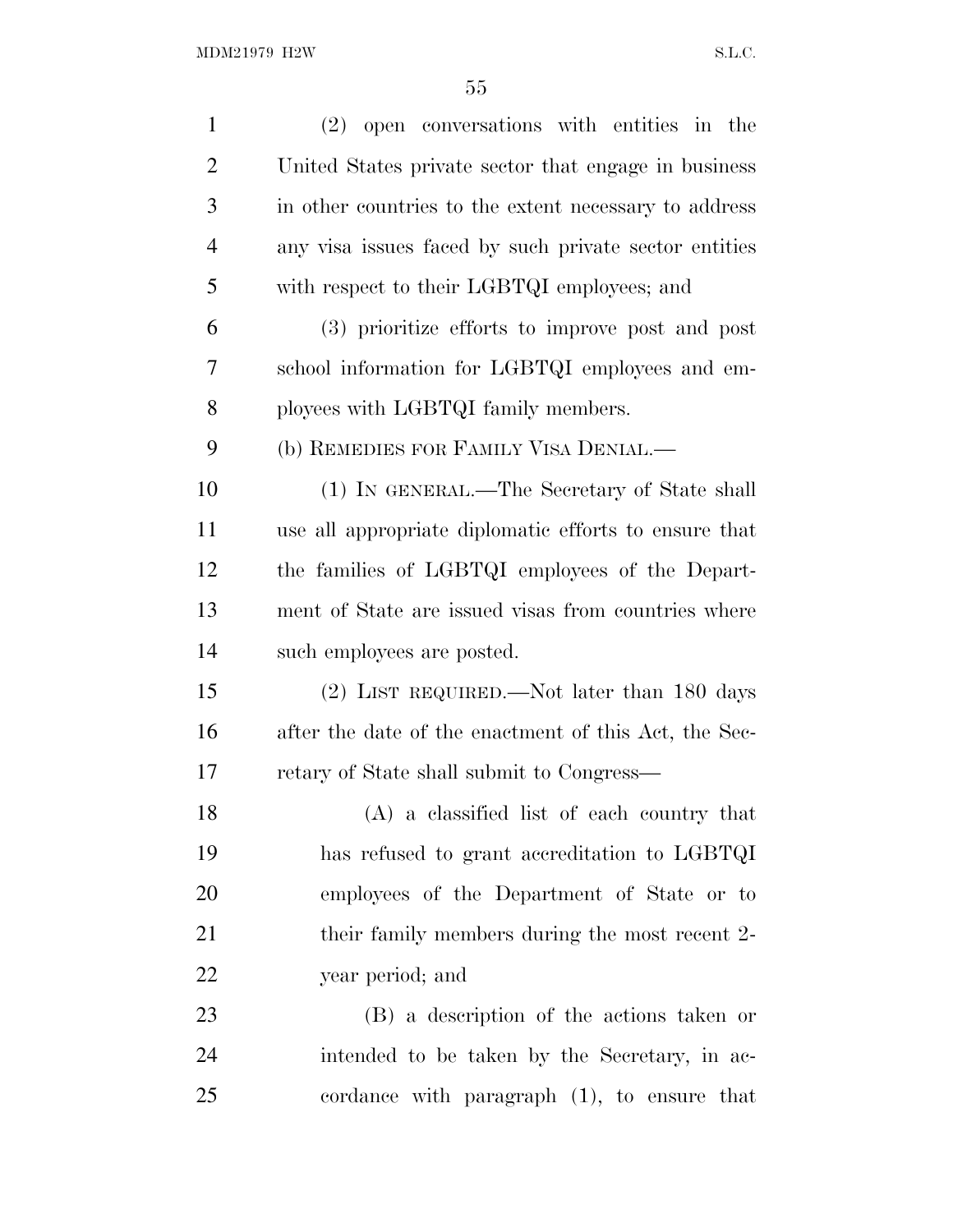| $\mathbf{1}$   | (2) open conversations with entities in the           |
|----------------|-------------------------------------------------------|
| $\overline{2}$ | United States private sector that engage in business  |
| 3              | in other countries to the extent necessary to address |
| $\overline{4}$ | any visa issues faced by such private sector entities |
| 5              | with respect to their LGBTQI employees; and           |
| 6              | (3) prioritize efforts to improve post and post       |
| 7              | school information for LGBTQI employees and em-       |
| 8              | ployees with LGBTQI family members.                   |
| 9              | (b) REMEDIES FOR FAMILY VISA DENIAL.—                 |
| 10             | (1) IN GENERAL.—The Secretary of State shall          |
| 11             | use all appropriate diplomatic efforts to ensure that |
| 12             | the families of LGBTQI employees of the Depart-       |
| 13             | ment of State are issued visas from countries where   |
| 14             | such employees are posted.                            |
| 15             | (2) LIST REQUIRED.—Not later than 180 days            |
| 16             | after the date of the enactment of this Act, the Sec- |
| 17             | retary of State shall submit to Congress—             |
| 18             | (A) a classified list of each country that            |
| 19             | has refused to grant accreditation to LGBTQI          |
| 20             | employees of the Department of State or to            |
| 21             | their family members during the most recent 2-        |
| <u>22</u>      | year period; and                                      |
| 23             | (B) a description of the actions taken or             |
| 24             | intended to be taken by the Secretary, in ac-         |
| 25             | cordance with paragraph $(1)$ , to ensure that        |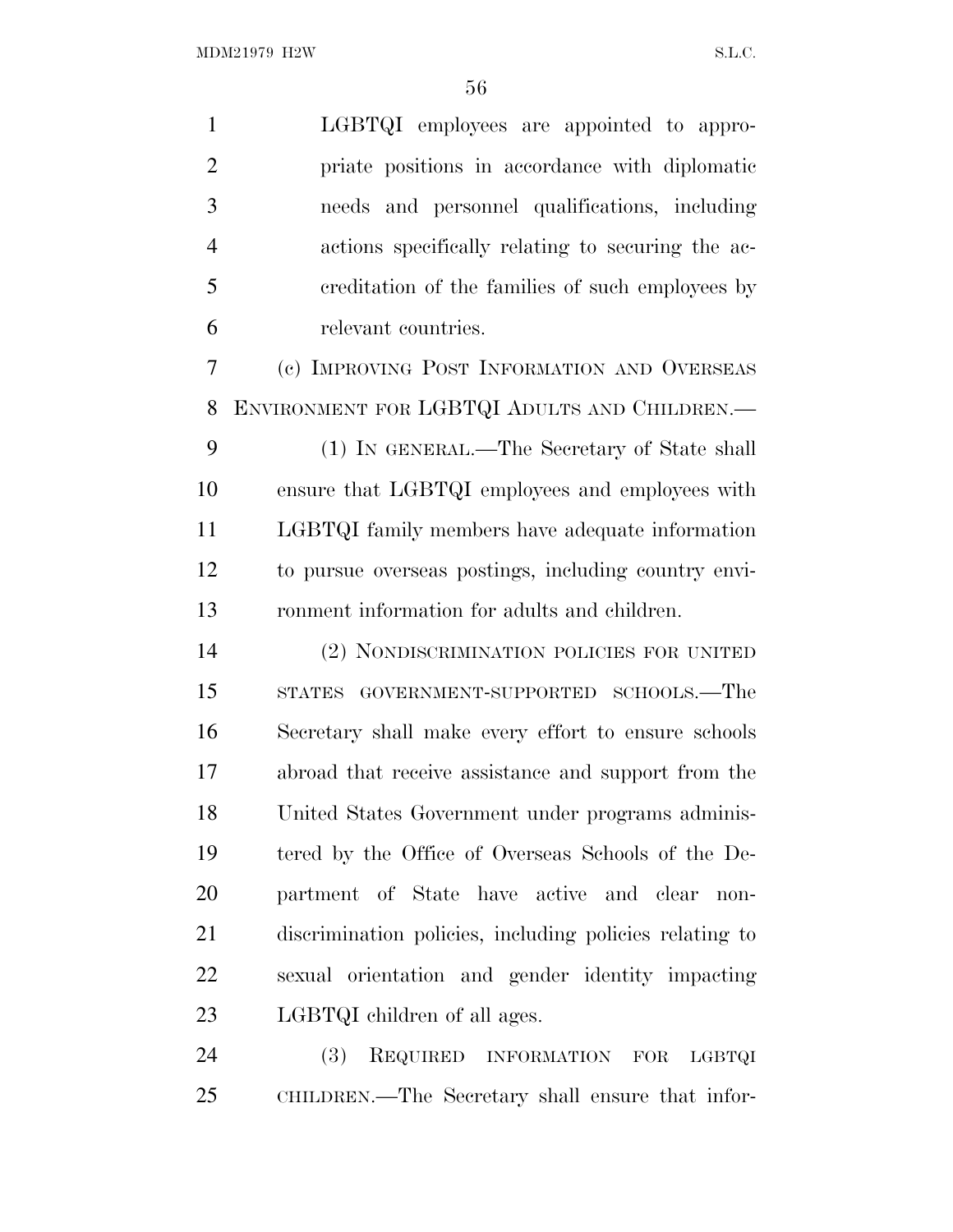| $\mathbf{1}$   | LGBTQI employees are appointed to appro-                |
|----------------|---------------------------------------------------------|
| $\overline{2}$ | priate positions in accordance with diplomatic          |
| 3              | needs and personnel qualifications, including           |
| $\overline{4}$ | actions specifically relating to securing the ac-       |
| 5              | creditation of the families of such employees by        |
| 6              | relevant countries.                                     |
| 7              | (c) IMPROVING POST INFORMATION AND OVERSEAS             |
| 8              | ENVIRONMENT FOR LGBTQI ADULTS AND CHILDREN.-            |
| 9              | (1) IN GENERAL.—The Secretary of State shall            |
| 10             | ensure that LGBTQI employees and employees with         |
| 11             | LGBTQI family members have adequate information         |
| 12             | to pursue overseas postings, including country envi-    |
| 13             | ronment information for adults and children.            |
| 14             | (2) NONDISCRIMINATION POLICIES FOR UNITED               |
| 15             | GOVERNMENT-SUPPORTED SCHOOLS.—The<br><b>STATES</b>      |
| 16             | Secretary shall make every effort to ensure schools     |
| 17             | abroad that receive assistance and support from the     |
| 18             | United States Government under programs adminis-        |
| 19             | tered by the Office of Overseas Schools of the De-      |
| 20             | partment of State have active and clear<br>$non-$       |
| 21             | discrimination policies, including policies relating to |
| 22             | sexual orientation and gender identity impacting        |
| 23             | LGBTQI children of all ages.                            |
| 24             | (3)<br>REQUIRED INFORMATION<br><b>FOR</b><br>LGBTQI     |

CHILDREN.—The Secretary shall ensure that infor-